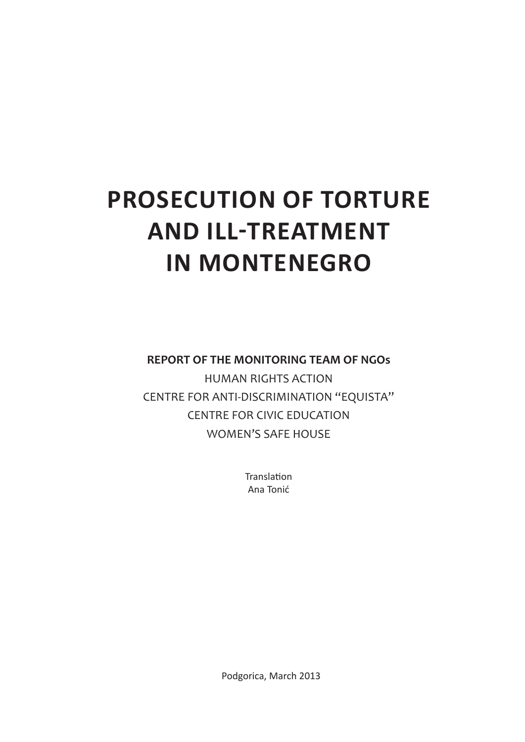# **PROSECUTION OF TORTURE AND ILL-TREATMENT IN MONTENEGRO**

**REPORT OF THE MONITORING TEAM OF NGOs** HUMAN RIGHTS ACTION CENTRE FOR ANTI-DISCRIMINATION "EQUISTA" CENTRE FOR CIVIC EDUCATION WOMEN'S SAFE HOUSE

> Translation Ana Tonić

Podgorica, March 2013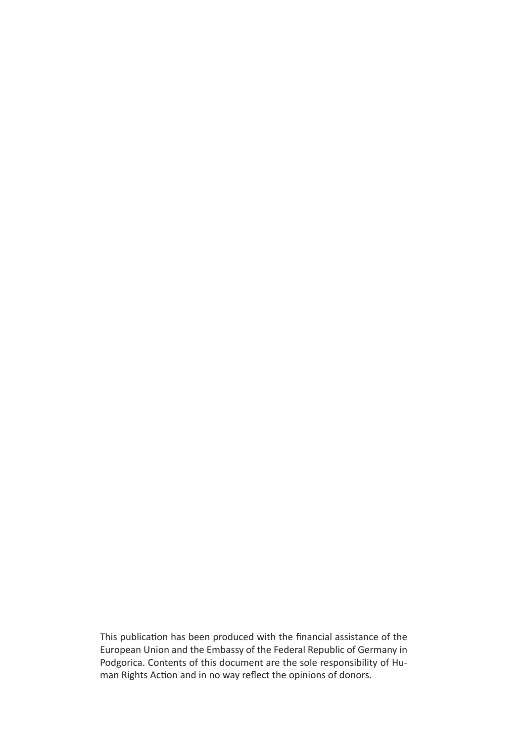This publication has been produced with the financial assistance of the European Union and the Embassy of the Federal Republic of Germany in Podgorica. Contents of this document are the sole responsibility of Human Rights Action and in no way reflect the opinions of donors.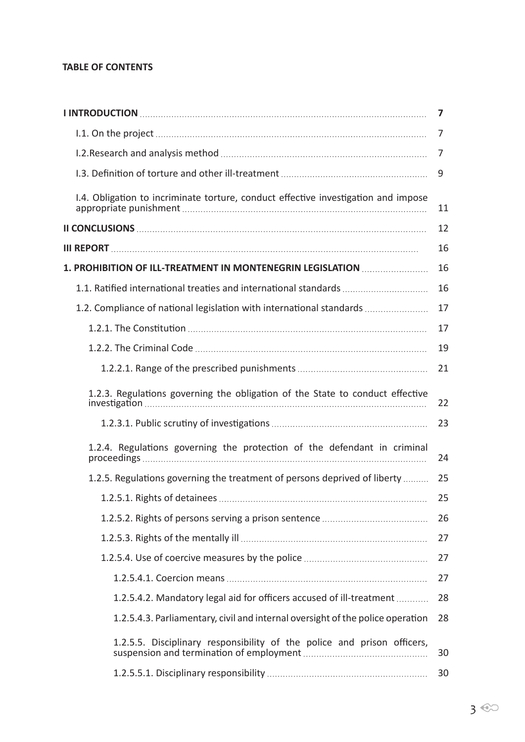#### **TABLE OF CONTENTS**

|                                                                                    | 7  |
|------------------------------------------------------------------------------------|----|
|                                                                                    | 7  |
|                                                                                    | 7  |
|                                                                                    | 9  |
| I.4. Obligation to incriminate torture, conduct effective investigation and impose | 11 |
|                                                                                    | 12 |
|                                                                                    | 16 |
| 1. PROHIBITION OF ILL-TREATMENT IN MONTENEGRIN LEGISLATION                         | 16 |
| 1.1. Ratified international treaties and international standards                   | 16 |
| 1.2. Compliance of national legislation with international standards               | 17 |
|                                                                                    | 17 |
|                                                                                    | 19 |
|                                                                                    | 21 |
| 1.2.3. Regulations governing the obligation of the State to conduct effective      | 22 |
|                                                                                    | 23 |
| 1.2.4. Regulations governing the protection of the defendant in criminal           | 24 |
| 1.2.5. Regulations governing the treatment of persons deprived of liberty          | 25 |
|                                                                                    | 25 |
|                                                                                    | 26 |
|                                                                                    | 27 |
|                                                                                    | 27 |
|                                                                                    | 27 |
| 1.2.5.4.2. Mandatory legal aid for officers accused of ill-treatment               | 28 |
| 1.2.5.4.3. Parliamentary, civil and internal oversight of the police operation     | 28 |
| 1.2.5.5. Disciplinary responsibility of the police and prison officers,            | 30 |
|                                                                                    | 30 |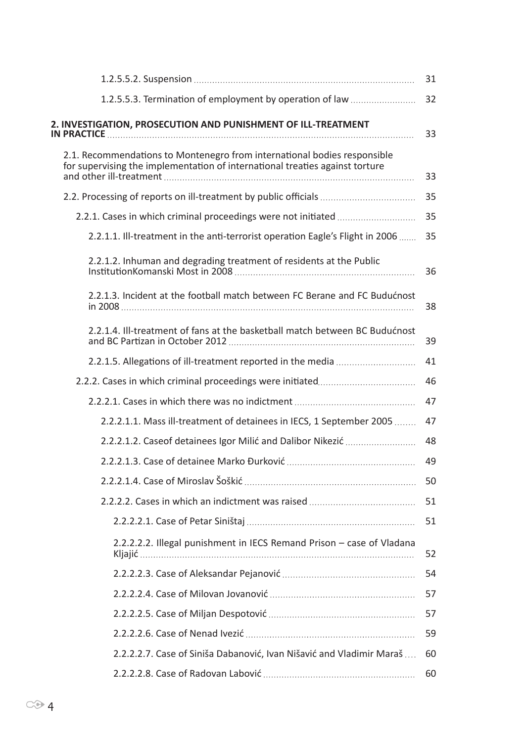| 32<br>33<br>33<br>35<br>35<br>35<br>36<br>38<br>39<br>41 |
|----------------------------------------------------------|
|                                                          |
|                                                          |
|                                                          |
|                                                          |
|                                                          |
|                                                          |
|                                                          |
|                                                          |
|                                                          |
|                                                          |
| 46                                                       |
| 47                                                       |
| 47                                                       |
| 48                                                       |
| 49                                                       |
| 50                                                       |
| 51                                                       |
| 51                                                       |
| 52                                                       |
| 54                                                       |
| 57                                                       |
| 57                                                       |
| 59                                                       |
| 60                                                       |
|                                                          |
|                                                          |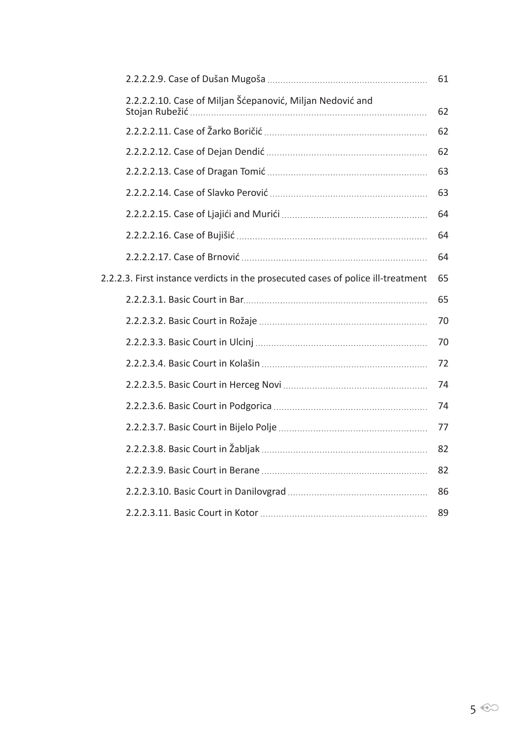|                                                                                  |                                                           | 61 |
|----------------------------------------------------------------------------------|-----------------------------------------------------------|----|
|                                                                                  | 2.2.2.2.10. Case of Miljan Šćepanović, Miljan Nedović and | 62 |
|                                                                                  |                                                           | 62 |
|                                                                                  |                                                           | 62 |
|                                                                                  |                                                           | 63 |
|                                                                                  |                                                           | 63 |
|                                                                                  |                                                           | 64 |
|                                                                                  |                                                           | 64 |
|                                                                                  |                                                           | 64 |
| 2.2.2.3. First instance verdicts in the prosecuted cases of police ill-treatment |                                                           |    |
|                                                                                  |                                                           | 65 |
|                                                                                  |                                                           | 70 |
|                                                                                  |                                                           | 70 |
|                                                                                  |                                                           | 72 |
|                                                                                  |                                                           | 74 |
|                                                                                  |                                                           | 74 |
|                                                                                  |                                                           | 77 |
|                                                                                  |                                                           | 82 |
|                                                                                  |                                                           | 82 |
|                                                                                  |                                                           | 86 |
|                                                                                  |                                                           | 89 |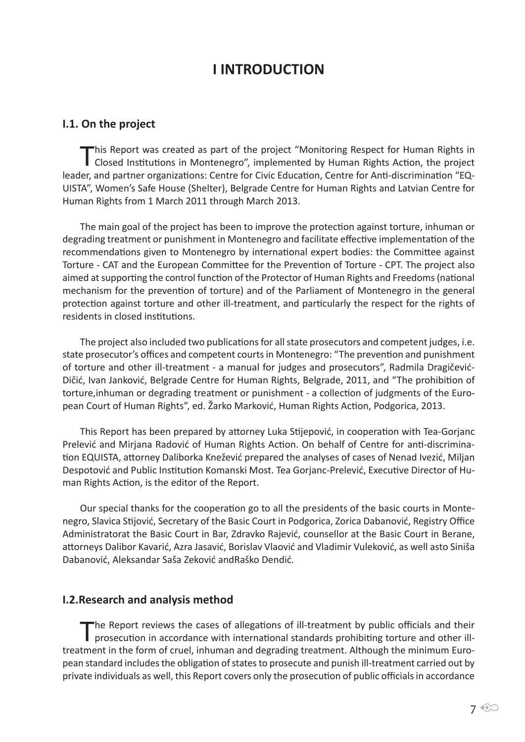# **I INTRODUCTION**

#### **I.1. On the project**

This Report was created as part of the project "Monitoring Respect for Human Rights in Closed Institutions in Montenegro", implemented by Human Rights Action, the project leader, and partner organizations: Centre for Civic Education, Centre for Anti-discrimination "EQ-UISTA", Women's Safe House (Shelter), Belgrade Centre for Human Rights and Latvian Centre for Human Rights from 1 March 2011 through March 2013.

The main goal of the project has been to improve the protection against torture, inhuman or degrading treatment or punishment in Montenegro and facilitate effective implementation of the recommendations given to Montenegro by international expert bodies: the Committee against Torture - CAT and the European Committee for the Prevention of Torture - CPT. The project also aimed at supporting the control function of the Protector of Human Rights and Freedoms (national mechanism for the prevention of torture) and of the Parliament of Montenegro in the general protection against torture and other ill-treatment, and particularly the respect for the rights of residents in closed institutions.

The project also included two publications for all state prosecutors and competent judges, i.e. state prosecutor's offices and competent courts in Montenegro: "The prevention and punishment of torture and other ill-treatment - a manual for judges and prosecutors", Radmila Dragičević-Dičić, Ivan Janković, Belgrade Centre for Human Rights, Belgrade, 2011, and "The prohibition of torture,inhuman or degrading treatment or punishment - a collection of judgments of the European Court of Human Rights", ed. Žarko Marković, Human Rights Action, Podgorica, 2013.

This Report has been prepared by attorney Luka Stijepović, in cooperation with Tea-Gorjanc Prelević and Mirjana Radović of Human Rights Action. On behalf of Centre for anti-discrimination EQUISTA, attorney Daliborka Knežević prepared the analyses of cases of Nenad Ivezić, Miljan Despotović and Public Institution Komanski Most. Tea Gorjanc-Prelević, Executive Director of Human Rights Action, is the editor of the Report.

Our special thanks for the cooperation go to all the presidents of the basic courts in Montenegro, Slavica Stijović, Secretary of the Basic Court in Podgorica, Zorica Dabanović, Registry Office Administratorat the Basic Court in Bar, Zdravko Rajević, counsellor at the Basic Court in Berane, attorneys Dalibor Kavarić, Azra Jasavić, Borislav Vlaović and Vladimir Vuleković, as well asto Siniša Dabanović, Aleksandar Saša Zeković andRaško Dendić.

#### **I.2.Research and analysis method**

The Report reviews the cases of allegations of ill-treatment by public officials and their prosecution in accordance with international standards prohibiting torture and other illtreatment in the form of cruel, inhuman and degrading treatment. Although the minimum European standard includes the obligation of states to prosecute and punish ill-treatment carried out by private individuals as well, this Report covers only the prosecution of public officials in accordance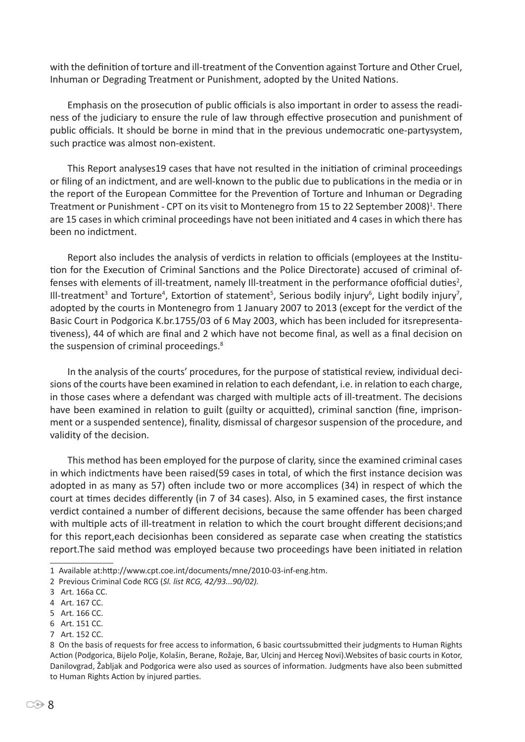with the definition of torture and ill-treatment of the Convention against Torture and Other Cruel, Inhuman or Degrading Treatment or Punishment, adopted by the United Nations.

Emphasis on the prosecution of public officials is also important in order to assess the readiness of the judiciary to ensure the rule of law through effective prosecution and punishment of public officials. It should be borne in mind that in the previous undemocratic one-partysystem, such practice was almost non-existent.

This Report analyses19 cases that have not resulted in the initiation of criminal proceedings or filing of an indictment, and are well-known to the public due to publications in the media or in the report of the European Committee for the Prevention of Torture and Inhuman or Degrading Treatment or Punishment - CPT on its visit to Montenegro from 15 to 22 September 2008)<sup>1</sup>. There are 15 cases in which criminal proceedings have not been initiated and 4 cases in which there has been no indictment.

Report also includes the analysis of verdicts in relation to officials (employees at the Institution for the Execution of Criminal Sanctions and the Police Directorate) accused of criminal offenses with elements of ill-treatment, namely Ill-treatment in the performance ofofficial duties<sup>2</sup>, Ill-treatment<sup>3</sup> and Torture<sup>4</sup>, Extortion of statement<sup>5</sup>, Serious bodily injury<sup>6</sup>, Light bodily injury<sup>7</sup>, adopted by the courts in Montenegro from 1 January 2007 to 2013 (except for the verdict of the Basic Court in Podgorica K.br.1755/03 of 6 May 2003, which has been included for itsrepresentativeness), 44 of which are final and 2 which have not become final, as well as a final decision on the suspension of criminal proceedings.<sup>8</sup>

In the analysis of the courts' procedures, for the purpose of statistical review, individual decisions of the courts have been examined in relation to each defendant, i.e. in relation to each charge, in those cases where a defendant was charged with multiple acts of ill-treatment. The decisions have been examined in relation to guilt (guilty or acquitted), criminal sanction (fine, imprisonment or a suspended sentence), finality, dismissal of chargesor suspension of the procedure, and validity of the decision.

This method has been employed for the purpose of clarity, since the examined criminal cases in which indictments have been raised(59 cases in total, of which the first instance decision was adopted in as many as 57) often include two or more accomplices (34) in respect of which the court at times decides differently (in 7 of 34 cases). Also, in 5 examined cases, the first instance verdict contained a number of different decisions, because the same offender has been charged with multiple acts of ill-treatment in relation to which the court brought different decisions;and for this report,each decisionhas been considered as separate case when creating the statistics report.The said method was employed because two proceedings have been initiated in relation

7 Art. 152 CC.

<sup>1</sup> Available at:http://www.cpt.coe.int/documents/mne/2010-03-inf-eng.htm.

<sup>2</sup> Previous Criminal Code RCG (*Sl. list RCG, 42/93...90/02).*

<sup>3</sup> Art. 166a CC.

<sup>4</sup> Art. 167 CC.

<sup>5</sup> Art. 166 CC.

<sup>6</sup> Art. 151 CC.

<sup>8</sup> On the basis of requests for free access to information, 6 basic courtssubmitted their judgments to Human Rights Action (Podgorica, Bijelo Polje, Kolašin, Berane, Rožaje, Bar, Ulcinj and Herceg Novi).Websites of basic courts in Kotor, Danilovgrad, Žabljak and Podgorica were also used as sources of information. Judgments have also been submitted to Human Rights Action by injured parties.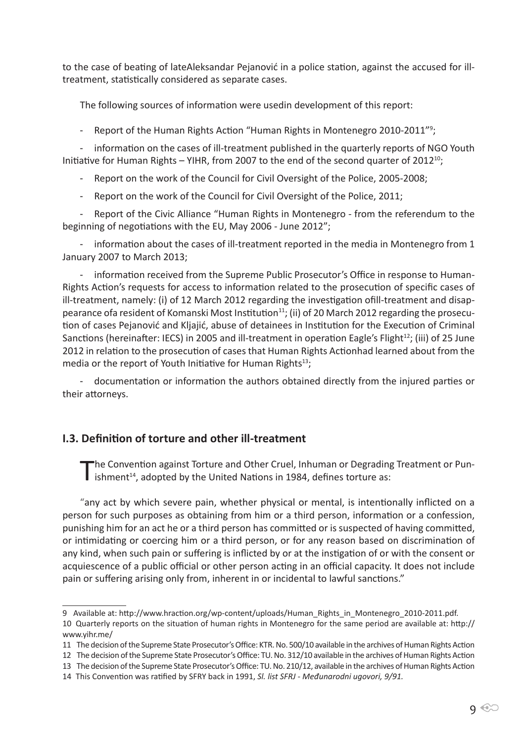to the case of beating of lateAleksandar Pejanović in a police station, against the accused for illtreatment, statistically considered as separate cases.

The following sources of information were usedin development of this report:

- Report of the Human Rights Action "Human Rights in Montenegro 2010-2011"<sup>9</sup>;

- information on the cases of ill-treatment published in the quarterly reports of NGO Youth Initiative for Human Rights – YIHR, from 2007 to the end of the second quarter of 2012<sup>10</sup>;

- Report on the work of the Council for Civil Oversight of the Police, 2005-2008;

- Report on the work of the Council for Civil Oversight of the Police, 2011;

- Report of the Civic Alliance "Human Rights in Montenegro - from the referendum to the beginning of negotiations with the EU, May 2006 - June 2012";

- information about the cases of ill-treatment reported in the media in Montenegro from 1 January 2007 to March 2013;

- information received from the Supreme Public Prosecutor's Office in response to Human-Rights Action's requests for access to information related to the prosecution of specific cases of ill-treatment, namely: (i) of 12 March 2012 regarding the investigation ofill-treatment and disappearance ofa resident of Komanski Most Institution<sup>11</sup>; (ii) of 20 March 2012 regarding the prosecution of cases Pejanović and Kljajić, abuse of detainees in Institution for the Execution of Criminal Sanctions (hereinafter: IECS) in 2005 and ill-treatment in operation Eagle's Flight<sup>12</sup>; (iii) of 25 June 2012 in relation to the prosecution of cases that Human Rights Actionhad learned about from the media or the report of Youth Initiative for Human Rights $^{13}$ :

- documentation or information the authors obtained directly from the injured parties or their attorneys.

#### **I.3. Definition of torture and other ill-treatment**

The Convention against Torture and Other Cruel, Inhuman or Degrading Treatment or Pun-<br>ishment<sup>14</sup>, adopted by the United Nations in 1984, defines torture as:

"any act by which severe pain, whether physical or mental, is intentionally inflicted on a person for such purposes as obtaining from him or a third person, information or a confession, punishing him for an act he or a third person has committed or is suspected of having committed, or intimidating or coercing him or a third person, or for any reason based on discrimination of any kind, when such pain or suffering is inflicted by or at the instigation of or with the consent or acquiescence of a public official or other person acting in an official capacity. It does not include pain or suffering arising only from, inherent in or incidental to lawful sanctions."

<sup>9</sup> Available at: http://www.hraction.org/wp-content/uploads/Human\_Rights\_in\_Montenegro\_2010-2011.pdf. 10 Quarterly reports on the situation of human rights in Montenegro for the same period are available at: http:// www.yihr.me/

<sup>11</sup> The decision of the Supreme State Prosecutor's Office: KTR. No. 500/10 available in the archives of Human Rights Action

<sup>12</sup> The decision of the Supreme State Prosecutor's Office: TU. No. 312/10 available in the archives of Human Rights Action

<sup>13</sup> The decision of the Supreme State Prosecutor's Office: TU. No. 210/12, available in the archives of Human Rights Action

<sup>14</sup> This Convention was ratified by SFRY back in 1991, *Sl. list SFRJ - Međunarodni ugovori, 9/91.*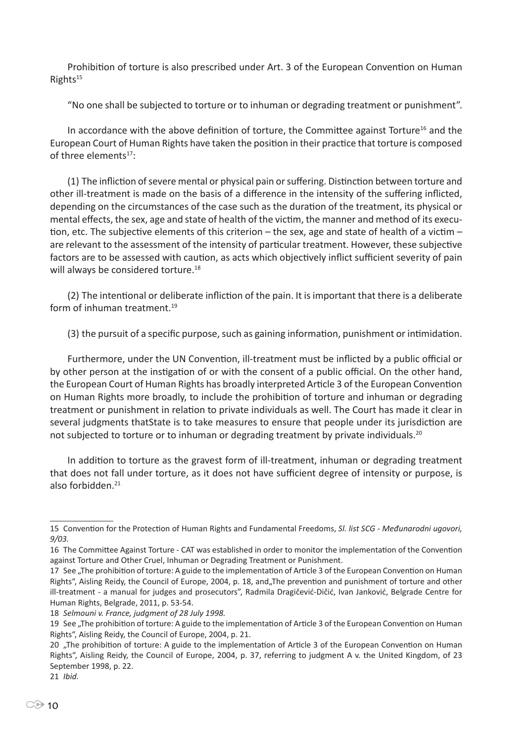Prohibition of torture is also prescribed under Art. 3 of the European Convention on Human Rights<sup>15</sup>

"No one shall be subjected to torture or to inhuman or degrading treatment or punishment".

In accordance with the above definition of torture, the Committee against Torture<sup>16</sup> and the European Court of Human Rights have taken the position in their practice that torture is composed of three elements<sup>17</sup>:

(1) The infliction of severe mental or physical pain or suffering. Distinction between torture and other ill-treatment is made on the basis of a difference in the intensity of the suffering inflicted, depending on the circumstances of the case such as the duration of the treatment, its physical or mental effects, the sex, age and state of health of the victim, the manner and method of its execution, etc. The subjective elements of this criterion – the sex, age and state of health of a victim – are relevant to the assessment of the intensity of particular treatment. However, these subjective factors are to be assessed with caution, as acts which objectively inflict sufficient severity of pain will always be considered torture.<sup>18</sup>

(2) The intentional or deliberate infliction of the pain. It is important that there is a deliberate form of inhuman treatment.<sup>19</sup>

(3) the pursuit of a specific purpose, such as gaining information, punishment or intimidation.

Furthermore, under the UN Convention, ill-treatment must be inflicted by a public official or by other person at the instigation of or with the consent of a public official. On the other hand, the European Court of Human Rights has broadly interpreted Article 3 of the European Convention on Human Rights more broadly, to include the prohibition of torture and inhuman or degrading treatment or punishment in relation to private individuals as well. The Court has made it clear in several judgments thatState is to take measures to ensure that people under its jurisdiction are not subjected to torture or to inhuman or degrading treatment by private individuals.<sup>20</sup>

In addition to torture as the gravest form of ill-treatment, inhuman or degrading treatment that does not fall under torture, as it does not have sufficient degree of intensity or purpose, is also forbidden $21$ 

18 *Selmouni v. France, judgment of 28 July 1998.*

<sup>15</sup> Convention for the Protection of Human Rights and Fundamental Freedoms, *Sl. list SCG - Međunarodni ugovori, 9/03.*

<sup>16</sup> The Committee Against Torture - CAT was established in order to monitor the implementation of the Convention against Torture and Other Cruel, Inhuman or Degrading Treatment or Punishment.

<sup>17</sup> See "The prohibition of torture: A guide to the implementation of Article 3 of the European Convention on Human Rights", Aisling Reidy, the Council of Europe, 2004, p. 18, and The prevention and punishment of torture and other ill-treatment - a manual for judges and prosecutors", Radmila Dragičević-Dičić, Ivan Janković, Belgrade Centre for Human Rights, Belgrade, 2011, p. 53-54.

<sup>19</sup> See ..The prohibition of torture: A guide to the implementation of Article 3 of the European Convention on Human Rights", Aisling Reidy, the Council of Europe, 2004, p. 21.

<sup>20 .</sup>The prohibition of torture: A guide to the implementation of Article 3 of the European Convention on Human Rights", Aisling Reidy, the Council of Europe, 2004, p. 37, referring to judgment A v. the United Kingdom, of 23 September 1998, p. 22.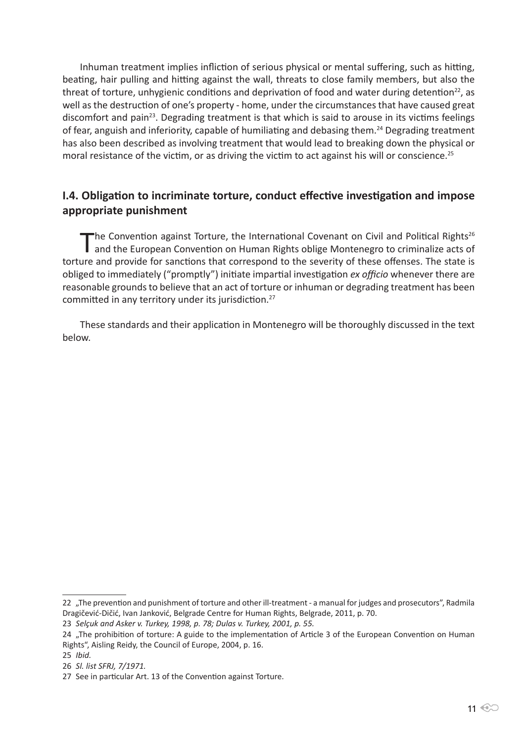Inhuman treatment implies infliction of serious physical or mental suffering, such as hitting, beating, hair pulling and hitting against the wall, threats to close family members, but also the threat of torture, unhygienic conditions and deprivation of food and water during detention<sup>22</sup>, as well as the destruction of one's property - home, under the circumstances that have caused great discomfort and pain<sup>23</sup>. Degrading treatment is that which is said to arouse in its victims feelings of fear, anguish and inferiority, capable of humiliating and debasing them.<sup>24</sup> Degrading treatment has also been described as involving treatment that would lead to breaking down the physical or moral resistance of the victim, or as driving the victim to act against his will or conscience.<sup>25</sup>

# **I.4. Obligation to incriminate torture, conduct effective investigation and impose appropriate punishment**

The Convention against Torture, the International Covenant on Civil and Political Rights<sup>26</sup><br>and the European Convention on Human Rights oblige Montenegro to criminalize acts of torture and provide for sanctions that correspond to the severity of these offenses. The state is obliged to immediately ("promptly") initiate impartial investigation *ex officio* whenever there are reasonable grounds to believe that an act of torture or inhuman or degrading treatment has been committed in any territory under its jurisdiction.<sup>27</sup>

These standards and their application in Montenegro will be thoroughly discussed in the text below.

<sup>22 &</sup>quot;The prevention and punishment of torture and other ill-treatment - a manual for judges and prosecutors", Radmila Dragičević-Dičić, Ivan Janković, Belgrade Centre for Human Rights, Belgrade, 2011, p. 70.

<sup>23</sup> *Selçuk and Asker v. Turkey, 1998, p. 78; Dulas v. Turkey, 2001, p. 55.*

<sup>24 &</sup>quot;The prohibition of torture: A guide to the implementation of Article 3 of the European Convention on Human Rights", Aisling Reidy, the Council of Europe, 2004, p. 16.

<sup>25</sup> *Ibid.*

<sup>26</sup> *Sl. list SFRJ, 7/1971.*

<sup>27</sup> See in particular Art. 13 of the Convention against Torture.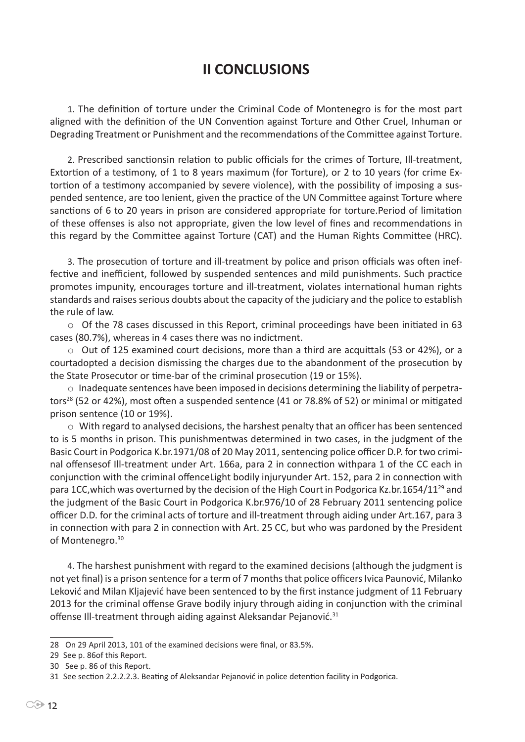# **II CONCLUSIONS**

1. The definition of torture under the Criminal Code of Montenegro is for the most part aligned with the definition of the UN Convention against Torture and Other Cruel, Inhuman or Degrading Treatment or Punishment and the recommendations of the Committee against Torture.

2. Prescribed sanctionsin relation to public officials for the crimes of Torture, Ill-treatment, Extortion of a testimony, of 1 to 8 years maximum (for Torture), or 2 to 10 years (for crime Extortion of a testimony accompanied by severe violence), with the possibility of imposing a suspended sentence, are too lenient, given the practice of the UN Committee against Torture where sanctions of 6 to 20 years in prison are considered appropriate for torture.Period of limitation of these offenses is also not appropriate, given the low level of fines and recommendations in this regard by the Committee against Torture (CAT) and the Human Rights Committee (HRC).

3. The prosecution of torture and ill-treatment by police and prison officials was often ineffective and inefficient, followed by suspended sentences and mild punishments. Such practice promotes impunity, encourages torture and ill-treatment, violates international human rights standards and raises serious doubts about the capacity of the judiciary and the police to establish the rule of law.

o Of the 78 cases discussed in this Report, criminal proceedings have been initiated in 63 cases (80.7%), whereas in 4 cases there was no indictment.

 $\circ$  Out of 125 examined court decisions, more than a third are acquittals (53 or 42%), or a courtadopted a decision dismissing the charges due to the abandonment of the prosecution by the State Prosecutor or time-bar of the criminal prosecution (19 or 15%).

o Inadequate sentences have been imposed in decisions determining the liability of perpetrators<sup>28</sup> (52 or 42%), most often a suspended sentence (41 or 78.8% of 52) or minimal or mitigated prison sentence (10 or 19%).

 $\circ$  With regard to analysed decisions, the harshest penalty that an officer has been sentenced to is 5 months in prison. This punishmentwas determined in two cases, in the judgment of the Basic Court in Podgorica K.br.1971/08 of 20 May 2011, sentencing police officer D.P. for two criminal offensesof Ill-treatment under Art. 166a, para 2 in connection withpara 1 of the CC each in conjunction with the criminal offenceLight bodily injuryunder Art. 152, para 2 in connection with para 1CC,which was overturned by the decision of the High Court in Podgorica Kz.br.1654/1129 and the judgment of the Basic Court in Podgorica K.br.976/10 of 28 February 2011 sentencing police officer D.D. for the criminal acts of torture and ill-treatment through aiding under Art.167, para 3 in connection with para 2 in connection with Art. 25 CC, but who was pardoned by the President of Montenegro.<sup>30</sup>

4. The harshest punishment with regard to the examined decisions (although the judgment is not yet final) is a prison sentence for a term of 7 months that police officers Ivica Paunović, Milanko Leković and Milan Kljajević have been sentenced to by the first instance judgment of 11 February 2013 for the criminal offense Grave bodily injury through aiding in conjunction with the criminal offense III-treatment through aiding against Aleksandar Pejanović.<sup>31</sup>

<sup>28</sup> On 29 April 2013, 101 of the examined decisions were final, or 83.5%.

<sup>29</sup> See p. 86of this Report.

<sup>30</sup> See p. 86 of this Report.

<sup>31</sup> See section 2.2.2.2.3. Beating of Aleksandar Pejanović in police detention facility in Podgorica.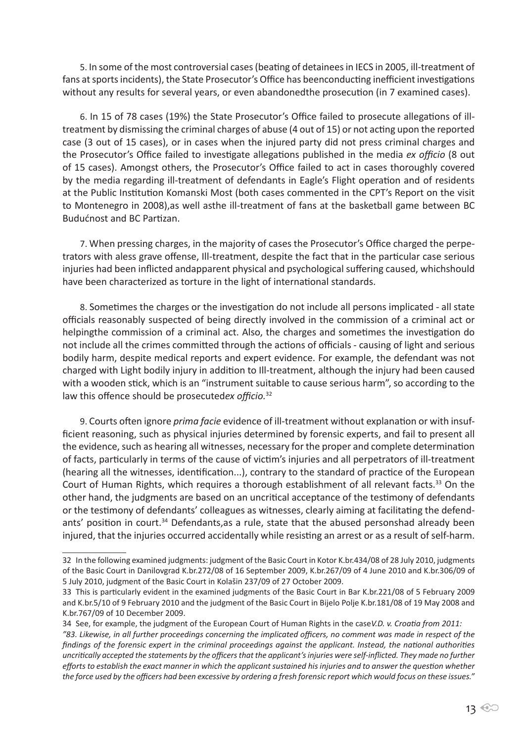5. In some of the most controversial cases (beating of detainees in IECS in 2005, ill-treatment of fans at sports incidents), the State Prosecutor's Office has beenconducting inefficient investigations without any results for several years, or even abandonedthe prosecution (in 7 examined cases).

6. In 15 of 78 cases (19%) the State Prosecutor's Office failed to prosecute allegations of illtreatment by dismissing the criminal charges of abuse (4 out of 15) or not acting upon the reported case (3 out of 15 cases), or in cases when the injured party did not press criminal charges and the Prosecutor's Office failed to investigate allegations published in the media *ex officio* (8 out of 15 cases). Amongst others, the Prosecutor's Office failed to act in cases thoroughly covered by the media regarding ill-treatment of defendants in Eagle's Flight operation and of residents at the Public Institution Komanski Most (both cases commented in the CPT's Report on the visit to Montenegro in 2008),as well asthe ill-treatment of fans at the basketball game between BC Budućnost and BC Partizan.

7. When pressing charges, in the majority of cases the Prosecutor's Office charged the perpetrators with aless grave offense, Ill-treatment, despite the fact that in the particular case serious injuries had been inflicted andapparent physical and psychological suffering caused, whichshould have been characterized as torture in the light of international standards.

8. Sometimes the charges or the investigation do not include all persons implicated - all state officials reasonably suspected of being directly involved in the commission of a criminal act or helpingthe commission of a criminal act. Also, the charges and sometimes the investigation do not include all the crimes committed through the actions of officials - causing of light and serious bodily harm, despite medical reports and expert evidence. For example, the defendant was not charged with Light bodily injury in addition to Ill-treatment, although the injury had been caused with a wooden stick, which is an "instrument suitable to cause serious harm", so according to the law this offence should be prosecuted*ex officio.*<sup>32</sup>

9. Courts often ignore *prima facie* evidence of ill-treatment without explanation or with insufficient reasoning, such as physical injuries determined by forensic experts, and fail to present all the evidence, such as hearing all witnesses, necessary for the proper and complete determination of facts, particularly in terms of the cause of victim's injuries and all perpetrators of ill-treatment (hearing all the witnesses, identification...), contrary to the standard of practice of the European Court of Human Rights, which requires a thorough establishment of all relevant facts.<sup>33</sup> On the other hand, the judgments are based on an uncritical acceptance of the testimony of defendants or the testimony of defendants' colleagues as witnesses, clearly aiming at facilitating the defendants' position in court.<sup>34</sup> Defendants, as a rule, state that the abused personshad already been injured, that the injuries occurred accidentally while resisting an arrest or as a result of self-harm.

<sup>32</sup> In the following examined judgments: judgment of the Basic Court in Kotor K.br.434/08 of 28 July 2010, judgments of the Basic Court in Danilovgrad K.br.272/08 of 16 September 2009, K.br.267/09 of 4 June 2010 and K.br.306/09 of 5 July 2010, judgment of the Basic Court in Kolašin 237/09 of 27 October 2009.

<sup>33</sup> This is particularly evident in the examined judgments of the Basic Court in Bar K.br.221/08 of 5 February 2009 and K.br.5/10 of 9 February 2010 and the judgment of the Basic Court in Bijelo Polje K.br.181/08 of 19 May 2008 and K.br.767/09 of 10 December 2009.

<sup>34</sup> See, for example, the judgment of the European Court of Human Rights in the case*V.D. v. Croatia from 2011:* 

*<sup>&</sup>quot;83. Likewise, in all further proceedings concerning the implicated officers, no comment was made in respect of the findings of the forensic expert in the criminal proceedings against the applicant. Instead, the national authorities uncritically accepted the statements by the officers that the applicant's injuries were self-inflicted. They made no further efforts to establish the exact manner in which the applicant sustained his injuries and to answer the question whether the force used by the officers had been excessive by ordering a fresh forensic report which would focus on these issues."*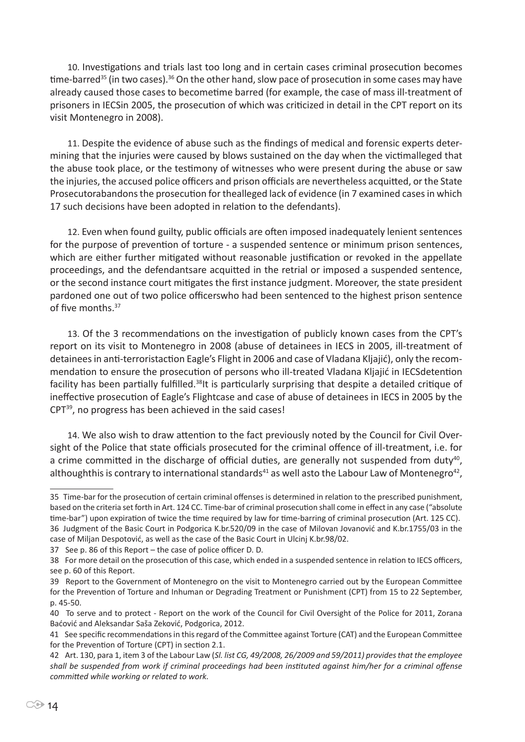10. Investigations and trials last too long and in certain cases criminal prosecution becomes time-barred<sup>35</sup> (in two cases).<sup>36</sup> On the other hand, slow pace of prosecution in some cases may have already caused those cases to becometime barred (for example, the case of mass ill-treatment of prisoners in IECSin 2005, the prosecution of which was criticized in detail in the CPT report on its visit Montenegro in 2008).

11. Despite the evidence of abuse such as the findings of medical and forensic experts determining that the injuries were caused by blows sustained on the day when the victimalleged that the abuse took place, or the testimony of witnesses who were present during the abuse or saw the injuries, the accused police officers and prison officials are nevertheless acquitted, or the State Prosecutorabandons the prosecution for thealleged lack of evidence (in 7 examined cases in which 17 such decisions have been adopted in relation to the defendants).

12. Even when found guilty, public officials are often imposed inadequately lenient sentences for the purpose of prevention of torture - a suspended sentence or minimum prison sentences, which are either further mitigated without reasonable justification or revoked in the appellate proceedings, and the defendantsare acquitted in the retrial or imposed a suspended sentence, or the second instance court mitigates the first instance judgment. Moreover, the state president pardoned one out of two police officerswho had been sentenced to the highest prison sentence of five months.<sup>37</sup>

13. Of the 3 recommendations on the investigation of publicly known cases from the CPT's report on its visit to Montenegro in 2008 (abuse of detainees in IECS in 2005, ill-treatment of detainees in anti-terroristaction Eagle's Flight in 2006 and case of Vladana Kljajić), only the recommendation to ensure the prosecution of persons who ill-treated Vladana Kljajić in IECSdetention facility has been partially fulfilled.38It is particularly surprising that despite a detailed critique of ineffective prosecution of Eagle's Flightcase and case of abuse of detainees in IECS in 2005 by the CPT39, no progress has been achieved in the said cases!

14. We also wish to draw attention to the fact previously noted by the Council for Civil Oversight of the Police that state officials prosecuted for the criminal offence of ill-treatment, i.e. for a crime committed in the discharge of official duties, are generally not suspended from duty<sup>40</sup>, althoughthis is contrary to international standards<sup>41</sup> as well asto the Labour Law of Montenegro<sup>42</sup>,

<sup>35</sup> Time-bar for the prosecution of certain criminal offenses is determined in relation to the prescribed punishment, based on the criteria set forth in Art. 124 CC. Time-bar of criminal prosecution shall come in effect in any case ("absolute time-bar") upon expiration of twice the time required by law for time-barring of criminal prosecution (Art. 125 CC). 36 Judgment of the Basic Court in Podgorica K.br.520/09 in the case of Milovan Jovanović and K.br.1755/03 in the case of Miljan Despotović, as well as the case of the Basic Court in Ulcinj K.br.98/02.

<sup>37</sup> See p. 86 of this Report – the case of police officer D. D.

<sup>38</sup> For more detail on the prosecution of this case, which ended in a suspended sentence in relation to IECS officers, see p. 60 of this Report.

<sup>39</sup> Report to the Government of Montenegro on the visit to Montenegro carried out by the European Committee for the Prevention of Torture and Inhuman or Degrading Treatment or Punishment (CPT) from 15 to 22 September, p. 45-50.

<sup>40</sup> To serve and to protect - Report on the work of the Council for Civil Oversight of the Police for 2011, Zorana Baćović and Aleksandar Saša Zeković, Podgorica, 2012.

<sup>41</sup> See specific recommendations in this regard of the Committee against Torture (CAT) and the European Committee for the Prevention of Torture (CPT) in section 2.1.

<sup>42</sup> Art. 130, para 1, item 3 of the Labour Law (*Sl. list CG, 49/2008, 26/2009 and 59/2011) provides that the employee shall be suspended from work if criminal proceedings had been instituted against him/her for a criminal offense committed while working or related to work.*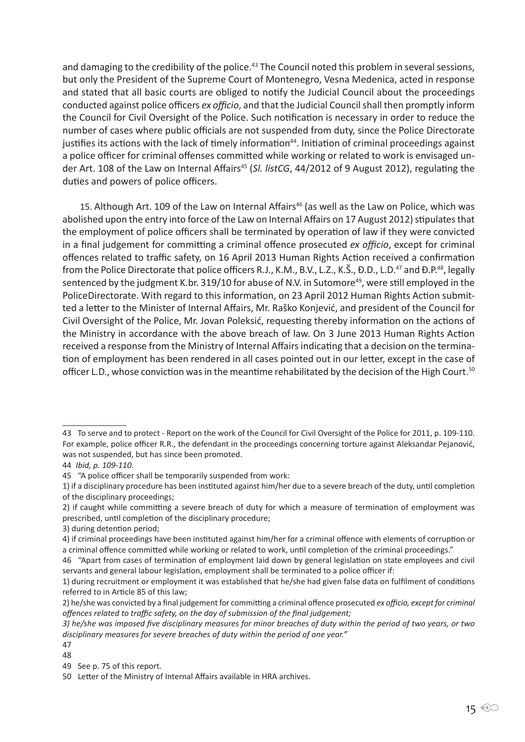and damaging to the credibility of the police.<sup>43</sup> The Council noted this problem in several sessions, but only the President of the Supreme Court of Montenegro, Vesna Medenica, acted in response and stated that all basic courts are obliged to notify the Judicial Council about the proceedings conducted against police officers *ex officio*, and that the Judicial Council shall then promptly inform the Council for Civil Oversight of the Police. Such notification is necessary in order to reduce the number of cases where public officials are not suspended from duty, since the Police Directorate justifies its actions with the lack of timely information<sup>44</sup>. Initiation of criminal proceedings against a police officer for criminal offenses committed while working or related to work is envisaged under Art. 108 of the Law on Internal Affairs<sup>45</sup> (Sl. listCG, 44/2012 of 9 August 2012), regulating the duties and powers of police officers.

15. Although Art. 109 of the Law on Internal Affairs<sup>46</sup> (as well as the Law on Police, which was abolished upon the entry into force of the Law on Internal Affairs on 17 August 2012) stipulates that the employment of police officers shall be terminated by operation of law if they were convicted in a final judgement for committing a criminal offence prosecuted *ex officio*, except for criminal offences related to traffic safety, on 16 April 2013 Human Rights Action received a confirmation from the Police Directorate that police officers R.J., K.M., B.V., L.Z., K.Š., Đ.D., L.D.<sup>47</sup> and Đ.P.<sup>48</sup>, legally sentenced by the judgment K.br. 319/10 for abuse of N.V. in Sutomore<sup>49</sup>, were still employed in the PoliceDirectorate. With regard to this information, on 23 April 2012 Human Rights Action submitted a letter to the Minister of Internal Affairs, Mr. Raško Konjević, and president of the Council for Civil Oversight of the Police, Mr. Jovan Poleksić, requesting thereby information on the actions of the Ministry in accordance with the above breach of law. On 3 June 2013 Human Rights Action received a response from the Ministry of Internal Affairs indicating that a decision on the termination of employment has been rendered in all cases pointed out in our letter, except in the case of officer L.D., whose conviction was in the meantime rehabilitated by the decision of the High Court.<sup>50</sup>

3) during detention period;

<sup>43</sup> To serve and to protect - Report on the work of the Council for Civil Oversight of the Police for 2011, p. 109-110. For example, police officer R.R., the defendant in the proceedings concerning torture against Aleksandar Pejanović, was not suspended, but has since been promoted.

<sup>44</sup> *Ibid, p. 109-110.*

<sup>45 &</sup>quot;A police officer shall be temporarily suspended from work:

<sup>1)</sup> if a disciplinary procedure has been instituted against him/her due to a severe breach of the duty, until completion of the disciplinary proceedings;

<sup>2)</sup> if caught while committing a severe breach of duty for which a measure of termination of employment was prescribed, until completion of the disciplinary procedure;

<sup>4)</sup> if criminal proceedings have been instituted against him/her for a criminal offence with elements of corruption or a criminal offence committed while working or related to work, until completion of the criminal proceedings."

<sup>46 &</sup>quot;Apart from cases of termination of employment laid down by general legislation on state employees and civil servants and general labour legislation, employment shall be terminated to a police officer if:

<sup>1)</sup> during recruitment or employment it was established that he/she had given false data on fulfilment of conditions referred to in Article 85 of this law;

<sup>2)</sup> he/she was convicted by a final judgement for committing a criminal offence prosecuted *ex officio, except for criminal offences related to traffic safety, on the day of submission of the final judgement;*

*<sup>3)</sup> he/she was imposed five disciplinary measures for minor breaches of duty within the period of two years, or two disciplinary measures for severe breaches of duty within the period of one year."*

<sup>47</sup>

<sup>48</sup>

<sup>49</sup> See p. 75 of this report.

<sup>50</sup> Letter of the Ministry of Internal Affairs available in HRA archives.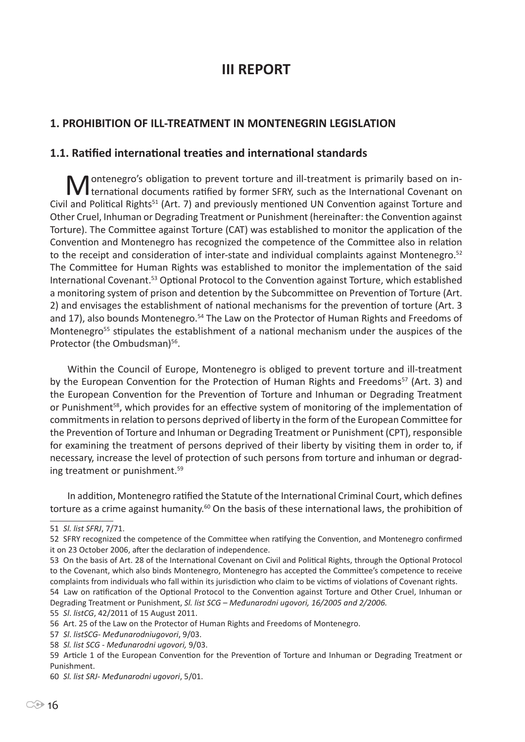# **III REPORT**

# **1. PROHIBITION OF ILL-TREATMENT IN MONTENEGRIN LEGISLATION**

#### **1.1. Ratified international treaties and international standards**

Montenegro's obligation to prevent torture and ill-treatment is primarily based on in-<br>Mernational documents ratified by former SFRY, such as the International Covenant on Civil and Political Rights51 (Art. 7) and previously mentioned UN Convention against Torture and Other Cruel, Inhuman or Degrading Treatment or Punishment (hereinafter: the Convention against Torture). The Committee against Torture (CAT) was established to monitor the application of the Convention and Montenegro has recognized the competence of the Committee also in relation to the receipt and consideration of inter-state and individual complaints against Montenegro.<sup>52</sup> The Committee for Human Rights was established to monitor the implementation of the said International Covenant.53 Optional Protocol to the Convention against Torture, which established a monitoring system of prison and detention by the Subcommittee on Prevention of Torture (Art. 2) and envisages the establishment of national mechanisms for the prevention of torture (Art. 3 and 17), also bounds Montenegro.<sup>54</sup> The Law on the Protector of Human Rights and Freedoms of Montenegro<sup>55</sup> stipulates the establishment of a national mechanism under the auspices of the Protector (the Ombudsman)<sup>56</sup>.

Within the Council of Europe, Montenegro is obliged to prevent torture and ill-treatment by the European Convention for the Protection of Human Rights and Freedoms<sup>57</sup> (Art. 3) and the European Convention for the Prevention of Torture and Inhuman or Degrading Treatment or Punishment<sup>58</sup>, which provides for an effective system of monitoring of the implementation of commitments in relation to persons deprived of liberty in the form of the European Committee for the Prevention of Torture and Inhuman or Degrading Treatment or Punishment (CPT), responsible for examining the treatment of persons deprived of their liberty by visiting them in order to, if necessary, increase the level of protection of such persons from torture and inhuman or degrading treatment or punishment.<sup>59</sup>

In addition, Montenegro ratified the Statute of the International Criminal Court, which defines torture as a crime against humanity.<sup>60</sup> On the basis of these international laws, the prohibition of

55 *Sl*. *listCG*, 42/2011 of 15 August 2011.

<sup>51</sup> *Sl. list SFRJ*, 7/71.

<sup>52</sup> SFRY recognized the competence of the Committee when ratifying the Convention, and Montenegro confirmed it on 23 October 2006, after the declaration of independence.

<sup>53</sup> On the basis of Art. 28 of the International Covenant on Civil and Political Rights, through the Optional Protocol to the Covenant, which also binds Montenegro, Montenegro has accepted the Committee's competence to receive complaints from individuals who fall within its jurisdiction who claim to be victims of violations of Covenant rights.

<sup>54</sup> Law on ratification of the Optional Protocol to the Convention against Torture and Other Cruel, Inhuman or Degrading Treatment or Punishment, *Sl. list SCG – Međunarodni ugovori, 16/2005 and 2/2006.*

<sup>56</sup> Art. 25 of the Law on the Protector of Human Rights and Freedoms of Montenegro.

<sup>57</sup> *Sl*. *listSCG*- *Međunarodniugovori*, 9/03.

<sup>58</sup> *Sl. list SCG - Međunarodni ugovori,* 9/03.

<sup>59</sup> Article 1 of the European Convention for the Prevention of Torture and Inhuman or Degrading Treatment or Punishment.

<sup>60</sup> *Sl. list SRJ- Međunarodni ugovori*, 5/01.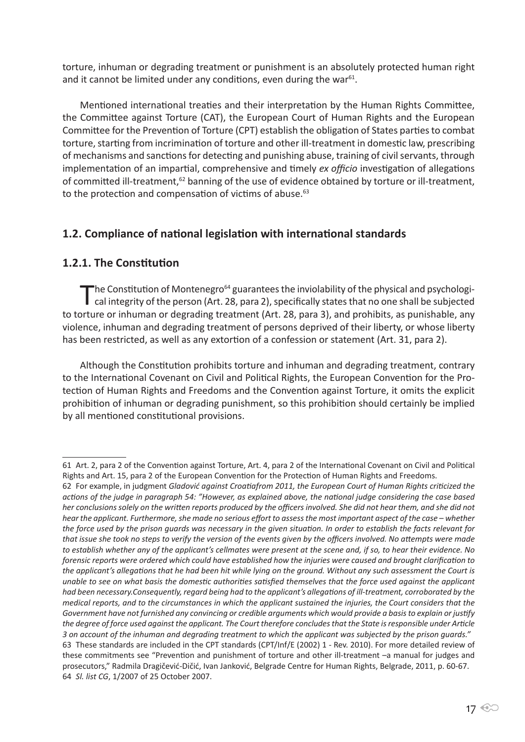torture, inhuman or degrading treatment or punishment is an absolutely protected human right and it cannot be limited under any conditions, even during the war<sup>61</sup>.

Mentioned international treaties and their interpretation by the Human Rights Committee, the Committee against Torture (CAT), the European Court of Human Rights and the European Committee for the Prevention of Torture (CPT) establish the obligation of States parties to combat torture, starting from incrimination of torture and other ill-treatment in domestic law, prescribing of mechanisms and sanctions for detecting and punishing abuse, training of civil servants, through implementation of an impartial, comprehensive and timely *ex officio* investigation of allegations of committed ill-treatment,<sup>62</sup> banning of the use of evidence obtained by torture or ill-treatment, to the protection and compensation of victims of abuse.<sup>63</sup>

# **1.2. Compliance of national legislation with international standards**

# **1.2.1. The Constitution**

The Constitution of Montenegro<sup>64</sup> guarantees the inviolability of the physical and psychologi-<br>cal integrity of the person (Art. 28, para 2), specifically states that no one shall be subjected to torture or inhuman or degrading treatment (Art. 28, para 3), and prohibits, as punishable, any violence, inhuman and degrading treatment of persons deprived of their liberty, or whose liberty has been restricted, as well as any extortion of a confession or statement (Art. 31, para 2).

Although the Constitution prohibits torture and inhuman and degrading treatment, contrary to the International Covenant on Civil and Political Rights, the European Convention for the Protection of Human Rights and Freedoms and the Convention against Torture, it omits the explicit prohibition of inhuman or degrading punishment, so this prohibition should certainly be implied by all mentioned constitutional provisions.

<sup>61</sup> Art. 2, para 2 of the Convention against Torture, Art. 4, para 2 of the International Covenant on Civil and Political Rights and Art. 15, para 2 of the European Convention for the Protection of Human Rights and Freedoms.

<sup>62</sup> For example, in judgment *Gladović against Croatiafrom 2011, the European Court of Human Rights criticized the actions of the judge in paragraph 54: "However, as explained above, the national judge considering the case based her conclusions solely on the written reports produced by the officers involved. She did not hear them, and she did not hear the applicant. Furthermore, she made no serious effort to assess the most important aspect of the case – whether the force used by the prison guards was necessary in the given situation. In order to establish the facts relevant for that issue she took no steps to verify the version of the events given by the officers involved. No attempts were made to establish whether any of the applicant's cellmates were present at the scene and, if so, to hear their evidence. No forensic reports were ordered which could have established how the injuries were caused and brought clarification to the applicant's allegations that he had been hit while lying on the ground. Without any such assessment the Court is unable to see on what basis the domestic authorities satisfied themselves that the force used against the applicant had been necessary.Consequently, regard being had to the applicant's allegations of ill-treatment, corroborated by the medical reports, and to the circumstances in which the applicant sustained the injuries, the Court considers that the Government have not furnished any convincing or credible arguments which would provide a basis to explain or justify the degree of force used against the applicant. The Court therefore concludes that the State is responsible under Article 3 on account of the inhuman and degrading treatment to which the applicant was subjected by the prison guards."* 63 These standards are included in the CPT standards (CPT/Inf/E (2002) 1 - Rev. 2010). For more detailed review of these commitments see "Prevention and punishment of torture and other ill-treatment –a manual for judges and prosecutors," Radmila Dragičević-Dičić, Ivan Janković, Belgrade Centre for Human Rights, Belgrade, 2011, p. 60-67. 64 *Sl. list CG*, 1/2007 of 25 October 2007.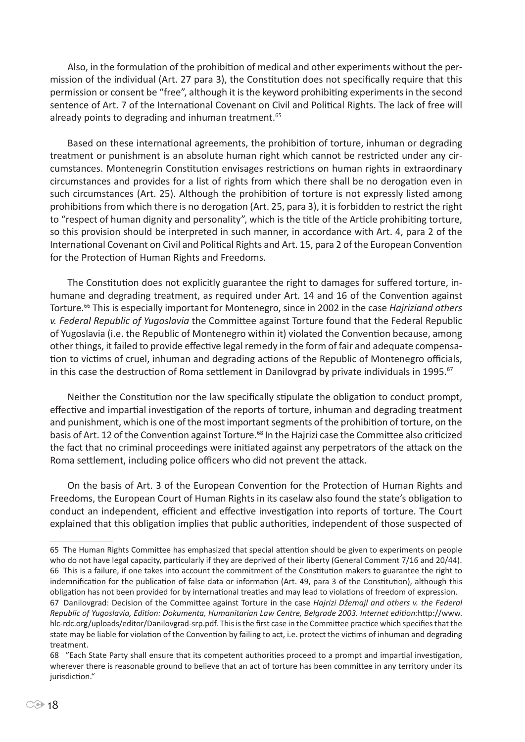Also, in the formulation of the prohibition of medical and other experiments without the permission of the individual (Art. 27 para 3), the Constitution does not specifically require that this permission or consent be "free", although it is the keyword prohibiting experiments in the second sentence of Art. 7 of the International Covenant on Civil and Political Rights. The lack of free will already points to degrading and inhuman treatment.<sup>65</sup>

Based on these international agreements, the prohibition of torture, inhuman or degrading treatment or punishment is an absolute human right which cannot be restricted under any circumstances. Montenegrin Constitution envisages restrictions on human rights in extraordinary circumstances and provides for a list of rights from which there shall be no derogation even in such circumstances (Art. 25). Although the prohibition of torture is not expressly listed among prohibitions from which there is no derogation (Art. 25, para 3), it is forbidden to restrict the right to "respect of human dignity and personality", which is the title of the Article prohibiting torture, so this provision should be interpreted in such manner, in accordance with Art. 4, para 2 of the International Covenant on Civil and Political Rights and Art. 15, para 2 of the European Convention for the Protection of Human Rights and Freedoms.

The Constitution does not explicitly guarantee the right to damages for suffered torture, inhumane and degrading treatment, as required under Art. 14 and 16 of the Convention against Torture.<sup>66</sup> This is especially important for Montenegro, since in 2002 in the case *Hajriziand others v. Federal Republic of Yugoslavia* the Committee against Torture found that the Federal Republic of Yugoslavia (i.e. the Republic of Montenegro within it) violated the Convention because, among other things, it failed to provide effective legal remedy in the form of fair and adequate compensation to victims of cruel, inhuman and degrading actions of the Republic of Montenegro officials, in this case the destruction of Roma settlement in Danilovgrad by private individuals in 1995.<sup>67</sup>

Neither the Constitution nor the law specifically stipulate the obligation to conduct prompt, effective and impartial investigation of the reports of torture, inhuman and degrading treatment and punishment, which is one of the most important segments of the prohibition of torture, on the basis of Art. 12 of the Convention against Torture.<sup>68</sup> In the Hajrizi case the Committee also criticized the fact that no criminal proceedings were initiated against any perpetrators of the attack on the Roma settlement, including police officers who did not prevent the attack.

On the basis of Art. 3 of the European Convention for the Protection of Human Rights and Freedoms, the European Court of Human Rights in its caselaw also found the state's obligation to conduct an independent, efficient and effective investigation into reports of torture. The Court explained that this obligation implies that public authorities, independent of those suspected of

<sup>65</sup> The Human Rights Committee has emphasized that special attention should be given to experiments on people who do not have legal capacity, particularly if they are deprived of their liberty (General Comment 7/16 and 20/44). 66 This is a failure, if one takes into account the commitment of the Constitution makers to guarantee the right to indemnification for the publication of false data or information (Art. 49, para 3 of the Constitution), although this obligation has not been provided for by international treaties and may lead to violations of freedom of expression. 67 Danilovgrad: Decision of the Committee against Torture in the case *Hajrizi Džemajl and others v. the Federal Republic of Yugoslavia, Edition: Dokumenta, Humanitarian Law Centre, Belgrade 2003. Internet edition:*http://www. hlc-rdc.org/uploads/editor/Danilovgrad-srp.pdf. This is the first case in the Committee practice which specifies that the state may be liable for violation of the Convention by failing to act, i.e. protect the victims of inhuman and degrading

treatment.

<sup>68 &</sup>quot;Each State Party shall ensure that its competent authorities proceed to a prompt and impartial investigation, wherever there is reasonable ground to believe that an act of torture has been committee in any territory under its iurisdiction."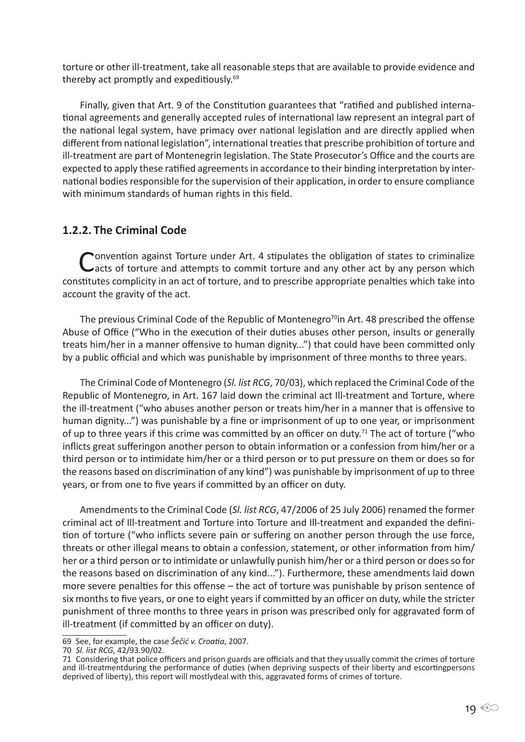torture or other ill-treatment, take all reasonable steps that are available to provide evidence and thereby act promptly and expeditiously.<sup>69</sup>

Finally, given that Art. 9 of the Constitution guarantees that "ratified and published international agreements and generally accepted rules of international law represent an integral part of the national legal system, have primacy over national legislation and are directly applied when different from national legislation", international treaties that prescribe prohibition of torture and ill-treatment are part of Montenegrin legislation. The State Prosecutor's Office and the courts are expected to apply these ratified agreements in accordance to their binding interpretation by international bodies responsible for the supervision of their application, in order to ensure compliance with minimum standards of human rights in this field.

# **1.2.2. The Criminal Code**

Convention against Torture under Art. 4 stipulates the obligation of states to criminalize Cacts of torture and attempts to commit torture and any other act by any person which constitutes complicity in an act of torture, and to prescribe appropriate penalties which take into account the gravity of the act.

The previous Criminal Code of the Republic of Montenegro<sup>70</sup>in Art. 48 prescribed the offense Abuse of Office ("Who in the execution of their duties abuses other person, insults or generally treats him/her in a manner offensive to human dignity...") that could have been committed only by a public official and which was punishable by imprisonment of three months to three years.

The Criminal Code of Montenegro (*Sl. list RCG*, 70/03), which replaced the Criminal Code of the Republic of Montenegro, in Art. 167 laid down the criminal act Ill-treatment and Torture, where the ill-treatment ("who abuses another person or treats him/her in a manner that is offensive to human dignity...") was punishable by a fine or imprisonment of up to one year, or imprisonment of up to three years if this crime was committed by an officer on duty.<sup>71</sup> The act of torture ("who inflicts great sufferingon another person to obtain information or a confession from him/her or a third person or to intimidate him/her or a third person or to put pressure on them or does so for the reasons based on discrimination of any kind") was punishable by imprisonment of up to three years, or from one to five years if committed by an officer on duty.

Amendments to the Criminal Code (*Sl. list RCG*, 47/2006 of 25 July 2006) renamed the former criminal act of Ill-treatment and Torture into Torture and Ill-treatment and expanded the definition of torture ("who inflicts severe pain or suffering on another person through the use force, threats or other illegal means to obtain a confession, statement, or other information from him/ her or a third person or to intimidate or unlawfully punish him/her or a third person or does so for the reasons based on discrimination of any kind..."). Furthermore, these amendments laid down more severe penalties for this offense – the act of torture was punishable by prison sentence of six months to five years, or one to eight years if committed by an officer on duty, while the stricter punishment of three months to three years in prison was prescribed only for aggravated form of ill-treatment (if committed by an officer on duty).

<sup>69</sup> See, for example, the case *Šečić v. Croatia*, 2007.

<sup>70</sup> *Sl. list RCG*, 42/93.90/02.

<sup>71</sup> Considering that police officers and prison guards are officials and that they usually commit the crimes of torture and ill-treatmentduring the performance of duties (when depriving suspects of their liberty and escortingpersons deprived of liberty), this report will mostlydeal with this, aggravated forms of crimes of torture.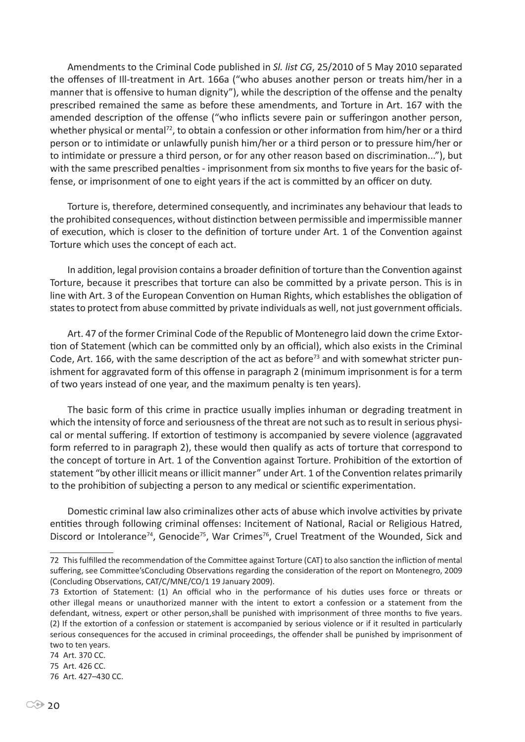Amendments to the Criminal Code published in *Sl. list CG*, 25/2010 of 5 May 2010 separated the offenses of Ill-treatment in Art. 166a ("who abuses another person or treats him/her in a manner that is offensive to human dignity"), while the description of the offense and the penalty prescribed remained the same as before these amendments, and Torture in Art. 167 with the amended description of the offense ("who inflicts severe pain or sufferingon another person, whether physical or mental<sup>72</sup>, to obtain a confession or other information from him/her or a third person or to intimidate or unlawfully punish him/her or a third person or to pressure him/her or to intimidate or pressure a third person, or for any other reason based on discrimination..."), but with the same prescribed penalties - imprisonment from six months to five years for the basic offense, or imprisonment of one to eight years if the act is committed by an officer on duty.

Torture is, therefore, determined consequently, and incriminates any behaviour that leads to the prohibited consequences, without distinction between permissible and impermissible manner of execution, which is closer to the definition of torture under Art. 1 of the Convention against Torture which uses the concept of each act.

In addition, legal provision contains a broader definition of torture than the Convention against Torture, because it prescribes that torture can also be committed by a private person. This is in line with Art. 3 of the European Convention on Human Rights, which establishes the obligation of states to protect from abuse committed by private individuals as well, not just government officials.

Art. 47 of the former Criminal Code of the Republic of Montenegro laid down the crime Extortion of Statement (which can be committed only by an official), which also exists in the Criminal Code, Art. 166, with the same description of the act as before<sup>73</sup> and with somewhat stricter punishment for aggravated form of this offense in paragraph 2 (minimum imprisonment is for a term of two years instead of one year, and the maximum penalty is ten years).

The basic form of this crime in practice usually implies inhuman or degrading treatment in which the intensity of force and seriousness of the threat are not such as to result in serious physical or mental suffering. If extortion of testimony is accompanied by severe violence (aggravated form referred to in paragraph 2), these would then qualify as acts of torture that correspond to the concept of torture in Art. 1 of the Convention against Torture. Prohibition of the extortion of statement "by other illicit means or illicit manner" under Art. 1 of the Convention relates primarily to the prohibition of subjecting a person to any medical or scientific experimentation.

Domestic criminal law also criminalizes other acts of abuse which involve activities by private entities through following criminal offenses: Incitement of National, Racial or Religious Hatred, Discord or Intolerance<sup>74</sup>, Genocide<sup>75</sup>, War Crimes<sup>76</sup>, Cruel Treatment of the Wounded, Sick and

<sup>72</sup> This fulfilled the recommendation of the Committee against Torture (CAT) to also sanction the infliction of mental suffering, see Committee'sConcluding Observations regarding the consideration of the report on Montenegro, 2009 (Concluding Observations, CAT/C/MNE/CO/1 19 January 2009).

<sup>73</sup> Extortion of Statement: (1) An official who in the performance of his duties uses force or threats or other illegal means or unauthorized manner with the intent to extort a confession or a statement from the defendant, witness, expert or other person,shall be punished with imprisonment of three months to five years. (2) If the extortion of a confession or statement is accompanied by serious violence or if it resulted in particularly serious consequences for the accused in criminal proceedings, the offender shall be punished by imprisonment of two to ten years.

<sup>74</sup> Art. 370 CC.

<sup>75</sup> Art. 426 CC.

<sup>76</sup> Art. 427–430 CC.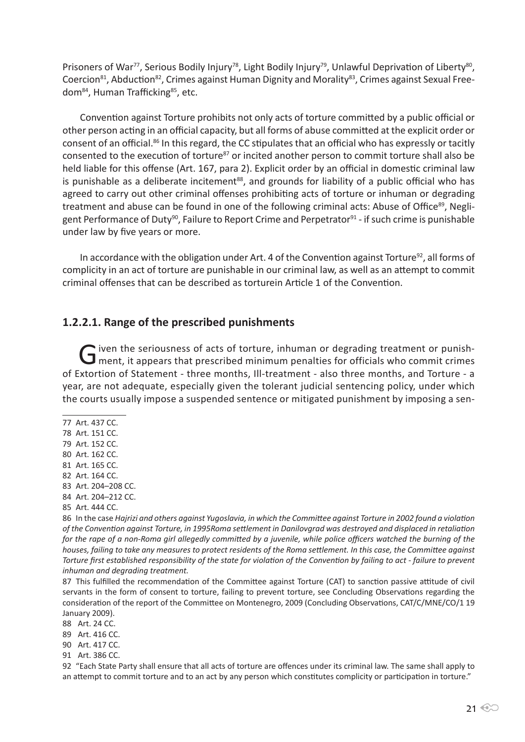Prisoners of War<sup>77</sup>, Serious Bodily Injury<sup>78</sup>, Light Bodily Injury<sup>79</sup>, Unlawful Deprivation of Liberty<sup>80</sup>, Coercion<sup>81</sup>, Abduction<sup>82</sup>, Crimes against Human Dignity and Morality<sup>83</sup>, Crimes against Sexual Freedom<sup>84</sup>, Human Trafficking<sup>85</sup>, etc.

Convention against Torture prohibits not only acts of torture committed by a public official or other person acting in an official capacity, but all forms of abuse committed at the explicit order or consent of an official.<sup>86</sup> In this regard, the CC stipulates that an official who has expressly or tacitly consented to the execution of torture<sup>87</sup> or incited another person to commit torture shall also be held liable for this offense (Art. 167, para 2). Explicit order by an official in domestic criminal law is punishable as a deliberate incitement<sup>88</sup>, and grounds for liability of a public official who has agreed to carry out other criminal offenses prohibiting acts of torture or inhuman or degrading treatment and abuse can be found in one of the following criminal acts: Abuse of Office<sup>89</sup>, Negligent Performance of Duty<sup>90</sup>, Failure to Report Crime and Perpetrator<sup>91</sup> - if such crime is punishable under law by five years or more.

In accordance with the obligation under Art. 4 of the Convention against Torture<sup>92</sup>, all forms of complicity in an act of torture are punishable in our criminal law, as well as an attempt to commit criminal offenses that can be described as torturein Article 1 of the Convention.

#### **1.2.2.1. Range of the prescribed punishments**

G iven the seriousness of acts of torture, inhuman or degrading treatment or punish-<br>G ment, it appears that prescribed minimum penalties for officials who commit crimes of Extortion of Statement - three months, Ill-treatment - also three months, and Torture - a year, are not adequate, especially given the tolerant judicial sentencing policy, under which the courts usually impose a suspended sentence or mitigated punishment by imposing a sen-

- 77 Art. 437 CC.
- 78 Art. 151 CC.
- 79 Art. 152 CC.
- 80 Art. 162 CC.
- 81 Art. 165 CC.
- 82 Art. 164 CC.
- 83 Art. 204–208 CC.
- 84 Art. 204–212 CC.
- 85 Art. 444 CC.

86 In the case *Hajrizi and others against Yugoslavia, in which the Committee against Torture in 2002 found a violation of the Convention against Torture, in 1995Roma settlement in Danilovgrad was destroyed and displaced in retaliation for the rape of a non-Roma girl allegedly committed by a juvenile, while police officers watched the burning of the houses, failing to take any measures to protect residents of the Roma settlement. In this case, the Committee against Torture first established responsibility of the state for violation of the Convention by failing to act - failure to prevent inhuman and degrading treatment.*

87 This fulfilled the recommendation of the Committee against Torture (CAT) to sanction passive attitude of civil servants in the form of consent to torture, failing to prevent torture, see Concluding Observations regarding the consideration of the report of the Committee on Montenegro, 2009 (Concluding Observations, CAT/C/MNE/CO/1 19 January 2009).

- 88 Art. 24 CC.
- 89 Art. 416 CC.
- 90 Art. 417 CC.
- 91 Art. 386 CC.

92 "Each State Party shall ensure that all acts of torture are offences under its criminal law. The same shall apply to an attempt to commit torture and to an act by any person which constitutes complicity or participation in torture."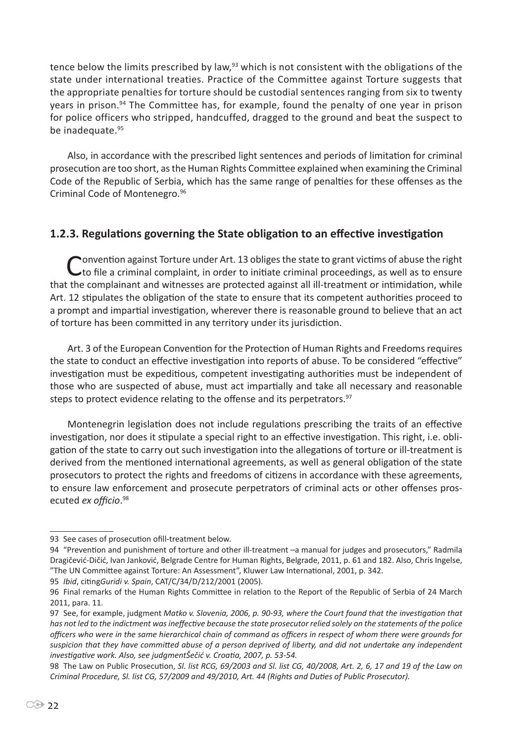tence below the limits prescribed by law,<sup>93</sup> which is not consistent with the obligations of the state under international treaties. Practice of the Committee against Torture suggests that the appropriate penalties for torture should be custodial sentences ranging from six to twenty years in prison.94 The Committee has, for example, found the penalty of one year in prison for police officers who stripped, handcuffed, dragged to the ground and beat the suspect to be inadequate.<sup>95</sup>

Also, in accordance with the prescribed light sentences and periods of limitation for criminal prosecution are too short, as the Human Rights Committee explained when examining the Criminal Code of the Republic of Serbia, which has the same range of penalties for these offenses as the Criminal Code of Montenegro.<sup>96</sup>

## **1.2.3. Regulations governing the State obligation to an effective investigation**

Convention against Torture under Art. 13 obliges the state to grant victims of abuse the right to file a criminal complaint, in order to initiate criminal proceedings, as well as to ensure that the complainant and witnesses are protected against all ill-treatment or intimidation, while Art. 12 stipulates the obligation of the state to ensure that its competent authorities proceed to a prompt and impartial investigation, wherever there is reasonable ground to believe that an act of torture has been committed in any territory under its jurisdiction.

Art. 3 of the European Convention for the Protection of Human Rights and Freedoms requires the state to conduct an effective investigation into reports of abuse. To be considered "effective" investigation must be expeditious, competent investigating authorities must be independent of those who are suspected of abuse, must act impartially and take all necessary and reasonable steps to protect evidence relating to the offense and its perpetrators.<sup>97</sup>

Montenegrin legislation does not include regulations prescribing the traits of an effective investigation, nor does it stipulate a special right to an effective investigation. This right, i.e. obligation of the state to carry out such investigation into the allegations of torture or ill-treatment is derived from the mentioned international agreements, as well as general obligation of the state prosecutors to protect the rights and freedoms of citizens in accordance with these agreements, to ensure law enforcement and prosecute perpetrators of criminal acts or other offenses prosecuted *ex officio*. 98

<sup>93</sup> See cases of prosecution ofill-treatment below.

<sup>94</sup> "Prevention and punishment of torture and other ill-treatment –a manual for judges and prosecutors," Radmila Dragičević-Dičić, Ivan Janković, Belgrade Centre for Human Rights, Belgrade, 2011, p. 61 and 182. Also, Chris Ingelse, "The UN Committee against Torture: An Assessment", Kluwer Law International, 2001, p. 342.

<sup>95</sup> *Ibid*, citing*Guridi v. Spain*, CAT/C/34/D/212/2001 (2005).

<sup>96</sup> Final remarks of the Human Rights Committee in relation to the Report of the Republic of Serbia of 24 March 2011, para. 11.

<sup>97</sup> See, for example, judgment *Matko v. Slovenia, 2006, p. 90-93, where the Court found that the investigation that has not led to the indictment was ineffective because the state prosecutor relied solely on the statements of the police officers who were in the same hierarchical chain of command as officers in respect of whom there were grounds for suspicion that they have committed abuse of a person deprived of liberty, and did not undertake any independent investigative work. Also, see judgmentŠečić v. Croatia, 2007, p. 53-54.*

<sup>98</sup> The Law on Public Prosecution, *Sl. list RCG, 69/2003 and Sl. list CG, 40/2008, Art. 2, 6, 17 and 19 of the Law on Criminal Procedure, Sl. list CG, 57/2009 and 49/2010, Art. 44 (Rights and Duties of Public Prosecutor).*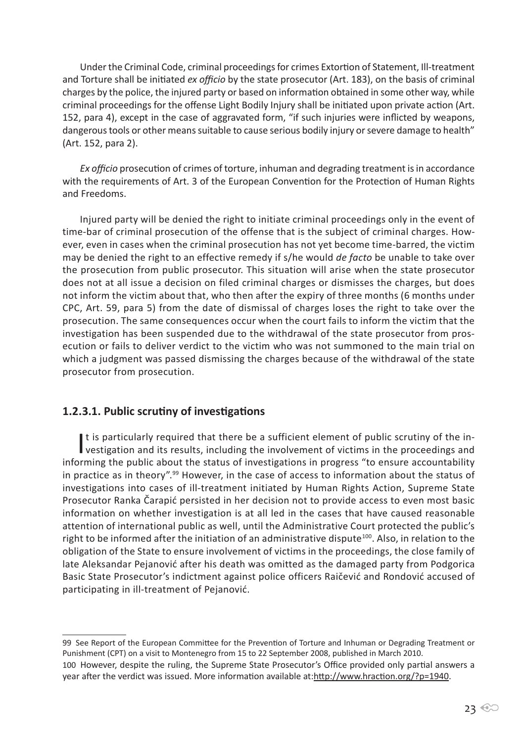Under the Criminal Code, criminal proceedings for crimes Extortion of Statement, Ill-treatment and Torture shall be initiated *ex officio* by the state prosecutor (Art. 183), on the basis of criminal charges by the police, the injured party or based on information obtained in some other way, while criminal proceedings for the offense Light Bodily Injury shall be initiated upon private action (Art. 152, para 4), except in the case of aggravated form, "if such injuries were inflicted by weapons, dangerous tools or other means suitable to cause serious bodily injury or severe damage to health" (Art. 152, para 2).

*Ex officio* prosecution of crimes of torture, inhuman and degrading treatment is in accordance with the requirements of Art. 3 of the European Convention for the Protection of Human Rights and Freedoms.

Injured party will be denied the right to initiate criminal proceedings only in the event of time-bar of criminal prosecution of the offense that is the subject of criminal charges. However, even in cases when the criminal prosecution has not yet become time-barred, the victim may be denied the right to an effective remedy if s/he would *de facto* be unable to take over the prosecution from public prosecutor. This situation will arise when the state prosecutor does not at all issue a decision on filed criminal charges or dismisses the charges, but does not inform the victim about that, who then after the expiry of three months (6 months under CPC, Art. 59, para 5) from the date of dismissal of charges loses the right to take over the prosecution. The same consequences occur when the court fails to inform the victim that the investigation has been suspended due to the withdrawal of the state prosecutor from prosecution or fails to deliver verdict to the victim who was not summoned to the main trial on which a judgment was passed dismissing the charges because of the withdrawal of the state prosecutor from prosecution.

#### **1.2.3.1. Public scrutiny of investigations**

It is particularly required that there be a sufficient element of public scrutiny of the in-<br>vestigation and its results, including the involvement of victims in the proceedings and It is particularly required that there be a sufficient element of public scrutiny of the ininforming the public about the status of investigations in progress "to ensure accountability in practice as in theory".<sup>99</sup> However, in the case of access to information about the status of investigations into cases of ill-treatment initiated by Human Rights Action, Supreme State Prosecutor Ranka Čarapić persisted in her decision not to provide access to even most basic information on whether investigation is at all led in the cases that have caused reasonable attention of international public as well, until the Administrative Court protected the public's right to be informed after the initiation of an administrative dispute<sup>100</sup>. Also, in relation to the obligation of the State to ensure involvement of victims in the proceedings, the close family of late Aleksandar Pejanović after his death was omitted as the damaged party from Podgorica Basic State Prosecutor's indictment against police officers Raičević and Rondović accused of participating in ill-treatment of Pejanović.

<sup>99</sup> See Report of the European Committee for the Prevention of Torture and Inhuman or Degrading Treatment or Punishment (CPT) on a visit to Montenegro from 15 to 22 September 2008, published in March 2010.

<sup>100</sup> However, despite the ruling, the Supreme State Prosecutor's Office provided only partial answers a year after the verdict was issued. More information available at:http://www.hraction.org/?p=1940.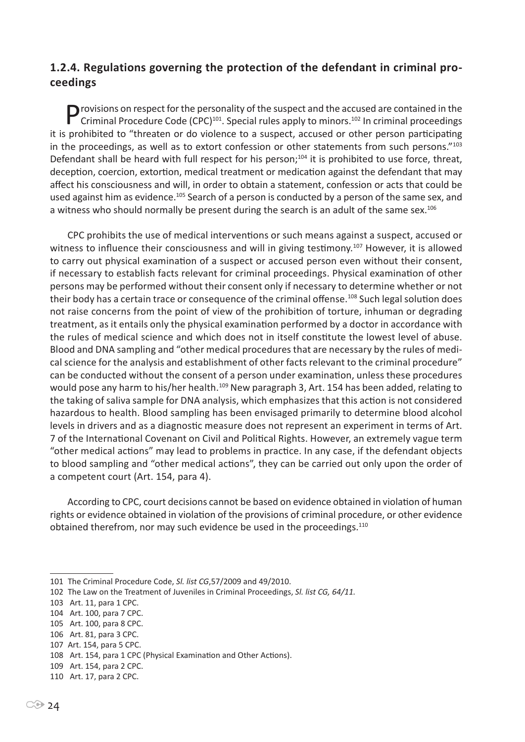# **1.2.4. Regulations governing the protection of the defendant in criminal proceedings**

P rovisions on respect for the personality of the suspect and the accused are contained in the Criminal Procedure Code (CPC)<sup>101</sup>. Special rules apply to minors.<sup>102</sup> In criminal proceedings it is prohibited to "threaten or do violence to a suspect, accused or other person participating in the proceedings, as well as to extort confession or other statements from such persons."103 Defendant shall be heard with full respect for his person;<sup>104</sup> it is prohibited to use force, threat, deception, coercion, extortion, medical treatment or medication against the defendant that may affect his consciousness and will, in order to obtain a statement, confession or acts that could be used against him as evidence.<sup>105</sup> Search of a person is conducted by a person of the same sex, and a witness who should normally be present during the search is an adult of the same sex.<sup>106</sup>

CPC prohibits the use of medical interventions or such means against a suspect, accused or witness to influence their consciousness and will in giving testimony.<sup>107</sup> However, it is allowed to carry out physical examination of a suspect or accused person even without their consent, if necessary to establish facts relevant for criminal proceedings. Physical examination of other persons may be performed without their consent only if necessary to determine whether or not their body has a certain trace or consequence of the criminal offense.<sup>108</sup> Such legal solution does not raise concerns from the point of view of the prohibition of torture, inhuman or degrading treatment, as it entails only the physical examination performed by a doctor in accordance with the rules of medical science and which does not in itself constitute the lowest level of abuse. Blood and DNA sampling and "other medical procedures that are necessary by the rules of medical science for the analysis and establishment of other facts relevant to the criminal procedure" can be conducted without the consent of a person under examination, unless these procedures would pose any harm to his/her health.<sup>109</sup> New paragraph 3, Art. 154 has been added, relating to the taking of saliva sample for DNA analysis, which emphasizes that this action is not considered hazardous to health. Blood sampling has been envisaged primarily to determine blood alcohol levels in drivers and as a diagnostic measure does not represent an experiment in terms of Art. 7 of the International Covenant on Civil and Political Rights. However, an extremely vague term "other medical actions" may lead to problems in practice. In any case, if the defendant objects to blood sampling and "other medical actions", they can be carried out only upon the order of a competent court (Art. 154, para 4).

According to CPC, court decisions cannot be based on evidence obtained in violation of human rights or evidence obtained in violation of the provisions of criminal procedure, or other evidence obtained therefrom, nor may such evidence be used in the proceedings.<sup>110</sup>

- 105 Art. 100, para 8 CPC.
- 106 Art. 81, para 3 CPC.

<sup>101</sup> The Criminal Procedure Code, *Sl. list CG*,57/2009 and 49/2010.

<sup>102</sup> The Law on the Treatment of Juveniles in Criminal Proceedings, *Sl. list CG, 64/11.*

<sup>103</sup> Art. 11, para 1 CPC.

<sup>104</sup> Art. 100, para 7 CPC.

<sup>107</sup> Art. 154, para 5 CPC.

<sup>108</sup> Art. 154, para 1 CPC (Physical Examination and Other Actions).

<sup>109</sup> Art. 154, para 2 CPC.

<sup>110</sup> Art. 17, para 2 CPC.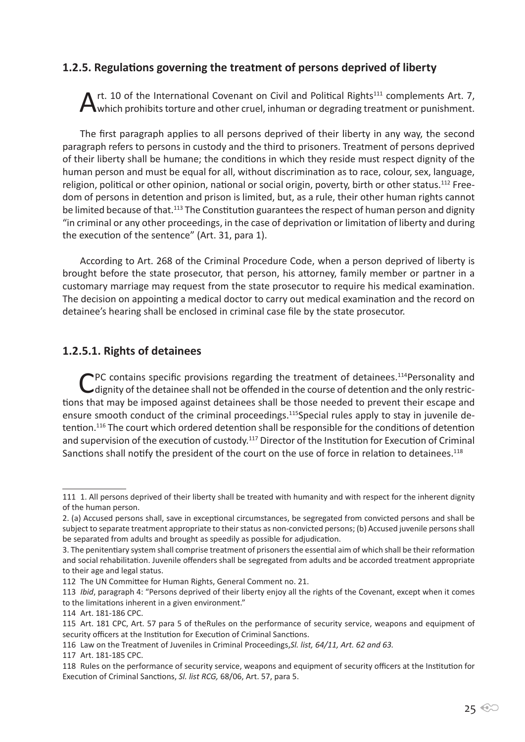#### **1.2.5. Regulations governing the treatment of persons deprived of liberty**

A rt. 10 of the International Covenant on Civil and Political Rights<sup>111</sup> complements Art. 7, Which prohibits torture and other cruel, inhuman or degrading treatment or punishment.

The first paragraph applies to all persons deprived of their liberty in any way, the second paragraph refers to persons in custody and the third to prisoners. Treatment of persons deprived of their liberty shall be humane; the conditions in which they reside must respect dignity of the human person and must be equal for all, without discrimination as to race, colour, sex, language, religion, political or other opinion, national or social origin, poverty, birth or other status.<sup>112</sup> Freedom of persons in detention and prison is limited, but, as a rule, their other human rights cannot be limited because of that.<sup>113</sup> The Constitution guarantees the respect of human person and dignity "in criminal or any other proceedings, in the case of deprivation or limitation of liberty and during the execution of the sentence" (Art. 31, para 1).

According to Art. 268 of the Criminal Procedure Code, when a person deprived of liberty is brought before the state prosecutor, that person, his attorney, family member or partner in a customary marriage may request from the state prosecutor to require his medical examination. The decision on appointing a medical doctor to carry out medical examination and the record on detainee's hearing shall be enclosed in criminal case file by the state prosecutor.

#### **1.2.5.1. Rights of detainees**

CPC contains specific provisions regarding the treatment of detainees.<sup>114</sup>Personality and dignity of the detainee shall not be offended in the course of detention and the only restrictions that may be imposed against detainees shall be those needed to prevent their escape and ensure smooth conduct of the criminal proceedings.<sup>115</sup>Special rules apply to stay in juvenile detention.116 The court which ordered detention shall be responsible for the conditions of detention and supervision of the execution of custody.<sup>117</sup> Director of the Institution for Execution of Criminal Sanctions shall notify the president of the court on the use of force in relation to detainees.<sup>118</sup>

<sup>111</sup> 1. All persons deprived of their liberty shall be treated with humanity and with respect for the inherent dignity of the human person.

<sup>2. (</sup>a) Accused persons shall, save in exceptional circumstances, be segregated from convicted persons and shall be subject to separate treatment appropriate to their status as non-convicted persons; (b) Accused juvenile persons shall be separated from adults and brought as speedily as possible for adjudication.

<sup>3.</sup> The penitentiary system shall comprise treatment of prisoners the essential aim of which shall be their reformation and social rehabilitation. Juvenile offenders shall be segregated from adults and be accorded treatment appropriate to their age and legal status.

<sup>112</sup> The UN Committee for Human Rights, General Comment no. 21.

<sup>113</sup> *Ibid*, paragraph 4: "Persons deprived of their liberty enjoy all the rights of the Covenant, except when it comes to the limitations inherent in a given environment."

<sup>114</sup> Art. 181-186 CPC.

<sup>115</sup> Art. 181 CPC, Art. 57 para 5 of theRules on the performance of security service, weapons and equipment of security officers at the Institution for Execution of Criminal Sanctions.

<sup>116</sup> Law on the Treatment of Juveniles in Criminal Proceedings,*Sl. list, 64/11, Art. 62 and 63.*

<sup>117</sup> Art. 181-185 CPC.

<sup>118</sup> Rules on the performance of security service, weapons and equipment of security officers at the Institution for Execution of Criminal Sanctions, *Sl. list RCG,* 68/06, Art. 57, para 5.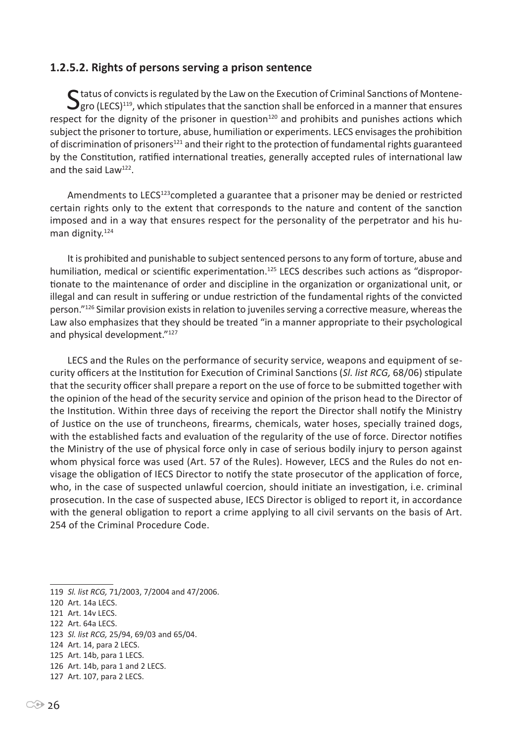#### **1.2.5.2. Rights of persons serving a prison sentence**

 $S$  tatus of convicts is regulated by the Law on the Execution of Criminal Sanctions of Montene-<br> $S$ gro (LECS)<sup>119</sup>, which stipulates that the sanction shall be enforced in a manner that ensures respect for the dignity of the prisoner in question $120$  and prohibits and punishes actions which subject the prisoner to torture, abuse, humiliation or experiments. LECS envisages the prohibition of discrimination of prisoners<sup>121</sup> and their right to the protection of fundamental rights guaranteed by the Constitution, ratified international treaties, generally accepted rules of international law and the said Law122.

Amendments to LECS<sup>123</sup>completed a guarantee that a prisoner may be denied or restricted certain rights only to the extent that corresponds to the nature and content of the sanction imposed and in a way that ensures respect for the personality of the perpetrator and his human dignity. $124$ 

It is prohibited and punishable to subject sentenced persons to any form of torture, abuse and humiliation, medical or scientific experimentation.<sup>125</sup> LECS describes such actions as "disproportionate to the maintenance of order and discipline in the organization or organizational unit, or illegal and can result in suffering or undue restriction of the fundamental rights of the convicted person."126 Similar provision exists in relation to juveniles serving a corrective measure, whereas the Law also emphasizes that they should be treated "in a manner appropriate to their psychological and physical development."<sup>127</sup>

LECS and the Rules on the performance of security service, weapons and equipment of security officers at the Institution for Execution of Criminal Sanctions (*Sl. list RCG,* 68/06) stipulate that the security officer shall prepare a report on the use of force to be submitted together with the opinion of the head of the security service and opinion of the prison head to the Director of the Institution. Within three days of receiving the report the Director shall notify the Ministry of Justice on the use of truncheons, firearms, chemicals, water hoses, specially trained dogs, with the established facts and evaluation of the regularity of the use of force. Director notifies the Ministry of the use of physical force only in case of serious bodily injury to person against whom physical force was used (Art. 57 of the Rules). However, LECS and the Rules do not envisage the obligation of IECS Director to notify the state prosecutor of the application of force, who, in the case of suspected unlawful coercion, should initiate an investigation, i.e. criminal prosecution. In the case of suspected abuse, IECS Director is obliged to report it, in accordance with the general obligation to report a crime applying to all civil servants on the basis of Art. 254 of the Criminal Procedure Code.

<sup>119</sup> *Sl. list RCG,* 71/2003, 7/2004 and 47/2006.

<sup>120</sup> Art. 14a LECS.

<sup>121</sup> Art. 14v LECS.

<sup>122</sup> Art. 64a LECS.

<sup>123</sup> *Sl. list RCG,* 25/94, 69/03 and 65/04.

<sup>124</sup> Art. 14, para 2 LECS.

<sup>125</sup> Art. 14b, para 1 LECS.

<sup>126</sup> Art. 14b, para 1 and 2 LECS.

<sup>127</sup> Art. 107, para 2 LECS.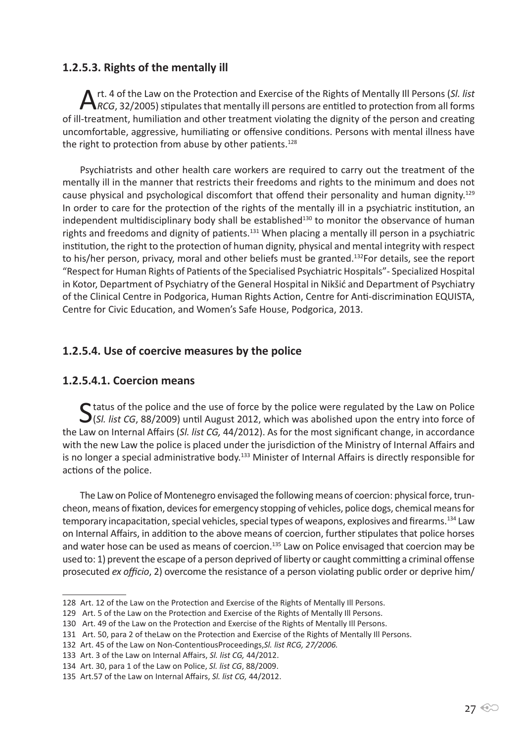## **1.2.5.3. Rights of the mentally ill**

A rt. 4 of the Law on the Protection and Exercise of the Rights of Mentally III Persons (SI. list<br>*ARCG*, 32/2005) stipulates that mentally ill persons are entitled to protection from all forms of ill-treatment, humiliation and other treatment violating the dignity of the person and creating uncomfortable, aggressive, humiliating or offensive conditions. Persons with mental illness have the right to protection from abuse by other patients.<sup>128</sup>

Psychiatrists and other health care workers are required to carry out the treatment of the mentally ill in the manner that restricts their freedoms and rights to the minimum and does not cause physical and psychological discomfort that offend their personality and human dignity.<sup>129</sup> In order to care for the protection of the rights of the mentally ill in a psychiatric institution, an independent multidisciplinary body shall be established<sup>130</sup> to monitor the observance of human rights and freedoms and dignity of patients.<sup>131</sup> When placing a mentally ill person in a psychiatric institution, the right to the protection of human dignity, physical and mental integrity with respect to his/her person, privacy, moral and other beliefs must be granted.<sup>132</sup>For details, see the report "Respect for Human Rights of Patients of the Specialised Psychiatric Hospitals"- Specialized Hospital in Kotor, Department of Psychiatry of the General Hospital in Nikšić and Department of Psychiatry of the Clinical Centre in Podgorica, Human Rights Action, Centre for Anti-discrimination EQUISTA, Centre for Civic Education, and Women's Safe House, Podgorica, 2013.

# **1.2.5.4. Use of coercive measures by the police**

#### **1.2.5.4.1. Coercion means**

Status of the police and the use of force by the police were regulated by the Law on Police<br>
S(SI. list CG, 88/2009) until August 2012, which was abolished upon the entry into force of the Law on Internal Affairs (*Sl. list CG,* 44/2012). As for the most significant change, in accordance with the new Law the police is placed under the jurisdiction of the Ministry of Internal Affairs and is no longer a special administrative body.<sup>133</sup> Minister of Internal Affairs is directly responsible for actions of the police.

The Law on Police of Montenegro envisaged the following means of coercion: physical force, truncheon, means of fixation, devices for emergency stopping of vehicles, police dogs, chemical means for temporary incapacitation, special vehicles, special types of weapons, explosives and firearms.134 Law on Internal Affairs, in addition to the above means of coercion, further stipulates that police horses and water hose can be used as means of coercion.<sup>135</sup> Law on Police envisaged that coercion may be used to: 1) prevent the escape of a person deprived of liberty or caught committing a criminal offense prosecuted *ex officio*, 2) overcome the resistance of a person violating public order or deprive him/

<sup>128</sup> Art. 12 of the Law on the Protection and Exercise of the Rights of Mentally Ill Persons.

<sup>129</sup> Art. 5 of the Law on the Protection and Exercise of the Rights of Mentally Ill Persons.

<sup>130</sup> Art. 49 of the Law on the Protection and Exercise of the Rights of Mentally Ill Persons.

<sup>131</sup> Art. 50, para 2 of theLaw on the Protection and Exercise of the Rights of Mentally Ill Persons.

<sup>132</sup> Art. 45 of the Law on Non-ContentiousProceedings,*Sl. list RCG, 27/2006.*

<sup>133</sup> Art. 3 of the Law on Internal Affairs, *Sl. list CG,* 44/2012.

<sup>134</sup> Art. 30, para 1 of the Law on Police, *Sl. list CG*, 88/2009.

<sup>135</sup> Art.57 of the Law on Internal Affairs, *Sl. list CG,* 44/2012.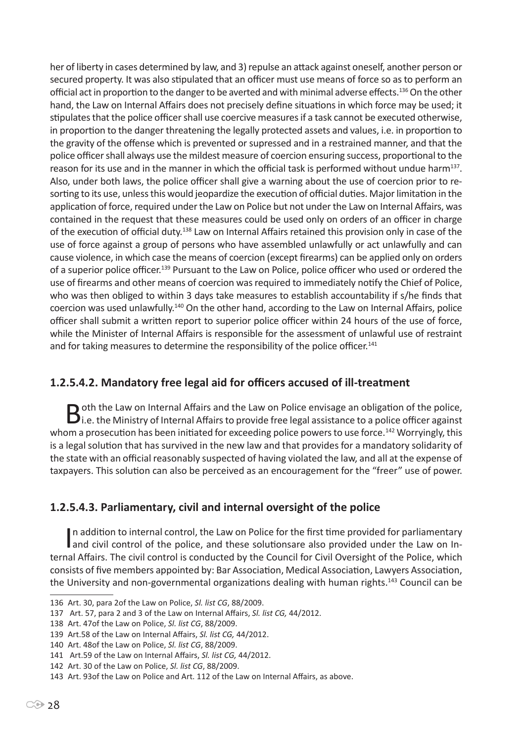her of liberty in cases determined by law, and 3) repulse an attack against oneself, another person or secured property. It was also stipulated that an officer must use means of force so as to perform an official act in proportion to the danger to be averted and with minimal adverse effects.136 On the other hand, the Law on Internal Affairs does not precisely define situations in which force may be used; it stipulates that the police officer shall use coercive measures if a task cannot be executed otherwise, in proportion to the danger threatening the legally protected assets and values, i.e. in proportion to the gravity of the offense which is prevented or supressed and in a restrained manner, and that the police officer shall always use the mildest measure of coercion ensuring success, proportional to the reason for its use and in the manner in which the official task is performed without undue harm<sup>137</sup>. Also, under both laws, the police officer shall give a warning about the use of coercion prior to resorting to its use, unless this would jeopardize the execution of official duties. Major limitation in the application of force, required under the Law on Police but not under the Law on Internal Affairs, was contained in the request that these measures could be used only on orders of an officer in charge of the execution of official duty.138 Law on Internal Affairs retained this provision only in case of the use of force against a group of persons who have assembled unlawfully or act unlawfully and can cause violence, in which case the means of coercion (except firearms) can be applied only on orders of a superior police officer.<sup>139</sup> Pursuant to the Law on Police, police officer who used or ordered the use of firearms and other means of coercion was required to immediately notify the Chief of Police, who was then obliged to within 3 days take measures to establish accountability if s/he finds that coercion was used unlawfully.140 On the other hand, according to the Law on Internal Affairs, police officer shall submit a written report to superior police officer within 24 hours of the use of force, while the Minister of Internal Affairs is responsible for the assessment of unlawful use of restraint and for taking measures to determine the responsibility of the police officer.<sup>141</sup>

# **1.2.5.4.2. Mandatory free legal aid for officers accused of ill-treatment**

Both the Law on Internal Affairs and the Law on Police envisage an obligation of the police,<br>Di.e. the Ministry of Internal Affairs to provide free legal assistance to a police officer against whom a prosecution has been initiated for exceeding police powers to use force.<sup>142</sup> Worryingly, this is a legal solution that has survived in the new law and that provides for a mandatory solidarity of the state with an official reasonably suspected of having violated the law, and all at the expense of taxpayers. This solution can also be perceived as an encouragement for the "freer" use of power.

# **1.2.5.4.3. Parliamentary, civil and internal oversight of the police**

In addition to internal control, the Law on Police for the first time provided for parliamentary<br>and civil control of the police, and these solutionsare also provided under the Law on In-In addition to internal control, the Law on Police for the first time provided for parliamentary ternal Affairs. The civil control is conducted by the Council for Civil Oversight of the Police, which consists of five members appointed by: Bar Association, Medical Association, Lawyers Association, the University and non-governmental organizations dealing with human rights.<sup>143</sup> Council can be

<sup>136</sup> Art. 30, para 2of the Law on Police, *Sl. list CG*, 88/2009.

<sup>137</sup> Art. 57, para 2 and 3 of the Law on Internal Affairs, *Sl. list CG,* 44/2012.

<sup>138</sup> Art. 47of the Law on Police, *Sl. list CG*, 88/2009.

<sup>139</sup> Art.58 of the Law on Internal Affairs, *Sl. list CG,* 44/2012.

<sup>140</sup> Art. 48of the Law on Police, *Sl. list CG*, 88/2009.

<sup>141</sup> Art.59 of the Law on Internal Affairs, *Sl. list CG,* 44/2012.

<sup>142</sup> Art. 30 of the Law on Police, *Sl. list CG*, 88/2009.

<sup>143</sup> Art. 93of the Law on Police and Art. 112 of the Law on Internal Affairs, as above.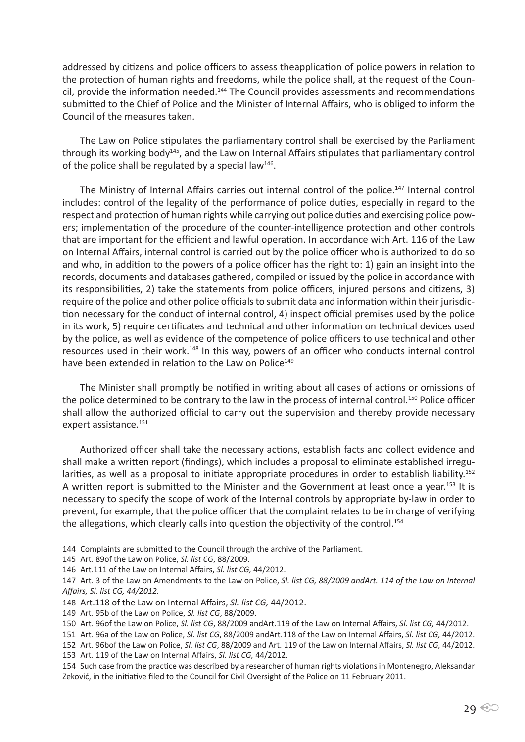addressed by citizens and police officers to assess theapplication of police powers in relation to the protection of human rights and freedoms, while the police shall, at the request of the Council, provide the information needed.144 The Council provides assessments and recommendations submitted to the Chief of Police and the Minister of Internal Affairs, who is obliged to inform the Council of the measures taken.

The Law on Police stipulates the parliamentary control shall be exercised by the Parliament through its working body<sup>145</sup>, and the Law on Internal Affairs stipulates that parliamentary control of the police shall be regulated by a special law<sup>146</sup>.

The Ministry of Internal Affairs carries out internal control of the police.147 Internal control includes: control of the legality of the performance of police duties, especially in regard to the respect and protection of human rights while carrying out police duties and exercising police powers; implementation of the procedure of the counter-intelligence protection and other controls that are important for the efficient and lawful operation. In accordance with Art. 116 of the Law on Internal Affairs, internal control is carried out by the police officer who is authorized to do so and who, in addition to the powers of a police officer has the right to: 1) gain an insight into the records, documents and databases gathered, compiled or issued by the police in accordance with its responsibilities, 2) take the statements from police officers, injured persons and citizens, 3) require of the police and other police officials to submit data and information within their jurisdiction necessary for the conduct of internal control, 4) inspect official premises used by the police in its work, 5) require certificates and technical and other information on technical devices used by the police, as well as evidence of the competence of police officers to use technical and other resources used in their work.<sup>148</sup> In this way, powers of an officer who conducts internal control have been extended in relation to the Law on Police<sup>149</sup>

The Minister shall promptly be notified in writing about all cases of actions or omissions of the police determined to be contrary to the law in the process of internal control.<sup>150</sup> Police officer shall allow the authorized official to carry out the supervision and thereby provide necessary expert assistance.<sup>151</sup>

Authorized officer shall take the necessary actions, establish facts and collect evidence and shall make a written report (findings), which includes a proposal to eliminate established irregularities, as well as a proposal to initiate appropriate procedures in order to establish liability.<sup>152</sup> A written report is submitted to the Minister and the Government at least once a year.<sup>153</sup> It is necessary to specify the scope of work of the Internal controls by appropriate by-law in order to prevent, for example, that the police officer that the complaint relates to be in charge of verifying the allegations, which clearly calls into question the objectivity of the control.<sup>154</sup>

<sup>144</sup> Complaints are submitted to the Council through the archive of the Parliament.

<sup>145</sup> Art. 89of the Law on Police, *Sl. list CG*, 88/2009.

<sup>146</sup> Art.111 of the Law on Internal Affairs, *Sl. list CG,* 44/2012.

<sup>147</sup> Art. 3 of the Law on Amendments to the Law on Police, *Sl. list CG, 88/2009 andArt. 114 of the Law on Internal Affairs, Sl. list CG, 44/2012.*

<sup>148</sup> Art.118 of the Law on Internal Affairs, *Sl. list CG,* 44/2012.

<sup>149</sup> Art. 95b of the Law on Police, *Sl. list CG*, 88/2009.

<sup>150</sup> Art. 96of the Law on Police, *Sl. list CG*, 88/2009 andArt.119 of the Law on Internal Affairs, *Sl. list CG,* 44/2012.

<sup>151</sup> Art. 96a of the Law on Police, *Sl. list CG*, 88/2009 andArt.118 of the Law on Internal Affairs, *Sl. list CG,* 44/2012.

<sup>152</sup> Art. 96bof the Law on Police, *Sl. list CG*, 88/2009 and Art. 119 of the Law on Internal Affairs, *Sl. list CG,* 44/2012.

<sup>153</sup> Art. 119 of the Law on Internal Affairs, *Sl. list CG,* 44/2012.

<sup>154</sup> Such case from the practice was described by a researcher of human rights violations in Montenegro, Aleksandar Zeković, in the initiative filed to the Council for Civil Oversight of the Police on 11 February 2011.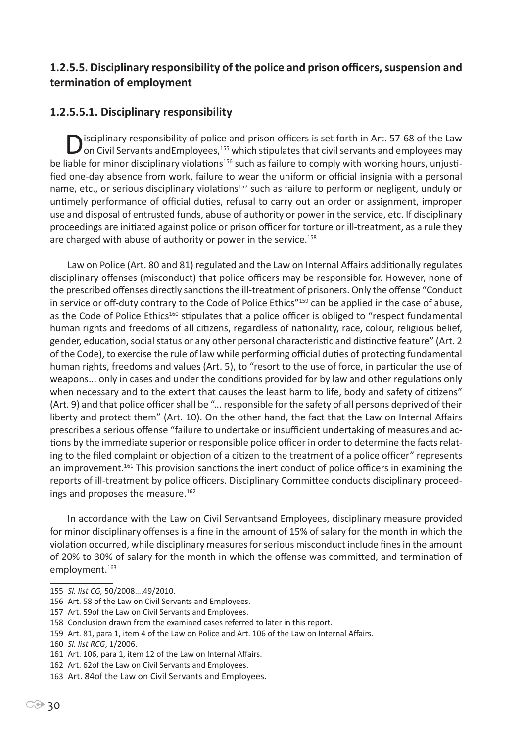# **1.2.5.5. Disciplinary responsibility of the police and prison officers, suspension and termination of employment**

# **1.2.5.5.1. Disciplinary responsibility**

Disciplinary responsibility of police and prison officers is set forth in Art. 57-68 of the Law on Civil Servants and Employees,<sup>155</sup> which stipulates that civil servants and employees may be liable for minor disciplinary violations<sup>156</sup> such as failure to comply with working hours, unjustified one-day absence from work, failure to wear the uniform or official insignia with a personal name, etc., or serious disciplinary violations<sup>157</sup> such as failure to perform or negligent, unduly or untimely performance of official duties, refusal to carry out an order or assignment, improper use and disposal of entrusted funds, abuse of authority or power in the service, etc. If disciplinary proceedings are initiated against police or prison officer for torture or ill-treatment, as a rule they are charged with abuse of authority or power in the service.<sup>158</sup>

Law on Police (Art. 80 and 81) regulated and the Law on Internal Affairs additionally regulates disciplinary offenses (misconduct) that police officers may be responsible for. However, none of the prescribed offenses directly sanctions the ill-treatment of prisoners. Only the offense "Conduct in service or off-duty contrary to the Code of Police Ethics"<sup>159</sup> can be applied in the case of abuse, as the Code of Police Ethics<sup>160</sup> stipulates that a police officer is obliged to "respect fundamental human rights and freedoms of all citizens, regardless of nationality, race, colour, religious belief, gender, education, social status or any other personal characteristic and distinctive feature" (Art. 2 of the Code), to exercise the rule of law while performing official duties of protecting fundamental human rights, freedoms and values (Art. 5), to "resort to the use of force, in particular the use of weapons... only in cases and under the conditions provided for by law and other regulations only when necessary and to the extent that causes the least harm to life, body and safety of citizens" (Art. 9) and that police officer shall be "... responsible for the safety of all persons deprived of their liberty and protect them" (Art. 10). On the other hand, the fact that the Law on Internal Affairs prescribes a serious offense "failure to undertake or insufficient undertaking of measures and actions by the immediate superior or responsible police officer in order to determine the facts relating to the filed complaint or objection of a citizen to the treatment of a police officer" represents an improvement.<sup>161</sup> This provision sanctions the inert conduct of police officers in examining the reports of ill-treatment by police officers. Disciplinary Committee conducts disciplinary proceedings and proposes the measure.<sup>162</sup>

In accordance with the Law on Civil Servantsand Employees, disciplinary measure provided for minor disciplinary offenses is a fine in the amount of 15% of salary for the month in which the violation occurred, while disciplinary measures for serious misconduct include fines in the amount of 20% to 30% of salary for the month in which the offense was committed, and termination of employment.<sup>163</sup>

<sup>155</sup> *Sl. list CG,* 50/2008….49/2010.

<sup>156</sup> Art. 58 of the Law on Civil Servants and Employees.

<sup>157</sup> Art. 59of the Law on Civil Servants and Employees.

<sup>158</sup> Conclusion drawn from the examined cases referred to later in this report.

<sup>159</sup> Art. 81, para 1, item 4 of the Law on Police and Art. 106 of the Law on Internal Affairs.

<sup>160</sup> *Sl. list RCG*, 1/2006.

<sup>161</sup> Art. 106, para 1, item 12 of the Law on Internal Affairs.

<sup>162</sup> Art. 62of the Law on Civil Servants and Employees.

<sup>163</sup> Art. 84of the Law on Civil Servants and Employees.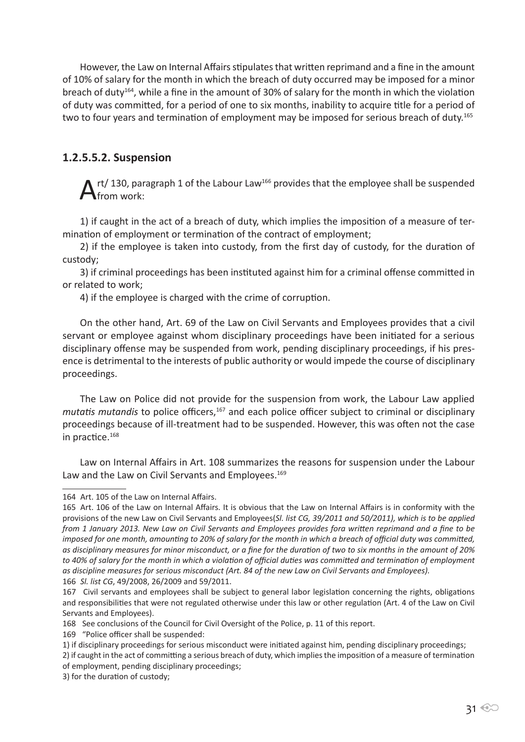However, the Law on Internal Affairs stipulates that written reprimand and a fine in the amount of 10% of salary for the month in which the breach of duty occurred may be imposed for a minor breach of duty164, while a fine in the amount of 30% of salary for the month in which the violation of duty was committed, for a period of one to six months, inability to acquire title for a period of two to four years and termination of employment may be imposed for serious breach of duty.<sup>165</sup>

#### **1.2.5.5.2. Suspension**

 $\mathbf{A}$ rt/ 130, paragraph 1 of the Labour Law<sup>166</sup> provides that the employee shall be suspended from work:

1) if caught in the act of a breach of duty, which implies the imposition of a measure of termination of employment or termination of the contract of employment;

2) if the employee is taken into custody, from the first day of custody, for the duration of custody;

3) if criminal proceedings has been instituted against him for a criminal offense committed in or related to work;

4) if the employee is charged with the crime of corruption.

On the other hand, Art. 69 of the Law on Civil Servants and Employees provides that a civil servant or employee against whom disciplinary proceedings have been initiated for a serious disciplinary offense may be suspended from work, pending disciplinary proceedings, if his presence is detrimental to the interests of public authority or would impede the course of disciplinary proceedings.

The Law on Police did not provide for the suspension from work, the Labour Law applied *mutatis mutandis* to police officers,<sup>167</sup> and each police officer subject to criminal or disciplinary proceedings because of ill-treatment had to be suspended. However, this was often not the case in practice.<sup>168</sup>

Law on Internal Affairs in Art. 108 summarizes the reasons for suspension under the Labour Law and the Law on Civil Servants and Employees.<sup>169</sup>

<sup>164</sup> Art. 105 of the Law on Internal Affairs.

<sup>165</sup> Art. 106 of the Law on Internal Affairs. It is obvious that the Law on Internal Affairs is in conformity with the provisions of the new Law on Civil Servants and Employees(*Sl. list CG, 39/2011 and 50/2011), which is to be applied from 1 January 2013. New Law on Civil Servants and Employees provides fora written reprimand and a fine to be imposed for one month, amounting to 20% of salary for the month in which a breach of official duty was committed, as disciplinary measures for minor misconduct, or a fine for the duration of two to six months in the amount of 20%*  to 40% of salary for the month in which a violation of official duties was committed and termination of employment *as discipline measures for serious misconduct (Art. 84 of the new Law on Civil Servants and Employees).* 166 *Sl. list CG*, 49/2008, 26/2009 and 59/2011.

<sup>167</sup> Civil servants and employees shall be subject to general labor legislation concerning the rights, obligations and responsibilities that were not regulated otherwise under this law or other regulation (Art. 4 of the Law on Civil Servants and Employees).

<sup>168</sup> See conclusions of the Council for Civil Oversight of the Police, p. 11 of this report.

<sup>169 &</sup>quot;Police officer shall be suspended:

<sup>1)</sup> if disciplinary proceedings for serious misconduct were initiated against him, pending disciplinary proceedings;

<sup>2)</sup> if caught in the act of committing a serious breach of duty, which implies the imposition of a measure of termination of employment, pending disciplinary proceedings;

<sup>3)</sup> for the duration of custody;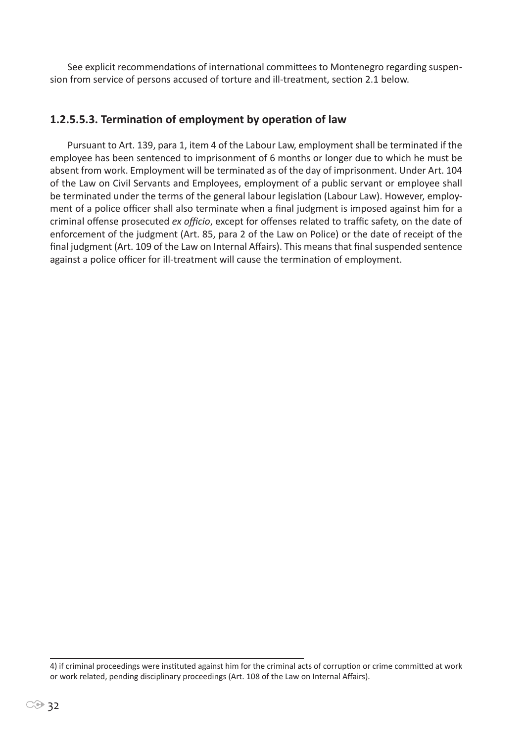See explicit recommendations of international committees to Montenegro regarding suspension from service of persons accused of torture and ill-treatment, section 2.1 below.

#### **1.2.5.5.3. Termination of employment by operation of law**

Pursuant to Art. 139, para 1, item 4 of the Labour Law, employment shall be terminated if the employee has been sentenced to imprisonment of 6 months or longer due to which he must be absent from work. Employment will be terminated as of the day of imprisonment. Under Art. 104 of the Law on Civil Servants and Employees, employment of a public servant or employee shall be terminated under the terms of the general labour legislation (Labour Law). However, employment of a police officer shall also terminate when a final judgment is imposed against him for a criminal offense prosecuted *ex officio*, except for offenses related to traffic safety, on the date of enforcement of the judgment (Art. 85, para 2 of the Law on Police) or the date of receipt of the final judgment (Art. 109 of the Law on Internal Affairs). This means that final suspended sentence against a police officer for ill-treatment will cause the termination of employment.

4) if criminal proceedings were instituted against him for the criminal acts of corruption or crime committed at work or work related, pending disciplinary proceedings (Art. 108 of the Law on Internal Affairs).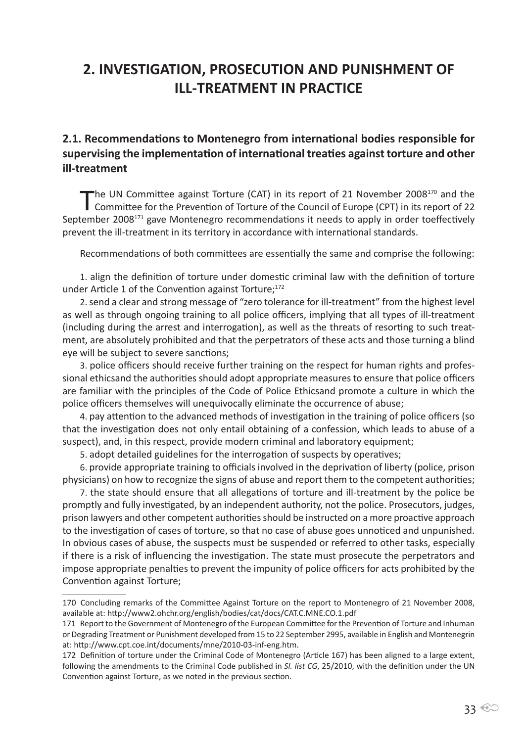# **2. INVESTIGATION, PROSECUTION AND PUNISHMENT OF ILL-TREATMENT IN PRACTICE**

**2.1. Recommendations to Montenegro from international bodies responsible for supervising the implementation of international treaties against torture and other ill-treatment**

The UN Committee against Torture (CAT) in its report of 21 November 2008<sup>170</sup> and the Committee for the Prevention of Torture of the Council of Europe (CPT) in its report of 22 September 2008<sup>171</sup> gave Montenegro recommendations it needs to apply in order toeffectively prevent the ill-treatment in its territory in accordance with international standards.

Recommendations of both committees are essentially the same and comprise the following:

1. align the definition of torture under domestic criminal law with the definition of torture under Article 1 of the Convention against Torture;<sup>172</sup>

2. send a clear and strong message of "zero tolerance for ill-treatment" from the highest level as well as through ongoing training to all police officers, implying that all types of ill-treatment (including during the arrest and interrogation), as well as the threats of resorting to such treatment, are absolutely prohibited and that the perpetrators of these acts and those turning a blind eye will be subject to severe sanctions;

3. police officers should receive further training on the respect for human rights and professional ethicsand the authorities should adopt appropriate measures to ensure that police officers are familiar with the principles of the Code of Police Ethicsand promote a culture in which the police officers themselves will unequivocally eliminate the occurrence of abuse;

4. pay attention to the advanced methods of investigation in the training of police officers (so that the investigation does not only entail obtaining of a confession, which leads to abuse of a suspect), and, in this respect, provide modern criminal and laboratory equipment;

5. adopt detailed guidelines for the interrogation of suspects by operatives;

6. provide appropriate training to officials involved in the deprivation of liberty (police, prison physicians) on how to recognize the signs of abuse and report them to the competent authorities;

7. the state should ensure that all allegations of torture and ill-treatment by the police be promptly and fully investigated, by an independent authority, not the police. Prosecutors, judges, prison lawyers and other competent authorities should be instructed on a more proactive approach to the investigation of cases of torture, so that no case of abuse goes unnoticed and unpunished. In obvious cases of abuse, the suspects must be suspended or referred to other tasks, especially if there is a risk of influencing the investigation. The state must prosecute the perpetrators and impose appropriate penalties to prevent the impunity of police officers for acts prohibited by the Convention against Torture;

<sup>170</sup> Concluding remarks of the Committee Against Torture on the report to Montenegro of 21 November 2008, available at: http://www2.ohchr.org/english/bodies/cat/docs/CAT.C.MNE.CO.1.pdf

<sup>171</sup> Report to the Government of Montenegro of the European Committee for the Prevention of Torture and Inhuman or Degrading Treatment or Punishment developed from 15 to 22 September 2995, available in English and Montenegrin at: http://www.cpt.coe.int/documents/mne/2010-03-inf-eng.htm.

<sup>172</sup> Definition of torture under the Criminal Code of Montenegro (Article 167) has been aligned to a large extent, following the amendments to the Criminal Code published in *Sl. list CG*, 25/2010, with the definition under the UN Convention against Torture, as we noted in the previous section.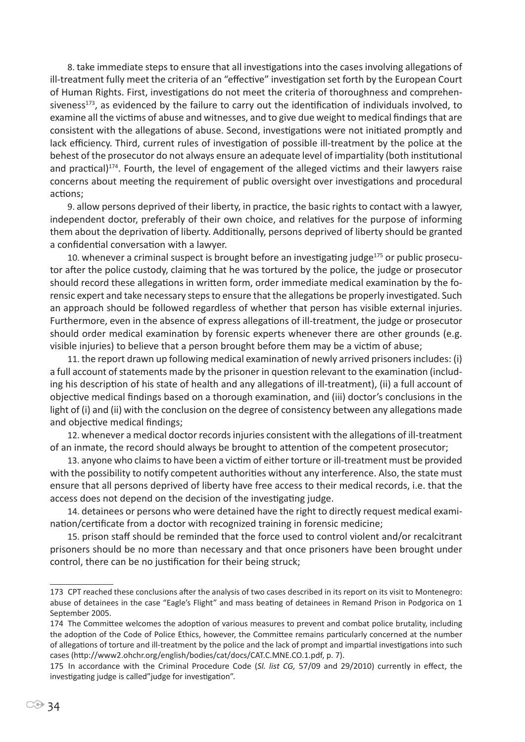8. take immediate steps to ensure that all investigations into the cases involving allegations of ill-treatment fully meet the criteria of an "effective" investigation set forth by the European Court of Human Rights. First, investigations do not meet the criteria of thoroughness and comprehensiveness<sup>173</sup>, as evidenced by the failure to carry out the identification of individuals involved, to examine all the victims of abuse and witnesses, and to give due weight to medical findings that are consistent with the allegations of abuse. Second, investigations were not initiated promptly and lack efficiency. Third, current rules of investigation of possible ill-treatment by the police at the behest of the prosecutor do not always ensure an adequate level of impartiality (both institutional and practical)<sup>174</sup>. Fourth, the level of engagement of the alleged victims and their lawyers raise concerns about meeting the requirement of public oversight over investigations and procedural actions;

9. allow persons deprived of their liberty, in practice, the basic rights to contact with a lawyer, independent doctor, preferably of their own choice, and relatives for the purpose of informing them about the deprivation of liberty. Additionally, persons deprived of liberty should be granted a confidential conversation with a lawyer.

10. whenever a criminal suspect is brought before an investigating judge<sup>175</sup> or public prosecutor after the police custody, claiming that he was tortured by the police, the judge or prosecutor should record these allegations in written form, order immediate medical examination by the forensic expert and take necessary steps to ensure that the allegations be properly investigated. Such an approach should be followed regardless of whether that person has visible external injuries. Furthermore, even in the absence of express allegations of ill-treatment, the judge or prosecutor should order medical examination by forensic experts whenever there are other grounds (e.g. visible injuries) to believe that a person brought before them may be a victim of abuse;

11. the report drawn up following medical examination of newly arrived prisoners includes: (i) a full account of statements made by the prisoner in question relevant to the examination (including his description of his state of health and any allegations of ill-treatment), (ii) a full account of objective medical findings based on a thorough examination, and (iii) doctor's conclusions in the light of (i) and (ii) with the conclusion on the degree of consistency between any allegations made and objective medical findings;

12. whenever a medical doctor records injuries consistent with the allegations of ill-treatment of an inmate, the record should always be brought to attention of the competent prosecutor;

13. anyone who claims to have been a victim of either torture or ill-treatment must be provided with the possibility to notify competent authorities without any interference. Also, the state must ensure that all persons deprived of liberty have free access to their medical records, i.e. that the access does not depend on the decision of the investigating judge.

14. detainees or persons who were detained have the right to directly request medical examination/certificate from a doctor with recognized training in forensic medicine;

15. prison staff should be reminded that the force used to control violent and/or recalcitrant prisoners should be no more than necessary and that once prisoners have been brought under control, there can be no justification for their being struck;

<sup>173</sup> CPT reached these conclusions after the analysis of two cases described in its report on its visit to Montenegro: abuse of detainees in the case "Eagle's Flight" and mass beating of detainees in Remand Prison in Podgorica on 1 September 2005.

<sup>174</sup> The Committee welcomes the adoption of various measures to prevent and combat police brutality, including the adoption of the Code of Police Ethics, however, the Committee remains particularly concerned at the number of allegations of torture and ill-treatment by the police and the lack of prompt and impartial investigations into such cases (http://www2.ohchr.org/english/bodies/cat/docs/CAT.C.MNE.CO.1.pdf, p. 7).

<sup>175</sup> In accordance with the Criminal Procedure Code (*Sl. list CG,* 57/09 and 29/2010) currently in effect, the investigating judge is called"judge for investigation".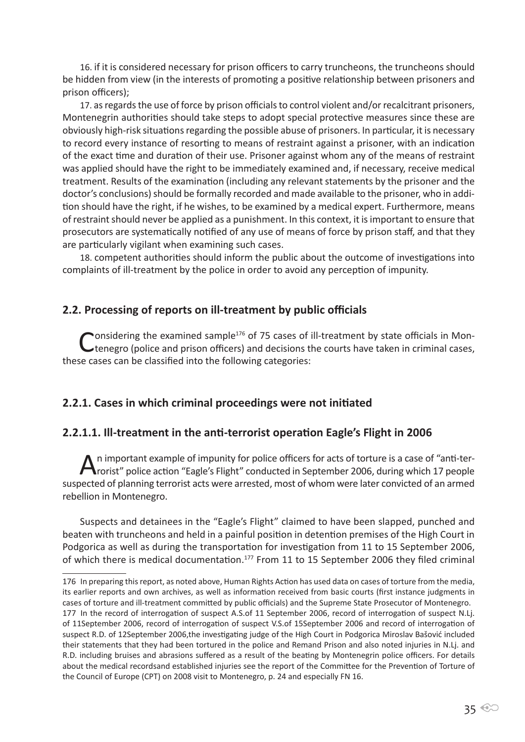16. if it is considered necessary for prison officers to carry truncheons, the truncheons should be hidden from view (in the interests of promoting a positive relationship between prisoners and prison officers);

17. as regards the use of force by prison officials to control violent and/or recalcitrant prisoners, Montenegrin authorities should take steps to adopt special protective measures since these are obviously high-risk situations regarding the possible abuse of prisoners. In particular, it is necessary to record every instance of resorting to means of restraint against a prisoner, with an indication of the exact time and duration of their use. Prisoner against whom any of the means of restraint was applied should have the right to be immediately examined and, if necessary, receive medical treatment. Results of the examination (including any relevant statements by the prisoner and the doctor's conclusions) should be formally recorded and made available to the prisoner, who in addition should have the right, if he wishes, to be examined by a medical expert. Furthermore, means of restraint should never be applied as a punishment. In this context, it is important to ensure that prosecutors are systematically notified of any use of means of force by prison staff, and that they are particularly vigilant when examining such cases.

18. competent authorities should inform the public about the outcome of investigations into complaints of ill-treatment by the police in order to avoid any perception of impunity.

## **2.2. Processing of reports on ill-treatment by public officials**

Considering the examined sample<sup>176</sup> of 75 cases of ill-treatment by state officials in Mon-<br>Ctenegro (police and prison officers) and decisions the courts have taken in criminal cases, these cases can be classified into the following categories:

#### **2.2.1. Cases in which criminal proceedings were not initiated**

#### **2.2.1.1. Ill-treatment in the anti-terrorist operation Eagle's Flight in 2006**

An important example of impunity for police officers for acts of torture is a case of "anti-ter-<br>
Arorist" police action "Eagle's Flight" conducted in September 2006, during which 17 people suspected of planning terrorist acts were arrested, most of whom were later convicted of an armed rebellion in Montenegro.

Suspects and detainees in the "Eagle's Flight" claimed to have been slapped, punched and beaten with truncheons and held in a painful position in detention premises of the High Court in Podgorica as well as during the transportation for investigation from 11 to 15 September 2006, of which there is medical documentation.<sup>177</sup> From 11 to 15 September 2006 they filed criminal

<sup>176</sup> In preparing this report, as noted above, Human Rights Action has used data on cases of torture from the media, its earlier reports and own archives, as well as information received from basic courts (first instance judgments in cases of torture and ill-treatment committed by public officials) and the Supreme State Prosecutor of Montenegro. 177 In the record of interrogation of suspect A.S.of 11 September 2006, record of interrogation of suspect N.Lj. of 11September 2006, record of interrogation of suspect V.S.of 15September 2006 and record of interrogation of suspect R.D. of 12September 2006,the investigating judge of the High Court in Podgorica Miroslav Bašović included their statements that they had been tortured in the police and Remand Prison and also noted injuries in N.Lj. and R.D. including bruises and abrasions suffered as a result of the beating by Montenegrin police officers. For details about the medical recordsand established injuries see the report of the Committee for the Prevention of Torture of the Council of Europe (CPT) on 2008 visit to Montenegro, p. 24 and especially FN 16.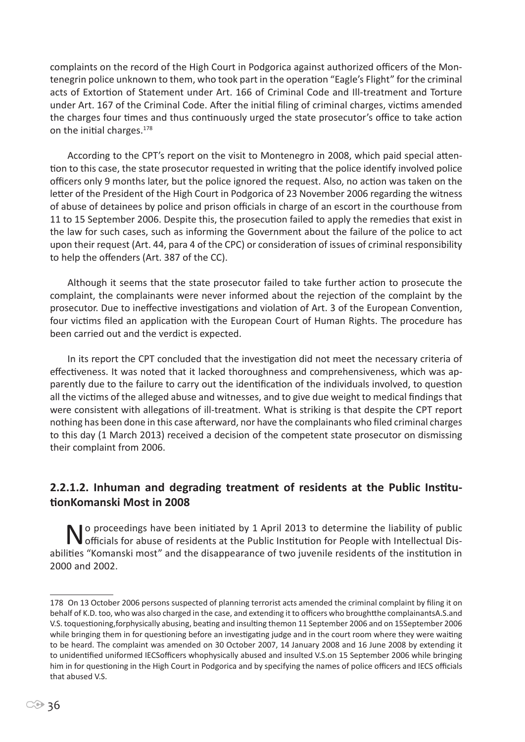complaints on the record of the High Court in Podgorica against authorized officers of the Montenegrin police unknown to them, who took part in the operation "Eagle's Flight" for the criminal acts of Extortion of Statement under Art. 166 of Criminal Code and Ill-treatment and Torture under Art. 167 of the Criminal Code. After the initial filing of criminal charges, victims amended the charges four times and thus continuously urged the state prosecutor's office to take action on the initial charges.<sup>178</sup>

According to the CPT's report on the visit to Montenegro in 2008, which paid special attention to this case, the state prosecutor requested in writing that the police identify involved police officers only 9 months later, but the police ignored the request. Also, no action was taken on the letter of the President of the High Court in Podgorica of 23 November 2006 regarding the witness of abuse of detainees by police and prison officials in charge of an escort in the courthouse from 11 to 15 September 2006. Despite this, the prosecution failed to apply the remedies that exist in the law for such cases, such as informing the Government about the failure of the police to act upon their request (Art. 44, para 4 of the CPC) or consideration of issues of criminal responsibility to help the offenders (Art. 387 of the CC).

Although it seems that the state prosecutor failed to take further action to prosecute the complaint, the complainants were never informed about the rejection of the complaint by the prosecutor. Due to ineffective investigations and violation of Art. 3 of the European Convention, four victims filed an application with the European Court of Human Rights. The procedure has been carried out and the verdict is expected.

In its report the CPT concluded that the investigation did not meet the necessary criteria of effectiveness. It was noted that it lacked thoroughness and comprehensiveness, which was apparently due to the failure to carry out the identification of the individuals involved, to question all the victims of the alleged abuse and witnesses, and to give due weight to medical findings that were consistent with allegations of ill-treatment. What is striking is that despite the CPT report nothing has been done in this case afterward, nor have the complainants who filed criminal charges to this day (1 March 2013) received a decision of the competent state prosecutor on dismissing their complaint from 2006.

# **2.2.1.2. Inhuman and degrading treatment of residents at the Public InstitutionKomanski Most in 2008**

No proceedings have been initiated by 1 April 2013 to determine the liability of public<br>
officials for abuse of residents at the Public Institution for People with Intellectual Disabilities "Komanski most" and the disappearance of two juvenile residents of the institution in 2000 and 2002.

<sup>178</sup> On 13 October 2006 persons suspected of planning terrorist acts amended the criminal complaint by filing it on behalf of K.D. too, who was also charged in the case, and extending it to officers who broughtthe complainantsA.S.and V.S. toquestioning,forphysically abusing, beating and insulting themon 11 September 2006 and on 15September 2006 while bringing them in for questioning before an investigating judge and in the court room where they were waiting to be heard. The complaint was amended on 30 October 2007, 14 January 2008 and 16 June 2008 by extending it to unidentified uniformed IECSofficers whophysically abused and insulted V.S.on 15 September 2006 while bringing him in for questioning in the High Court in Podgorica and by specifying the names of police officers and IECS officials that abused V.S.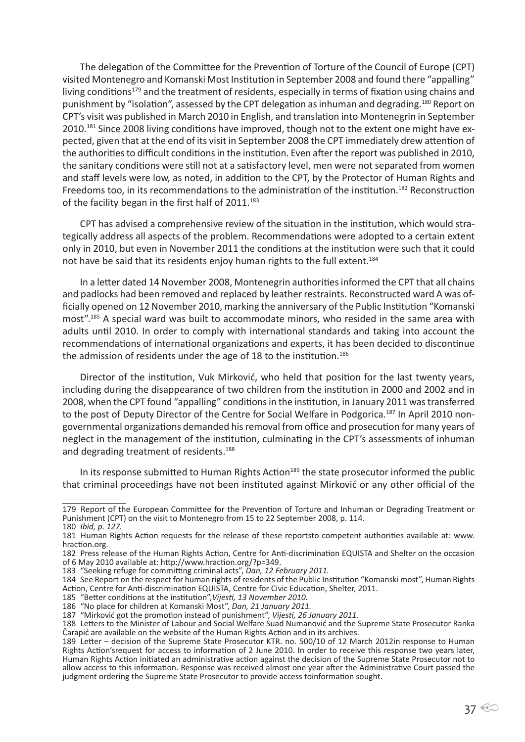The delegation of the Committee for the Prevention of Torture of the Council of Europe (CPT) visited Montenegro and Komanski Most Institution in September 2008 and found there "appalling" living conditions<sup>179</sup> and the treatment of residents, especially in terms of fixation using chains and punishment by "isolation", assessed by the CPT delegation as inhuman and degrading.180 Report on CPT's visit was published in March 2010 in English, and translation into Montenegrin in September 2010.<sup>181</sup> Since 2008 living conditions have improved, though not to the extent one might have expected, given that at the end of its visit in September 2008 the CPT immediately drew attention of the authorities to difficult conditions in the institution. Even after the report was published in 2010, the sanitary conditions were still not at a satisfactory level, men were not separated from women and staff levels were low, as noted, in addition to the CPT, by the Protector of Human Rights and Freedoms too, in its recommendations to the administration of the institution.182 Reconstruction of the facility began in the first half of 2011.<sup>183</sup>

CPT has advised a comprehensive review of the situation in the institution, which would strategically address all aspects of the problem. Recommendations were adopted to a certain extent only in 2010, but even in November 2011 the conditions at the institution were such that it could not have be said that its residents enjoy human rights to the full extent.<sup>184</sup>

In a letter dated 14 November 2008, Montenegrin authorities informed the CPT that all chains and padlocks had been removed and replaced by leather restraints. Reconstructed ward A was officially opened on 12 November 2010, marking the anniversary of the Public Institution "Komanski most".185 A special ward was built to accommodate minors, who resided in the same area with adults until 2010. In order to comply with international standards and taking into account the recommendations of international organizations and experts, it has been decided to discontinue the admission of residents under the age of 18 to the institution.<sup>186</sup>

Director of the institution, Vuk Mirković, who held that position for the last twenty years, including during the disappearance of two children from the institution in 2000 and 2002 and in 2008, when the CPT found "appalling" conditions in the institution, in January 2011 was transferred to the post of Deputy Director of the Centre for Social Welfare in Podgorica.<sup>187</sup> In April 2010 nongovernmental organizations demanded his removal from office and prosecution for many years of neglect in the management of the institution, culminating in the CPT's assessments of inhuman and degrading treatment of residents.<sup>188</sup>

In its response submitted to Human Rights Action<sup>189</sup> the state prosecutor informed the public that criminal proceedings have not been instituted against Mirković or any other official of the

<sup>179</sup> Report of the European Committee for the Prevention of Torture and Inhuman or Degrading Treatment or Punishment (CPT) on the visit to Montenegro from 15 to 22 September 2008, p. 114. 180 *Ibid, p. 127.*

<sup>181</sup> Human Rights Action requests for the release of these reportsto competent authorities available at: www. hraction.org.

<sup>182</sup> Press release of the Human Rights Action, Centre for Anti-discrimination EQUISTA and Shelter on the occasion of 6 May 2010 available at: http://www.hraction.org/?p=349.

<sup>183</sup> "Seeking refuge for committing criminal acts", *Dan, 12 February 2011.*

<sup>184</sup> See Report on the respect for human rights of residents of the Public Institution "Komanski most", Human Rights Action, Centre for Anti-discrimination EQUISTA, Centre for Civic Education, Shelter, 2011.

<sup>185</sup> "Better conditions at the institution",*Vijesti, 13 November 2010.*

<sup>186</sup> "No place for children at Komanski Most", *Dan, 21 January 2011.*

<sup>187</sup> "Mirković got the promotion instead of punishment", *Vijesti, 26 January 2011.*

<sup>188</sup> Letters to the Minister of Labour and Social Welfare Suad Numanović and the Supreme State Prosecutor Ranka<br>Čarapić are available on the website of the Human Rights Action and in its archives.

<sup>189</sup> Letter – decision of the Supreme State Prosecutor KTR. no. 500/10 of 12 March 2012in response to Human Rights Action'srequest for access to information of 2 June 2010. In order to receive this response two years later, Human Rights Action initiated an administrative action against the decision of the Supreme State Prosecutor not to allow access to this information. Response was received almost one year after the Administrative Court passed the judgment ordering the Supreme State Prosecutor to provide access toinformation sought.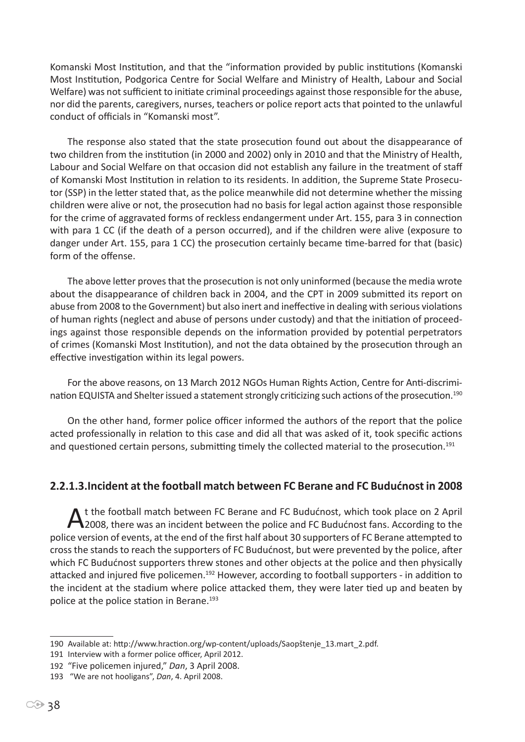Komanski Most Institution, and that the "information provided by public institutions (Komanski Most Institution, Podgorica Centre for Social Welfare and Ministry of Health, Labour and Social Welfare) was not sufficient to initiate criminal proceedings against those responsible for the abuse, nor did the parents, caregivers, nurses, teachers or police report acts that pointed to the unlawful conduct of officials in "Komanski most".

The response also stated that the state prosecution found out about the disappearance of two children from the institution (in 2000 and 2002) only in 2010 and that the Ministry of Health, Labour and Social Welfare on that occasion did not establish any failure in the treatment of staff of Komanski Most Institution in relation to its residents. In addition, the Supreme State Prosecutor (SSP) in the letter stated that, as the police meanwhile did not determine whether the missing children were alive or not, the prosecution had no basis for legal action against those responsible for the crime of aggravated forms of reckless endangerment under Art. 155, para 3 in connection with para 1 CC (if the death of a person occurred), and if the children were alive (exposure to danger under Art. 155, para 1 CC) the prosecution certainly became time-barred for that (basic) form of the offense.

The above letter proves that the prosecution is not only uninformed (because the media wrote about the disappearance of children back in 2004, and the CPT in 2009 submitted its report on abuse from 2008 to the Government) but also inert and ineffective in dealing with serious violations of human rights (neglect and abuse of persons under custody) and that the initiation of proceedings against those responsible depends on the information provided by potential perpetrators of crimes (Komanski Most Institution), and not the data obtained by the prosecution through an effective investigation within its legal powers.

For the above reasons, on 13 March 2012 NGOs Human Rights Action, Centre for Anti-discrimination EQUISTA and Shelter issued a statement strongly criticizing such actions of the prosecution.<sup>190</sup>

On the other hand, former police officer informed the authors of the report that the police acted professionally in relation to this case and did all that was asked of it, took specific actions and questioned certain persons, submitting timely the collected material to the prosecution.<sup>191</sup>

## **2.2.1.3.Incident at the football match between FC Berane and FC Budućnost in 2008**

A t the football match between FC Berane and FC Budućnost, which took place on 2 April<br>
2008, there was an incident between the police and FC Budućnost fans. According to the police version of events, at the end of the first half about 30 supporters of FC Berane attempted to cross the stands to reach the supporters of FC Budućnost, but were prevented by the police, after which FC Budućnost supporters threw stones and other objects at the police and then physically attacked and injured five policemen.<sup>192</sup> However, according to football supporters - in addition to the incident at the stadium where police attacked them, they were later tied up and beaten by police at the police station in Berane.<sup>193</sup>

<sup>190</sup> Available at: http://www.hraction.org/wp-content/uploads/Saopštenje\_13.mart\_2.pdf.

<sup>191</sup> Interview with a former police officer, April 2012.

<sup>192</sup> "Five policemen injured," *Dan*, 3 April 2008.

<sup>193 &</sup>quot;We are not hooligans", *Dan*, 4. April 2008.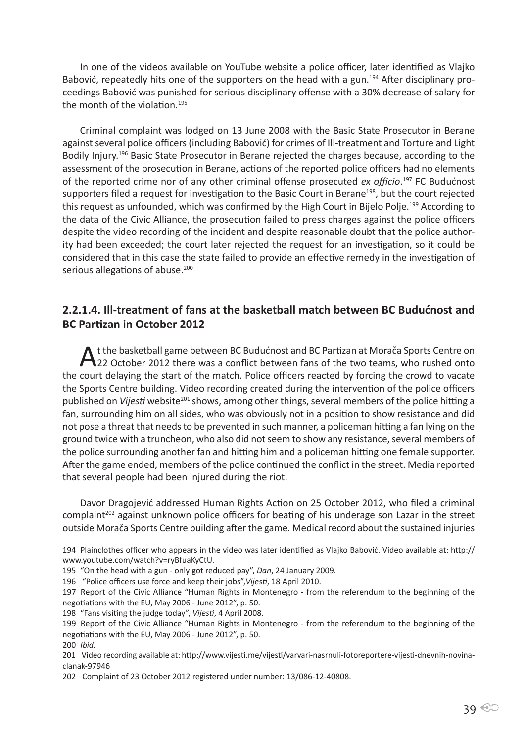In one of the videos available on YouTube website a police officer, later identified as Vlajko Babović, repeatedly hits one of the supporters on the head with a gun.<sup>194</sup> After disciplinary proceedings Babović was punished for serious disciplinary offense with a 30% decrease of salary for the month of the violation.<sup>195</sup>

Criminal complaint was lodged on 13 June 2008 with the Basic State Prosecutor in Berane against several police officers (including Babović) for crimes of Ill-treatment and Torture and Light Bodily Injury.196 Basic State Prosecutor in Berane rejected the charges because, according to the assessment of the prosecution in Berane, actions of the reported police officers had no elements of the reported crime nor of any other criminal offense prosecuted *ex officio*. <sup>197</sup> FC Budućnost supporters filed a request for investigation to the Basic Court in Berane<sup>198</sup>, but the court rejected this request as unfounded, which was confirmed by the High Court in Bijelo Polje.<sup>199</sup> According to the data of the Civic Alliance, the prosecution failed to press charges against the police officers despite the video recording of the incident and despite reasonable doubt that the police authority had been exceeded; the court later rejected the request for an investigation, so it could be considered that in this case the state failed to provide an effective remedy in the investigation of serious allegations of abuse.<sup>200</sup>

## **2.2.1.4. Ill-treatment of fans at the basketball match between BC Budućnost and BC Partizan in October 2012**

A t the basketball game between BC Budućnost and BC Partizan at Morača Sports Centre on<br>A 22 October 2012 there was a conflict between fans of the two teams, who rushed onto the court delaying the start of the match. Police officers reacted by forcing the crowd to vacate the Sports Centre building. Video recording created during the intervention of the police officers published on *Vijesti* website<sup>201</sup> shows, among other things, several members of the police hitting a fan, surrounding him on all sides, who was obviously not in a position to show resistance and did not pose a threat that needs to be prevented in such manner, a policeman hitting a fan lying on the ground twice with a truncheon, who also did not seem to show any resistance, several members of the police surrounding another fan and hitting him and a policeman hitting one female supporter. After the game ended, members of the police continued the conflict in the street. Media reported that several people had been injured during the riot.

Davor Dragojević addressed Human Rights Action on 25 October 2012, who filed a criminal complaint<sup>202</sup> against unknown police officers for beating of his underage son Lazar in the street outside Morača Sports Centre building after the game. Medical record about the sustained injuries

<sup>194</sup> Plainclothes officer who appears in the video was later identified as Vlajko Babović. Video available at: http:// www.youtube.com/watch?v=ryBfuaKyCtU.

<sup>195</sup> "On the head with a gun - only got reduced pay", *Dan*, 24 January 2009.

<sup>196 &</sup>quot;Police officers use force and keep their jobs",*Vijesti*, 18 April 2010.

<sup>197</sup> Report of the Civic Alliance "Human Rights in Montenegro - from the referendum to the beginning of the negotiations with the EU, May 2006 - June 2012", p. 50.

<sup>198</sup> "Fans visiting the judge today", *Vijesti*, 4 April 2008.

<sup>199</sup> Report of the Civic Alliance "Human Rights in Montenegro - from the referendum to the beginning of the negotiations with the EU, May 2006 - June 2012", p. 50.

<sup>200</sup> *Ibid.*

<sup>201</sup> Video recording available at: http://www.vijesti.me/vijesti/varvari-nasrnuli-fotoreportere-vijesti-dnevnih-novinaclanak-97946

<sup>202</sup> Complaint of 23 October 2012 registered under number: 13/086-12-40808.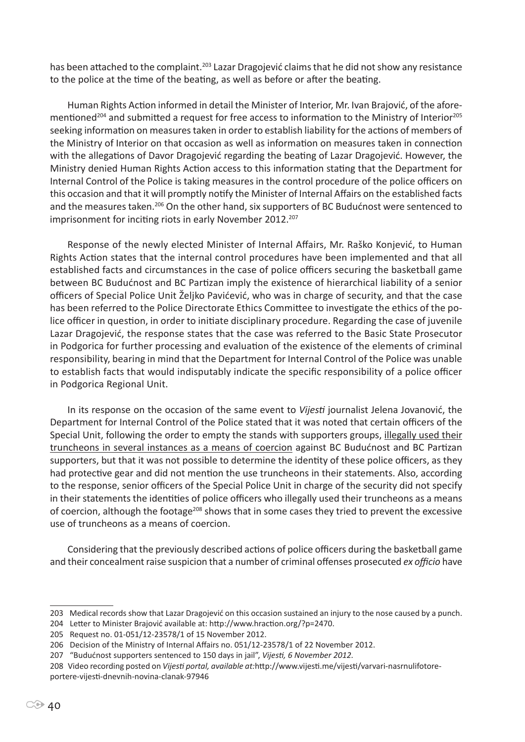has been attached to the complaint.<sup>203</sup> Lazar Dragojević claims that he did not show any resistance to the police at the time of the beating, as well as before or after the beating.

Human Rights Action informed in detail the Minister of Interior, Mr. Ivan Brajović, of the aforementioned<sup>204</sup> and submitted a request for free access to information to the Ministry of Interior<sup>205</sup> seeking information on measures taken in order to establish liability for the actions of members of the Ministry of Interior on that occasion as well as information on measures taken in connection with the allegations of Davor Dragojević regarding the beating of Lazar Dragojević. However, the Ministry denied Human Rights Action access to this information stating that the Department for Internal Control of the Police is taking measures in the control procedure of the police officers on this occasion and that it will promptly notify the Minister of Internal Affairs on the established facts and the measures taken.<sup>206</sup> On the other hand, six supporters of BC Budućnost were sentenced to imprisonment for inciting riots in early November 2012.<sup>207</sup>

Response of the newly elected Minister of Internal Affairs, Mr. Raško Konjević, to Human Rights Action states that the internal control procedures have been implemented and that all established facts and circumstances in the case of police officers securing the basketball game between BC Budućnost and BC Partizan imply the existence of hierarchical liability of a senior officers of Special Police Unit Željko Pavićević, who was in charge of security, and that the case has been referred to the Police Directorate Ethics Committee to investigate the ethics of the police officer in question, in order to initiate disciplinary procedure. Regarding the case of juvenile Lazar Dragojević, the response states that the case was referred to the Basic State Prosecutor in Podgorica for further processing and evaluation of the existence of the elements of criminal responsibility, bearing in mind that the Department for Internal Control of the Police was unable to establish facts that would indisputably indicate the specific responsibility of a police officer in Podgorica Regional Unit.

In its response on the occasion of the same event to *Vijesti* journalist Jelena Jovanović, the Department for Internal Control of the Police stated that it was noted that certain officers of the Special Unit, following the order to empty the stands with supporters groups, illegally used their truncheons in several instances as a means of coercion against BC Budućnost and BC Partizan supporters, but that it was not possible to determine the identity of these police officers, as they had protective gear and did not mention the use truncheons in their statements. Also, according to the response, senior officers of the Special Police Unit in charge of the security did not specify in their statements the identities of police officers who illegally used their truncheons as a means of coercion, although the footage<sup>208</sup> shows that in some cases they tried to prevent the excessive use of truncheons as a means of coercion.

Considering that the previously described actions of police officers during the basketball game and their concealment raise suspicion that a number of criminal offenses prosecuted *ex officio* have

<sup>203</sup> Medical records show that Lazar Dragojević on this occasion sustained an injury to the nose caused by a punch.

<sup>204</sup> Letter to Minister Brajović available at: http://www.hraction.org/?p=2470.

<sup>205</sup> Request no. 01-051/12-23578/1 of 15 November 2012.

<sup>206</sup> Decision of the Ministry of Internal Affairs no. 051/12-23578/1 of 22 November 2012.

<sup>207 &</sup>quot;Budućnost supporters sentenced to 150 days in jail", *Vijesti, 6 November 2012.*

<sup>208</sup> Video recording posted on *Vijesti portal, available at:*http://www.vijesti.me/vijesti/varvari-nasrnulifotoreportere-vijesti-dnevnih-novina-clanak-97946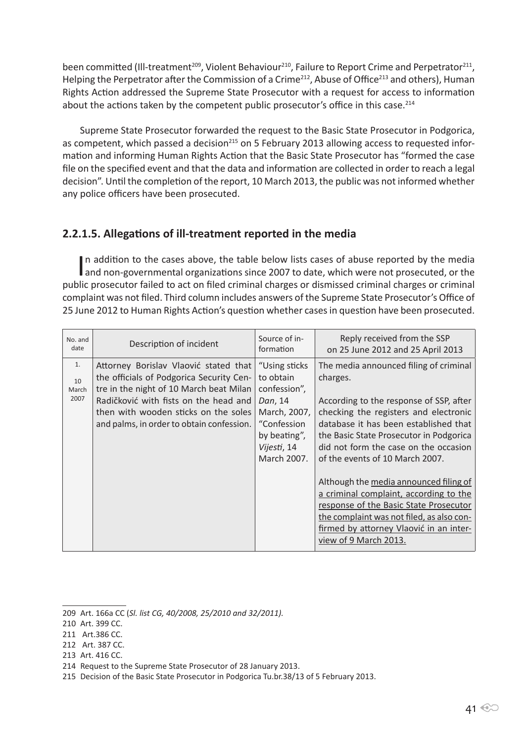been committed (Ill-treatment<sup>209</sup>, Violent Behaviour<sup>210</sup>, Failure to Report Crime and Perpetrator<sup>211</sup>, Helping the Perpetrator after the Commission of a Crime<sup>212</sup>, Abuse of Office<sup>213</sup> and others), Human Rights Action addressed the Supreme State Prosecutor with a request for access to information about the actions taken by the competent public prosecutor's office in this case.<sup>214</sup>

Supreme State Prosecutor forwarded the request to the Basic State Prosecutor in Podgorica, as competent, which passed a decision<sup>215</sup> on 5 February 2013 allowing access to requested information and informing Human Rights Action that the Basic State Prosecutor has "formed the case file on the specified event and that the data and information are collected in order to reach a legal decision". Until the completion of the report, 10 March 2013, the public was not informed whether any police officers have been prosecuted.

## **2.2.1.5. Allegations of ill-treatment reported in the media**

In addition to the cases above, the table below lists cases of abuse reported by the media and non-governmental organizations since 2007 to date, which were not prosecuted, or the n addition to the cases above, the table below lists cases of abuse reported by the media public prosecutor failed to act on filed criminal charges or dismissed criminal charges or criminal complaint was not filed. Third column includes answers of the Supreme State Prosecutor's Office of 25 June 2012 to Human Rights Action's question whether cases in question have been prosecuted.

| No. and<br>date           | Description of incident                                                                                                                                                                                                                                    | Source of in-<br>formation                                                                                                         | Reply received from the SSP<br>on 25 June 2012 and 25 April 2013                                                                                                                                                                                                                                       |
|---------------------------|------------------------------------------------------------------------------------------------------------------------------------------------------------------------------------------------------------------------------------------------------------|------------------------------------------------------------------------------------------------------------------------------------|--------------------------------------------------------------------------------------------------------------------------------------------------------------------------------------------------------------------------------------------------------------------------------------------------------|
| 1.<br>10<br>March<br>2007 | Attorney Borislav Vlaović stated that<br>the officials of Podgorica Security Cen-<br>tre in the night of 10 March beat Milan<br>Radičković with fists on the head and<br>then with wooden sticks on the soles<br>and palms, in order to obtain confession. | "Using sticks<br>to obtain<br>confession",<br>Dan, 14<br>March, 2007,<br>"Confession<br>by beating",<br>Vijesti, 14<br>March 2007. | The media announced filing of criminal<br>charges.<br>According to the response of SSP, after<br>checking the registers and electronic<br>database it has been established that<br>the Basic State Prosecutor in Podgorica<br>did not form the case on the occasion<br>of the events of 10 March 2007. |
|                           |                                                                                                                                                                                                                                                            |                                                                                                                                    | Although the media announced filing of<br>a criminal complaint, according to the<br>response of the Basic State Prosecutor<br>the complaint was not filed, as also con-<br>firmed by attorney Vlaović in an inter-<br>view of 9 March 2013.                                                            |

213 Art. 416 CC.

<sup>209</sup> Art. 166a CC (*Sl. list CG, 40/2008, 25/2010 and 32/2011).*

<sup>210</sup> Art. 399 CC.

<sup>211</sup> Art.386 CC.

<sup>212</sup> Art. 387 CC.

<sup>214</sup> Request to the Supreme State Prosecutor of 28 January 2013.

<sup>215</sup> Decision of the Basic State Prosecutor in Podgorica Tu.br.38/13 of 5 February 2013.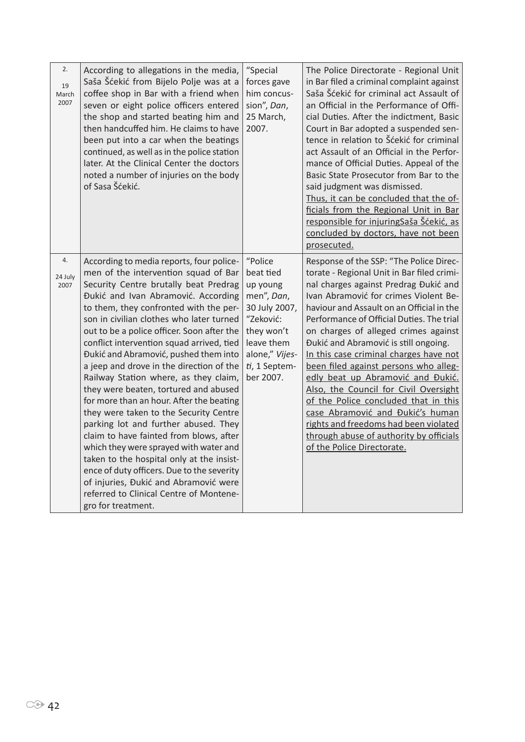| 2.<br>19<br>March<br>2007 | According to allegations in the media,<br>Saša Šćekić from Bijelo Polje was at a<br>coffee shop in Bar with a friend when<br>seven or eight police officers entered<br>the shop and started beating him and<br>then handcuffed him. He claims to have<br>been put into a car when the beatings<br>continued, as well as in the police station<br>later. At the Clinical Center the doctors<br>noted a number of injuries on the body<br>of Sasa Šćekić.                                                                                                                                                                                                                                                                                                                                                                                                                                                                                          | "Special<br>forces gave<br>him concus-<br>sion", Dan,<br>25 March,<br>2007.                                                                              | The Police Directorate - Regional Unit<br>in Bar filed a criminal complaint against<br>Saša Šćekić for criminal act Assault of<br>an Official in the Performance of Offi-<br>cial Duties. After the indictment, Basic<br>Court in Bar adopted a suspended sen-<br>tence in relation to Šćekić for criminal<br>act Assault of an Official in the Perfor-<br>mance of Official Duties. Appeal of the<br>Basic State Prosecutor from Bar to the<br>said judgment was dismissed.<br>Thus, it can be concluded that the of-<br>ficials from the Regional Unit in Bar<br>responsible for injuringSaša Šćekić, as<br>concluded by doctors, have not been<br>prosecuted.                                                  |
|---------------------------|--------------------------------------------------------------------------------------------------------------------------------------------------------------------------------------------------------------------------------------------------------------------------------------------------------------------------------------------------------------------------------------------------------------------------------------------------------------------------------------------------------------------------------------------------------------------------------------------------------------------------------------------------------------------------------------------------------------------------------------------------------------------------------------------------------------------------------------------------------------------------------------------------------------------------------------------------|----------------------------------------------------------------------------------------------------------------------------------------------------------|-------------------------------------------------------------------------------------------------------------------------------------------------------------------------------------------------------------------------------------------------------------------------------------------------------------------------------------------------------------------------------------------------------------------------------------------------------------------------------------------------------------------------------------------------------------------------------------------------------------------------------------------------------------------------------------------------------------------|
| 4.<br>24 July<br>2007     | According to media reports, four police-<br>men of the intervention squad of Bar<br>Security Centre brutally beat Predrag<br>Đukić and Ivan Abramović. According<br>to them, they confronted with the per-<br>son in civilian clothes who later turned<br>out to be a police officer. Soon after the<br>conflict intervention squad arrived, tied<br>Đukić and Abramović, pushed them into<br>a jeep and drove in the direction of the<br>Railway Station where, as they claim,<br>they were beaten, tortured and abused<br>for more than an hour. After the beating<br>they were taken to the Security Centre<br>parking lot and further abused. They<br>claim to have fainted from blows, after<br>which they were sprayed with water and<br>taken to the hospital only at the insist-<br>ence of duty officers. Due to the severity<br>of injuries, Đukić and Abramović were<br>referred to Clinical Centre of Montene-<br>gro for treatment. | "Police<br>beat tied<br>up young<br>men", Dan,<br>30 July 2007,<br>"Zeković:<br>they won't<br>leave them<br>alone," Vijes-<br>ti, 1 Septem-<br>ber 2007. | Response of the SSP: "The Police Direc-<br>torate - Regional Unit in Bar filed crimi-<br>nal charges against Predrag Đukić and<br>Ivan Abramović for crimes Violent Be-<br>haviour and Assault on an Official in the<br>Performance of Official Duties. The trial<br>on charges of alleged crimes against<br>Đukić and Abramović is still ongoing.<br>In this case criminal charges have not<br>been filed against persons who alleg-<br>edly beat up Abramović and Đukić.<br>Also, the Council for Civil Oversight<br>of the Police concluded that in this<br>case Abramović and Đukić's human<br>rights and freedoms had been violated<br>through abuse of authority by officials<br>of the Police Directorate. |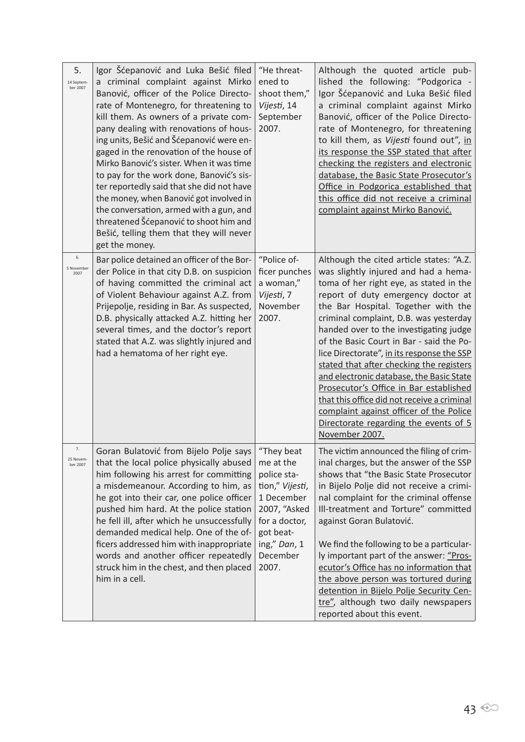| 5.<br>14 Septem-<br>ber 2007 | Igor Šćepanović and Luka Bešić filed<br>a criminal complaint against Mirko<br>Banović, officer of the Police Directo-<br>rate of Montenegro, for threatening to<br>kill them. As owners of a private com-<br>pany dealing with renovations of hous-<br>ing units, Bešić and Šćepanović were en-<br>gaged in the renovation of the house of<br>Mirko Banović's sister. When it was time<br>to pay for the work done, Banović's sis-<br>ter reportedly said that she did not have<br>the money, when Banović got involved in<br>the conversation, armed with a gun, and<br>threatened Šćepanović to shoot him and<br>Bešić, telling them that they will never<br>get the money. | "He threat-<br>ened to<br>shoot them,"<br>Vijesti, 14<br>September<br>2007.                                                                                | Although the quoted article pub-<br>lished the following: "Podgorica -<br>Igor Šćepanović and Luka Bešić filed<br>a criminal complaint against Mirko<br>Banović, officer of the Police Directo-<br>rate of Montenegro, for threatening<br>to kill them, as Vijesti found out", in<br>its response the SSP stated that after<br>checking the registers and electronic<br>database, the Basic State Prosecutor's<br>Office in Podgorica established that<br>this office did not receive a criminal<br>complaint against Mirko Banović.                                                                                                                                          |
|------------------------------|-------------------------------------------------------------------------------------------------------------------------------------------------------------------------------------------------------------------------------------------------------------------------------------------------------------------------------------------------------------------------------------------------------------------------------------------------------------------------------------------------------------------------------------------------------------------------------------------------------------------------------------------------------------------------------|------------------------------------------------------------------------------------------------------------------------------------------------------------|-------------------------------------------------------------------------------------------------------------------------------------------------------------------------------------------------------------------------------------------------------------------------------------------------------------------------------------------------------------------------------------------------------------------------------------------------------------------------------------------------------------------------------------------------------------------------------------------------------------------------------------------------------------------------------|
| 6.<br>5 November<br>2007     | Bar police detained an officer of the Bor-<br>der Police in that city D.B. on suspicion<br>of having committed the criminal act<br>of Violent Behaviour against A.Z. from<br>Prijepolje, residing in Bar. As suspected,<br>D.B. physically attacked A.Z. hitting her<br>several times, and the doctor's report<br>stated that A.Z. was slightly injured and<br>had a hematoma of her right eye.                                                                                                                                                                                                                                                                               | "Police of-<br>ficer punches<br>a woman,"<br>Vijesti, 7<br>November<br>2007.                                                                               | Although the cited article states: "A.Z.<br>was slightly injured and had a hema-<br>toma of her right eye, as stated in the<br>report of duty emergency doctor at<br>the Bar Hospital. Together with the<br>criminal complaint, D.B. was yesterday<br>handed over to the investigating judge<br>of the Basic Court in Bar - said the Po-<br>lice Directorate", in its response the SSP<br>stated that after checking the registers<br>and electronic database, the Basic State<br>Prosecutor's Office in Bar established<br>that this office did not receive a criminal<br>complaint against officer of the Police<br>Directorate regarding the events of 5<br>November 2007. |
| 7.<br>25 Novem-<br>ber 2007  | Goran Bulatović from Bijelo Polje says<br>that the local police physically abused<br>him following his arrest for committing<br>a misdemeanour. According to him, as<br>he got into their car, one police officer<br>pushed him hard. At the police station<br>he fell ill, after which he unsuccessfully<br>demanded medical help. One of the of-<br>ficers addressed him with inappropriate<br>words and another officer repeatedly<br>struck him in the chest, and then placed<br>him in a cell.                                                                                                                                                                           | "They beat<br>me at the<br>police sta-<br>tion," Vijesti,<br>1 December<br>2007, "Asked<br>for a doctor,<br>got beat-<br>ing," Dan, 1<br>December<br>2007. | The victim announced the filing of crim-<br>inal charges, but the answer of the SSP<br>shows that "the Basic State Prosecutor<br>in Bijelo Polje did not receive a crimi-<br>nal complaint for the criminal offense<br>Ill-treatment and Torture" committed<br>against Goran Bulatović.<br>We find the following to be a particular-<br>ly important part of the answer: "Pros-<br>ecutor's Office has no information that<br>the above person was tortured during<br>detention in Bijelo Polje Security Cen-<br>tre", although two daily newspapers<br>reported about this event.                                                                                            |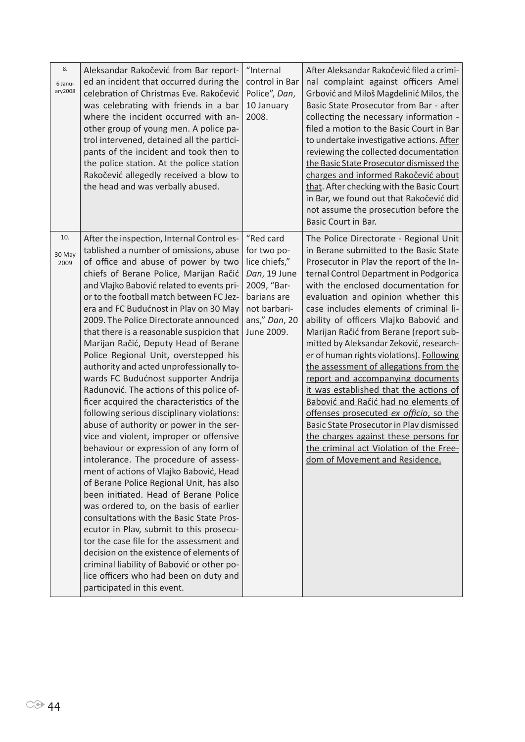| 8.<br>6 Janu-<br>ary2008 | Aleksandar Rakočević from Bar report-<br>ed an incident that occurred during the<br>celebration of Christmas Eve. Rakočević<br>was celebrating with friends in a bar<br>where the incident occurred with an-<br>other group of young men. A police pa-<br>trol intervened, detained all the partici-<br>pants of the incident and took then to<br>the police station. At the police station<br>Rakočević allegedly received a blow to<br>the head and was verbally abused.                                                                                                                                                                                                                                                                                                                                                                                                                                                                                                                                                                                                                                                                                                                                                                                                                                                                                             | "Internal<br>control in Bar<br>Police", Dan,<br>10 January<br>2008.                                                                    | After Aleksandar Rakočević filed a crimi-<br>nal complaint against officers Amel<br>Grbović and Miloš Magdelinić Milos, the<br>Basic State Prosecutor from Bar - after<br>collecting the necessary information -<br>filed a motion to the Basic Court in Bar<br>to undertake investigative actions. After<br>reviewing the collected documentation<br>the Basic State Prosecutor dismissed the<br>charges and informed Rakočević about<br>that. After checking with the Basic Court<br>in Bar, we found out that Rakočević did<br>not assume the prosecution before the<br><b>Basic Court in Bar.</b>                                                                                                                                                                                                                                                          |
|--------------------------|------------------------------------------------------------------------------------------------------------------------------------------------------------------------------------------------------------------------------------------------------------------------------------------------------------------------------------------------------------------------------------------------------------------------------------------------------------------------------------------------------------------------------------------------------------------------------------------------------------------------------------------------------------------------------------------------------------------------------------------------------------------------------------------------------------------------------------------------------------------------------------------------------------------------------------------------------------------------------------------------------------------------------------------------------------------------------------------------------------------------------------------------------------------------------------------------------------------------------------------------------------------------------------------------------------------------------------------------------------------------|----------------------------------------------------------------------------------------------------------------------------------------|----------------------------------------------------------------------------------------------------------------------------------------------------------------------------------------------------------------------------------------------------------------------------------------------------------------------------------------------------------------------------------------------------------------------------------------------------------------------------------------------------------------------------------------------------------------------------------------------------------------------------------------------------------------------------------------------------------------------------------------------------------------------------------------------------------------------------------------------------------------|
| 10.<br>30 May<br>2009    | After the inspection, Internal Control es-<br>tablished a number of omissions, abuse<br>of office and abuse of power by two<br>chiefs of Berane Police, Marijan Račić<br>and Vlajko Babović related to events pri-<br>or to the football match between FC Jez-<br>era and FC Budućnost in Plav on 30 May<br>2009. The Police Directorate announced<br>that there is a reasonable suspicion that<br>Marijan Račić, Deputy Head of Berane<br>Police Regional Unit, overstepped his<br>authority and acted unprofessionally to-<br>wards FC Budućnost supporter Andrija<br>Radunović. The actions of this police of-<br>ficer acquired the characteristics of the<br>following serious disciplinary violations:<br>abuse of authority or power in the ser-<br>vice and violent, improper or offensive<br>behaviour or expression of any form of<br>intolerance. The procedure of assess-<br>ment of actions of Vlajko Babović, Head<br>of Berane Police Regional Unit, has also<br>been initiated. Head of Berane Police<br>was ordered to, on the basis of earlier<br>consultations with the Basic State Pros-<br>ecutor in Plav, submit to this prosecu-<br>tor the case file for the assessment and<br>decision on the existence of elements of<br>criminal liability of Babović or other po-<br>lice officers who had been on duty and<br>participated in this event. | "Red card<br>for two po-<br>lice chiefs,"<br>Dan, 19 June<br>2009, "Bar-<br>barians are<br>not barbari-<br>ans," Dan, 20<br>June 2009. | The Police Directorate - Regional Unit<br>in Berane submitted to the Basic State<br>Prosecutor in Plav the report of the In-<br>ternal Control Department in Podgorica<br>with the enclosed documentation for<br>evaluation and opinion whether this<br>case includes elements of criminal li-<br>ability of officers Vlajko Babović and<br>Marijan Račić from Berane (report sub-<br>mitted by Aleksandar Zeković, research-<br>er of human rights violations). Following<br>the assessment of allegations from the<br>report and accompanying documents<br>it was established that the actions of<br>Babović and Račić had no elements of<br>offenses prosecuted ex officio, so the<br><b>Basic State Prosecutor in Play dismissed</b><br>the charges against these persons for<br>the criminal act Violation of the Free-<br>dom of Movement and Residence. |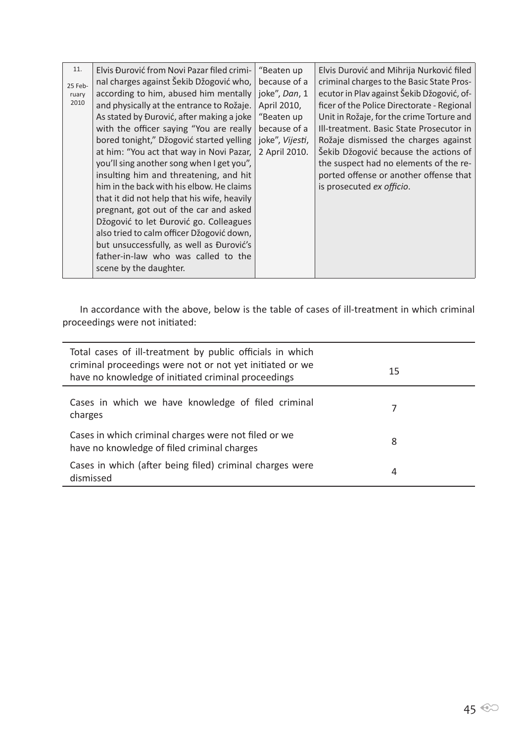In accordance with the above, below is the table of cases of ill-treatment in which criminal proceedings were not initiated:

| Total cases of ill-treatment by public officials in which<br>criminal proceedings were not or not yet initiated or we<br>have no knowledge of initiated criminal proceedings | 15 |  |
|------------------------------------------------------------------------------------------------------------------------------------------------------------------------------|----|--|
| Cases in which we have knowledge of filed criminal<br>charges                                                                                                                |    |  |
| Cases in which criminal charges were not filed or we<br>have no knowledge of filed criminal charges                                                                          | 8  |  |
| Cases in which (after being filed) criminal charges were<br>dismissed                                                                                                        | 4  |  |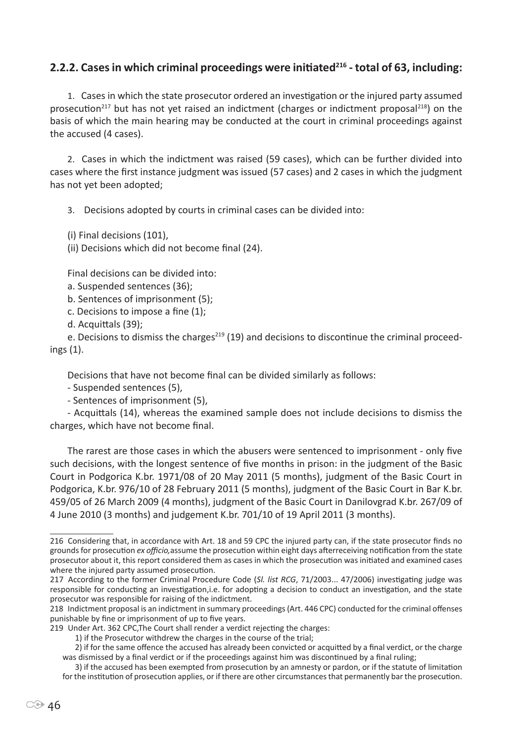## **2.2.2. Cases in which criminal proceedings were initiated<sup>216</sup> - total of 63, including:**

1. Cases in which the state prosecutor ordered an investigation or the injured party assumed prosecution<sup>217</sup> but has not yet raised an indictment (charges or indictment proposal<sup>218</sup>) on the basis of which the main hearing may be conducted at the court in criminal proceedings against the accused (4 cases).

2. Cases in which the indictment was raised (59 cases), which can be further divided into cases where the first instance judgment was issued (57 cases) and 2 cases in which the judgment has not yet been adopted;

3. Decisions adopted by courts in criminal cases can be divided into:

(i) Final decisions (101),

(ii) Decisions which did not become final (24).

Final decisions can be divided into:

- a. Suspended sentences (36);
- b. Sentences of imprisonment (5);
- c. Decisions to impose a fine (1);

d. Acquittals (39);

e. Decisions to dismiss the charges<sup>219</sup> (19) and decisions to discontinue the criminal proceedings (1).

Decisions that have not become final can be divided similarly as follows:

- Suspended sentences (5),

- Sentences of imprisonment (5),

- Acquittals (14), whereas the examined sample does not include decisions to dismiss the charges, which have not become final.

The rarest are those cases in which the abusers were sentenced to imprisonment - only five such decisions, with the longest sentence of five months in prison: in the judgment of the Basic Court in Podgorica K.br. 1971/08 of 20 May 2011 (5 months), judgment of the Basic Court in Podgorica, K.br. 976/10 of 28 February 2011 (5 months), judgment of the Basic Court in Bar K.br. 459/05 of 26 March 2009 (4 months), judgment of the Basic Court in Danilovgrad K.br. 267/09 of 4 June 2010 (3 months) and judgement K.br. 701/10 of 19 April 2011 (3 months).

<sup>216</sup> Considering that, in accordance with Art. 18 and 59 CPC the injured party can, if the state prosecutor finds no grounds for prosecution *ex officio,*assume the prosecution within eight days afterreceiving notification from the state prosecutor about it, this report considered them as cases in which the prosecution was initiated and examined cases where the injured party assumed prosecution.

<sup>217</sup> According to the former Criminal Procedure Code (*Sl. list RCG*, 71/2003... 47/2006) investigating judge was responsible for conducting an investigation,i.e. for adopting a decision to conduct an investigation, and the state prosecutor was responsible for raising of the indictment.

<sup>218</sup> Indictment proposal is an indictment in summary proceedings (Art. 446 CPC) conducted for the criminal offenses punishable by fine or imprisonment of up to five years.

<sup>219</sup> Under Art. 362 CPC,The Court shall render a verdict rejecting the charges:

<sup>1)</sup> if the Prosecutor withdrew the charges in the course of the trial;

<sup>2)</sup> if for the same offence the accused has already been convicted or acquitted by a final verdict, or the charge was dismissed by a final verdict or if the proceedings against him was discontinued by a final ruling;

<sup>3)</sup> if the accused has been exempted from prosecution by an amnesty or pardon, or if the statute of limitation for the institution of prosecution applies, or if there are other circumstances that permanently bar the prosecution.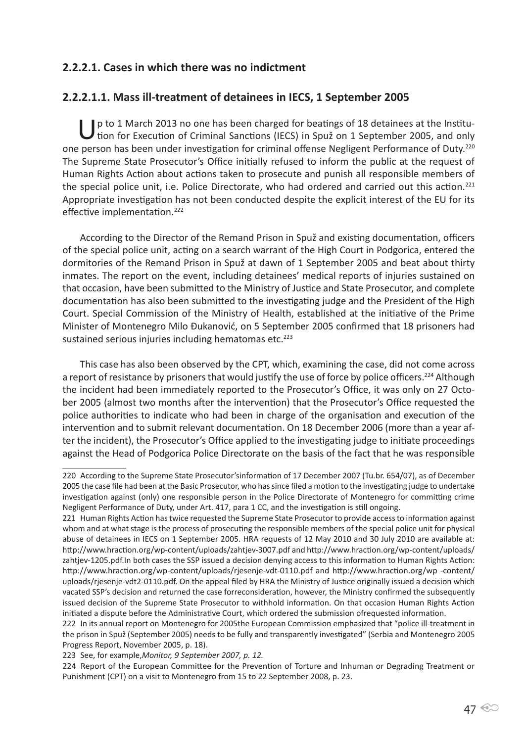## **2.2.2.1. Cases in which there was no indictment**

### **2.2.2.1.1. Mass ill-treatment of detainees in IECS, 1 September 2005**

U p to 1 March 2013 no one has been charged for beatings of 18 detainees at the Institution for Execution of Criminal Sanctions (IECS) in Spuž on 1 September 2005, and only one person has been under investigation for criminal offense Negligent Performance of Duty.<sup>220</sup> The Supreme State Prosecutor's Office initially refused to inform the public at the request of Human Rights Action about actions taken to prosecute and punish all responsible members of the special police unit, i.e. Police Directorate, who had ordered and carried out this action.<sup>221</sup> Appropriate investigation has not been conducted despite the explicit interest of the EU for its effective implementation.<sup>222</sup>

According to the Director of the Remand Prison in Spuž and existing documentation, officers of the special police unit, acting on a search warrant of the High Court in Podgorica, entered the dormitories of the Remand Prison in Spuž at dawn of 1 September 2005 and beat about thirty inmates. The report on the event, including detainees' medical reports of injuries sustained on that occasion, have been submitted to the Ministry of Justice and State Prosecutor, and complete documentation has also been submitted to the investigating judge and the President of the High Court. Special Commission of the Ministry of Health, established at the initiative of the Prime Minister of Montenegro Milo Đukanović, on 5 September 2005 confirmed that 18 prisoners had sustained serious injuries including hematomas etc.<sup>223</sup>

This case has also been observed by the CPT, which, examining the case, did not come across a report of resistance by prisoners that would justify the use of force by police officers.<sup>224</sup> Although the incident had been immediately reported to the Prosecutor's Office, it was only on 27 October 2005 (almost two months after the intervention) that the Prosecutor's Office requested the police authorities to indicate who had been in charge of the organisation and execution of the intervention and to submit relevant documentation. On 18 December 2006 (more than a year after the incident), the Prosecutor's Office applied to the investigating judge to initiate proceedings against the Head of Podgorica Police Directorate on the basis of the fact that he was responsible

<sup>220</sup> According to the Supreme State Prosecutor'sinformation of 17 December 2007 (Tu.br. 654/07), as of December 2005 the case file had been at the Basic Prosecutor, who has since filed a motion to the investigating judge to undertake investigation against (only) one responsible person in the Police Directorate of Montenegro for committing crime Negligent Performance of Duty, under Art. 417, para 1 CC, and the investigation is still ongoing.

<sup>221</sup> Human Rights Action has twice requested the Supreme State Prosecutor to provide access to information against whom and at what stage is the process of prosecuting the responsible members of the special police unit for physical abuse of detainees in IECS on 1 September 2005. HRA requests of 12 May 2010 and 30 July 2010 are available at: http://www.hraction.org/wp-content/uploads/zahtjev-3007.pdf and http://www.hraction.org/wp-content/uploads/ zahtjev-1205.pdf.In both cases the SSP issued a decision denying access to this information to Human Rights Action: http://www.hraction.org/wp-content/uploads/rjesenje-vdt-0110.pdf and http://www.hraction.org/wp -content/ uploads/rjesenje-vdt2-0110.pdf. On the appeal filed by HRA the Ministry of Justice originally issued a decision which vacated SSP's decision and returned the case forreconsideration, however, the Ministry confirmed the subsequently issued decision of the Supreme State Prosecutor to withhold information. On that occasion Human Rights Action initiated a dispute before the Administrative Court, which ordered the submission ofrequested information.

<sup>222</sup> In its annual report on Montenegro for 2005the European Commission emphasized that "police ill-treatment in the prison in Spuž (September 2005) needs to be fully and transparently investigated" (Serbia and Montenegro 2005 Progress Report, November 2005, p. 18).

<sup>223</sup> See, for example,*Monitor, 9 September 2007, p. 12.* 

<sup>224</sup> Report of the European Committee for the Prevention of Torture and Inhuman or Degrading Treatment or Punishment (CPT) on a visit to Montenegro from 15 to 22 September 2008, p. 23.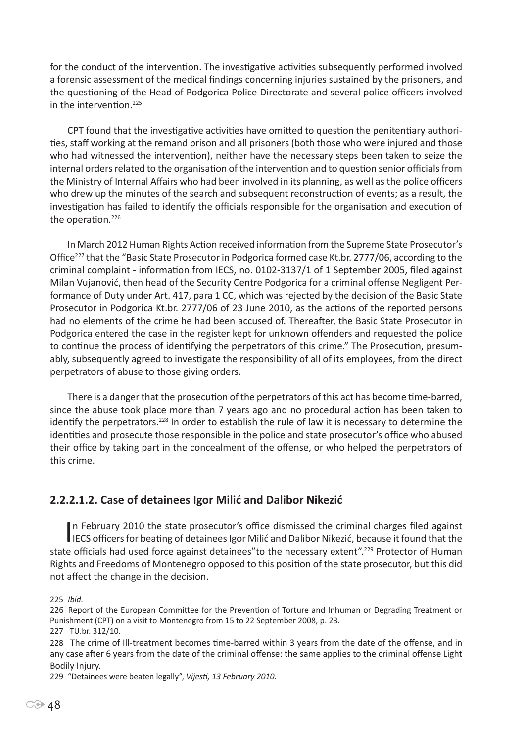for the conduct of the intervention. The investigative activities subsequently performed involved a forensic assessment of the medical findings concerning injuries sustained by the prisoners, and the questioning of the Head of Podgorica Police Directorate and several police officers involved in the intervention.<sup>225</sup>

CPT found that the investigative activities have omitted to question the penitentiary authorities, staff working at the remand prison and all prisoners (both those who were injured and those who had witnessed the intervention), neither have the necessary steps been taken to seize the internal orders related to the organisation of the intervention and to question senior officials from the Ministry of Internal Affairs who had been involved in its planning, as well as the police officers who drew up the minutes of the search and subsequent reconstruction of events; as a result, the investigation has failed to identify the officials responsible for the organisation and execution of the operation.<sup>226</sup>

In March 2012 Human Rights Action received information from the Supreme State Prosecutor's Office227 that the "Basic State Prosecutor in Podgorica formed case Kt.br. 2777/06, according to the criminal complaint - information from IECS, no. 0102-3137/1 of 1 September 2005, filed against Milan Vujanović, then head of the Security Centre Podgorica for a criminal offense Negligent Performance of Duty under Art. 417, para 1 CC, which was rejected by the decision of the Basic State Prosecutor in Podgorica Kt.br. 2777/06 of 23 June 2010, as the actions of the reported persons had no elements of the crime he had been accused of. Thereafter, the Basic State Prosecutor in Podgorica entered the case in the register kept for unknown offenders and requested the police to continue the process of identifying the perpetrators of this crime." The Prosecution, presumably, subsequently agreed to investigate the responsibility of all of its employees, from the direct perpetrators of abuse to those giving orders.

There is a danger that the prosecution of the perpetrators of this act has become time-barred, since the abuse took place more than 7 years ago and no procedural action has been taken to identify the perpetrators.<sup>228</sup> In order to establish the rule of law it is necessary to determine the identities and prosecute those responsible in the police and state prosecutor's office who abused their office by taking part in the concealment of the offense, or who helped the perpetrators of this crime.

## **2.2.2.1.2. Case of detainees Igor Milić and Dalibor Nikezić**

In February 2010 the state prosecutor's office dismissed the criminal charges filed against<br>IECS officers for beating of detainees Igor Milić and Dalibor Nikezić, because it found that the n February 2010 the state prosecutor's office dismissed the criminal charges filed against state officials had used force against detainees"to the necessary extent".229 Protector of Human Rights and Freedoms of Montenegro opposed to this position of the state prosecutor, but this did not affect the change in the decision.

<sup>225</sup> *Ibid.* 

<sup>226</sup> Report of the European Committee for the Prevention of Torture and Inhuman or Degrading Treatment or Punishment (CPT) on a visit to Montenegro from 15 to 22 September 2008, p. 23.

<sup>227</sup> TU.br. 312/10.

<sup>228</sup> The crime of Ill-treatment becomes time-barred within 3 years from the date of the offense, and in any case after 6 years from the date of the criminal offense: the same applies to the criminal offense Light Bodily Injury.

<sup>229</sup> "Detainees were beaten legally", *Vijesti, 13 February 2010.*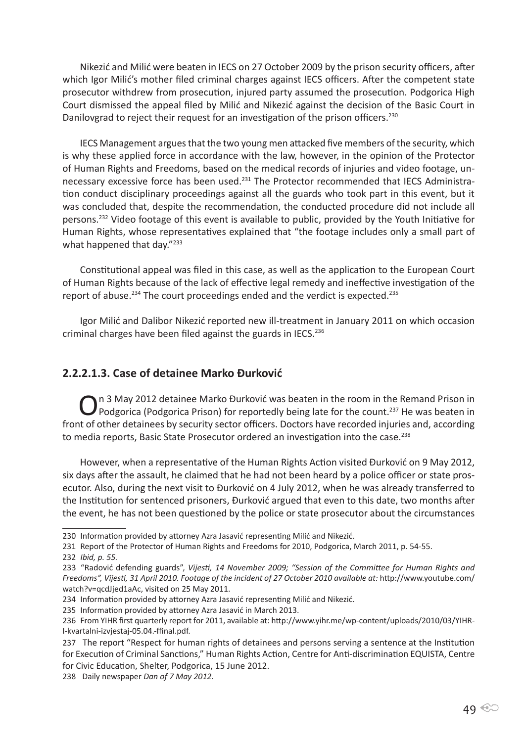Nikezić and Milić were beaten in IECS on 27 October 2009 by the prison security officers, after which Igor Milić's mother filed criminal charges against IECS officers. After the competent state prosecutor withdrew from prosecution, injured party assumed the prosecution. Podgorica High Court dismissed the appeal filed by Milić and Nikezić against the decision of the Basic Court in Danilovgrad to reject their request for an investigation of the prison officers.<sup>230</sup>

IECS Management argues that the two young men attacked five members of the security, which is why these applied force in accordance with the law, however, in the opinion of the Protector of Human Rights and Freedoms, based on the medical records of injuries and video footage, unnecessary excessive force has been used.<sup>231</sup> The Protector recommended that IECS Administration conduct disciplinary proceedings against all the guards who took part in this event, but it was concluded that, despite the recommendation, the conducted procedure did not include all persons.232 Video footage of this event is available to public, provided by the Youth Initiative for Human Rights, whose representatives explained that "the footage includes only a small part of what happened that day."233

Constitutional appeal was filed in this case, as well as the application to the European Court of Human Rights because of the lack of effective legal remedy and ineffective investigation of the report of abuse.<sup>234</sup> The court proceedings ended and the verdict is expected.<sup>235</sup>

Igor Milić and Dalibor Nikezić reported new ill-treatment in January 2011 on which occasion criminal charges have been filed against the guards in IECS.<sup>236</sup>

## **2.2.2.1.3. Case of detainee Marko Đurković**

○ n 3 May 2012 detainee Marko Đurković was beaten in the room in the Remand Prison in prison in Prison in Prison in front of other detainees by security sector officers. Doctors have recorded injuries and, according to media reports, Basic State Prosecutor ordered an investigation into the case.<sup>238</sup>

However, when a representative of the Human Rights Action visited Đurković on 9 May 2012, six days after the assault, he claimed that he had not been heard by a police officer or state prosecutor. Also, during the next visit to Đurković on 4 July 2012, when he was already transferred to the Institution for sentenced prisoners, Đurković argued that even to this date, two months after the event, he has not been questioned by the police or state prosecutor about the circumstances

<sup>230</sup> Information provided by attorney Azra Jasavić representing Milić and Nikezić.

<sup>231</sup> Report of the Protector of Human Rights and Freedoms for 2010, Podgorica, March 2011, p. 54-55. 232 *Ibid, p. 55.*

<sup>233</sup> "Radović defending guards", *Vijesti, 14 November 2009; "Session of the Committee for Human Rights and Freedoms", Vijesti, 31 April 2010. Footage of the incident of 27 October 2010 available at:* http://www.youtube.com/ watch?v=qcdJjed1aAc, visited on 25 May 2011.

<sup>234</sup> Information provided by attorney Azra Jasavić representing Milić and Nikezić.

<sup>235</sup> Information provided by attorney Azra Jasavić in March 2013.

<sup>236</sup> From YIHR first quarterly report for 2011, available at: http://www.yihr.me/wp-content/uploads/2010/03/YIHR-I-kvartalni-izvjestaj-05.04.-ffinal.pdf.

<sup>237</sup> The report "Respect for human rights of detainees and persons serving a sentence at the Institution for Execution of Criminal Sanctions," Human Rights Action, Centre for Anti-discrimination EQUISTA, Centre for Civic Education, Shelter, Podgorica, 15 June 2012.

<sup>238</sup> Daily newspaper *Dan of 7 May 2012.*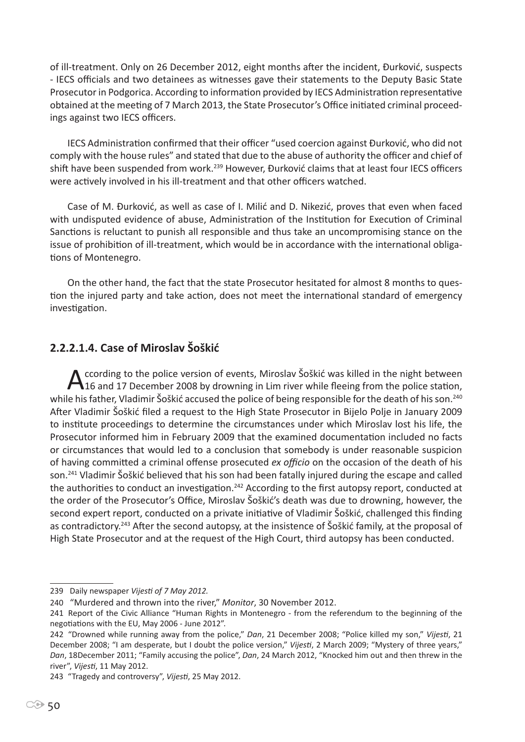of ill-treatment. Only on 26 December 2012, eight months after the incident, Đurković, suspects - IECS officials and two detainees as witnesses gave their statements to the Deputy Basic State Prosecutor in Podgorica. According to information provided by IECS Administration representative obtained at the meeting of 7 March 2013, the State Prosecutor's Office initiated criminal proceedings against two IECS officers.

IECS Administration confirmed that their officer "used coercion against Đurković, who did not comply with the house rules" and stated that due to the abuse of authority the officer and chief of shift have been suspended from work.<sup>239</sup> However, Đurković claims that at least four IECS officers were actively involved in his ill-treatment and that other officers watched.

Case of M. Đurković, as well as case of I. Milić and D. Nikezić, proves that even when faced with undisputed evidence of abuse, Administration of the Institution for Execution of Criminal Sanctions is reluctant to punish all responsible and thus take an uncompromising stance on the issue of prohibition of ill-treatment, which would be in accordance with the international obligations of Montenegro.

On the other hand, the fact that the state Prosecutor hesitated for almost 8 months to question the injured party and take action, does not meet the international standard of emergency investigation.

## **2.2.2.1.4. Case of Miroslav Šoškić**

According to the police version of events, Miroslav Šoškić was killed in the night between<br>16 and 17 December 2008 by drowning in Lim river while fleeing from the police station, while his father, Vladimir Šoškić accused the police of being responsible for the death of his son.<sup>240</sup> After Vladimir Šoškić filed a request to the High State Prosecutor in Bijelo Polje in January 2009 to institute proceedings to determine the circumstances under which Miroslav lost his life, the Prosecutor informed him in February 2009 that the examined documentation included no facts or circumstances that would led to a conclusion that somebody is under reasonable suspicion of having committed a criminal offense prosecuted *ex officio* on the occasion of the death of his son.<sup>241</sup> Vladimir Šoškić believed that his son had been fatally injured during the escape and called the authorities to conduct an investigation.<sup>242</sup> According to the first autopsy report, conducted at the order of the Prosecutor's Office, Miroslav Šoškić's death was due to drowning, however, the second expert report, conducted on a private initiative of Vladimir Šoškić, challenged this finding as contradictory.243 After the second autopsy, at the insistence of Šoškić family, at the proposal of High State Prosecutor and at the request of the High Court, third autopsy has been conducted.

<sup>239</sup> Daily newspaper *Vijesti of 7 May 2012.*

<sup>240</sup> "Murdered and thrown into the river," *Monitor*, 30 November 2012.

<sup>241</sup> Report of the Civic Alliance "Human Rights in Montenegro - from the referendum to the beginning of the negotiations with the EU, May 2006 - June 2012".

<sup>242</sup> "Drowned while running away from the police," *Dan*, 21 December 2008; "Police killed my son," *Vijesti*, 21 December 2008; "I am desperate, but I doubt the police version," *Vijesti*, 2 March 2009; "Mystery of three years," *Dan*, 18December 2011; "Family accusing the police", *Dan*, 24 March 2012, "Knocked him out and then threw in the river", *Vijesti*, 11 May 2012.

<sup>243</sup> "Tragedy and controversy", *Vijesti*, 25 May 2012.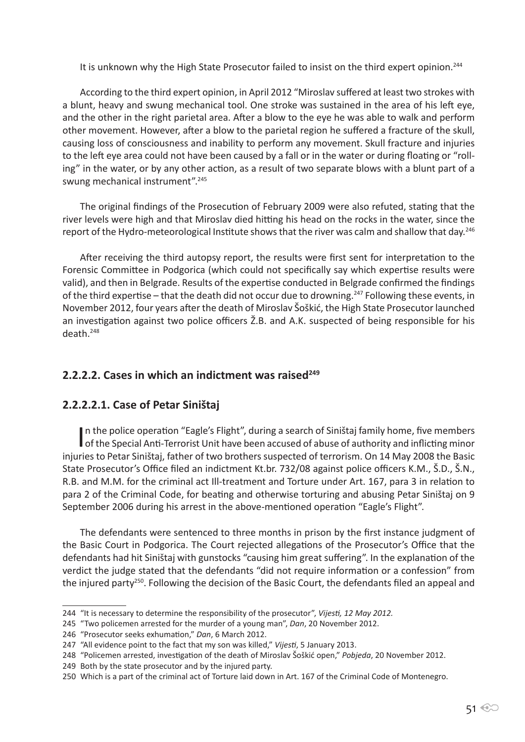It is unknown why the High State Prosecutor failed to insist on the third expert opinion.<sup>244</sup>

According to the third expert opinion, in April 2012 "Miroslav suffered at least two strokes with a blunt, heavy and swung mechanical tool. One stroke was sustained in the area of his left eye, and the other in the right parietal area. After a blow to the eye he was able to walk and perform other movement. However, after a blow to the parietal region he suffered a fracture of the skull, causing loss of consciousness and inability to perform any movement. Skull fracture and injuries to the left eye area could not have been caused by a fall or in the water or during floating or "rolling" in the water, or by any other action, as a result of two separate blows with a blunt part of a swung mechanical instrument".<sup>245</sup>

The original findings of the Prosecution of February 2009 were also refuted, stating that the river levels were high and that Miroslav died hitting his head on the rocks in the water, since the report of the Hydro-meteorological Institute shows that the river was calm and shallow that day.<sup>246</sup>

After receiving the third autopsy report, the results were first sent for interpretation to the Forensic Committee in Podgorica (which could not specifically say which expertise results were valid), and then in Belgrade. Results of the expertise conducted in Belgrade confirmed the findings of the third expertise – that the death did not occur due to drowning.247 Following these events, in November 2012, four years after the death of Miroslav Šoškić, the High State Prosecutor launched an investigation against two police officers Ž.B. and A.K. suspected of being responsible for his death.<sup>248</sup>

### **2.2.2.2. Cases in which an indictment was raised<sup>249</sup>**

#### **2.2.2.2.1. Case of Petar Siništaj**

In the police operation "Eagle's Flight", during a search of Siništaj family home, five members<br>of the Special Anti-Terrorist Unit have been accused of abuse of authority and inflicting minor of the Special Anti-Terrorist Unit have been accused of abuse of authority and inflicting minor injuries to Petar Siništaj, father of two brothers suspected of terrorism. On 14 May 2008 the Basic State Prosecutor's Office filed an indictment Kt.br. 732/08 against police officers K.M., Š.D., Š.N., R.B. and M.M. for the criminal act Ill-treatment and Torture under Art. 167, para 3 in relation to para 2 of the Criminal Code, for beating and otherwise torturing and abusing Petar Siništaj on 9 September 2006 during his arrest in the above-mentioned operation "Eagle's Flight".

The defendants were sentenced to three months in prison by the first instance judgment of the Basic Court in Podgorica. The Court rejected allegations of the Prosecutor's Office that the defendants had hit Siništaj with gunstocks "causing him great suffering". In the explanation of the verdict the judge stated that the defendants "did not require information or a confession" from the injured party<sup>250</sup>. Following the decision of the Basic Court, the defendants filed an appeal and

<sup>244</sup> "It is necessary to determine the responsibility of the prosecutor", *Vijesti, 12 May 2012.*

<sup>245</sup> "Two policemen arrested for the murder of a young man", *Dan*, 20 November 2012.

<sup>246</sup> "Prosecutor seeks exhumation," *Dan*, 6 March 2012.

<sup>247</sup> "All evidence point to the fact that my son was killed," *Vijesti*, 5 January 2013.

<sup>248</sup> "Policemen arrested, investigation of the death of Miroslav Šoškić open," *Pobjeda*, 20 November 2012.

<sup>249</sup> Both by the state prosecutor and by the injured party.

<sup>250</sup> Which is a part of the criminal act of Torture laid down in Art. 167 of the Criminal Code of Montenegro.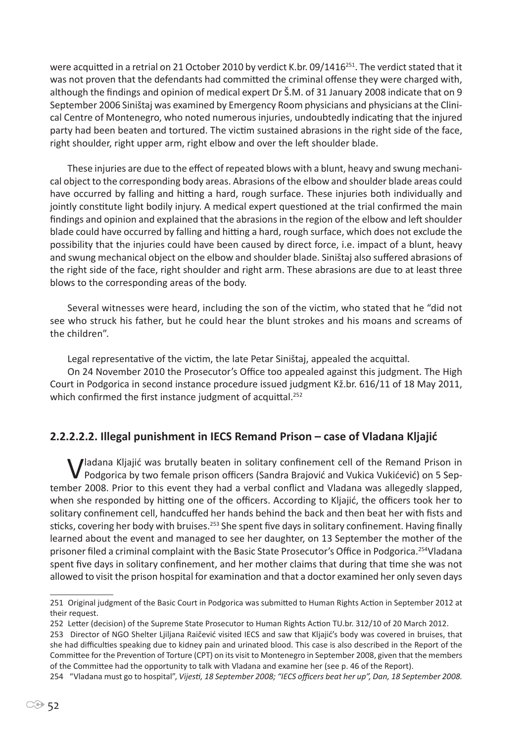were acquitted in a retrial on 21 October 2010 by verdict K.br. 09/1416<sup>251</sup>. The verdict stated that it was not proven that the defendants had committed the criminal offense they were charged with, although the findings and opinion of medical expert Dr Š.M. of 31 January 2008 indicate that on 9 September 2006 Siništaj was examined by Emergency Room physicians and physicians at the Clinical Centre of Montenegro, who noted numerous injuries, undoubtedly indicating that the injured party had been beaten and tortured. The victim sustained abrasions in the right side of the face, right shoulder, right upper arm, right elbow and over the left shoulder blade.

These injuries are due to the effect of repeated blows with a blunt, heavy and swung mechanical object to the corresponding body areas. Abrasions of the elbow and shoulder blade areas could have occurred by falling and hitting a hard, rough surface. These injuries both individually and jointly constitute light bodily injury. A medical expert questioned at the trial confirmed the main findings and opinion and explained that the abrasions in the region of the elbow and left shoulder blade could have occurred by falling and hitting a hard, rough surface, which does not exclude the possibility that the injuries could have been caused by direct force, i.e. impact of a blunt, heavy and swung mechanical object on the elbow and shoulder blade. Siništaj also suffered abrasions of the right side of the face, right shoulder and right arm. These abrasions are due to at least three blows to the corresponding areas of the body.

Several witnesses were heard, including the son of the victim, who stated that he "did not see who struck his father, but he could hear the blunt strokes and his moans and screams of the children".

Legal representative of the victim, the late Petar Siništaj, appealed the acquittal.

On 24 November 2010 the Prosecutor's Office too appealed against this judgment. The High Court in Podgorica in second instance procedure issued judgment Kž.br. 616/11 of 18 May 2011, which confirmed the first instance judgment of acquittal.<sup>252</sup>

## **2.2.2.2.2. Illegal punishment in IECS Remand Prison – case of Vladana Kljajić**

**Vadana Kljajić was brutally beaten in solitary confinement cell of the Remand Prison in** Podgorica by two female prison officers (Sandra Brajović and Vukica Vukićević) on 5 September 2008. Prior to this event they had a verbal conflict and Vladana was allegedly slapped, when she responded by hitting one of the officers. According to Kljajić, the officers took her to solitary confinement cell, handcuffed her hands behind the back and then beat her with fists and sticks, covering her body with bruises.<sup>253</sup> She spent five days in solitary confinement. Having finally learned about the event and managed to see her daughter, on 13 September the mother of the prisoner filed a criminal complaint with the Basic State Prosecutor's Office in Podgorica.254Vladana spent five days in solitary confinement, and her mother claims that during that time she was not allowed to visit the prison hospital for examination and that a doctor examined her only seven days

<sup>251</sup> Original judgment of the Basic Court in Podgorica was submitted to Human Rights Action in September 2012 at their request.

<sup>252</sup> Letter (decision) of the Supreme State Prosecutor to Human Rights Action TU.br. 312/10 of 20 March 2012.

<sup>253</sup> Director of NGO Shelter Ljiljana Raičević visited IECS and saw that Kljajić's body was covered in bruises, that she had difficulties speaking due to kidney pain and urinated blood. This case is also described in the Report of the Committee for the Prevention of Torture (CPT) on its visit to Montenegro in September 2008, given that the members of the Committee had the opportunity to talk with Vladana and examine her (see p. 46 of the Report).

<sup>254 &</sup>quot;Vladana must go to hospital", *Vijesti, 18 September 2008; "IECS officers beat her up", Dan, 18 September 2008.*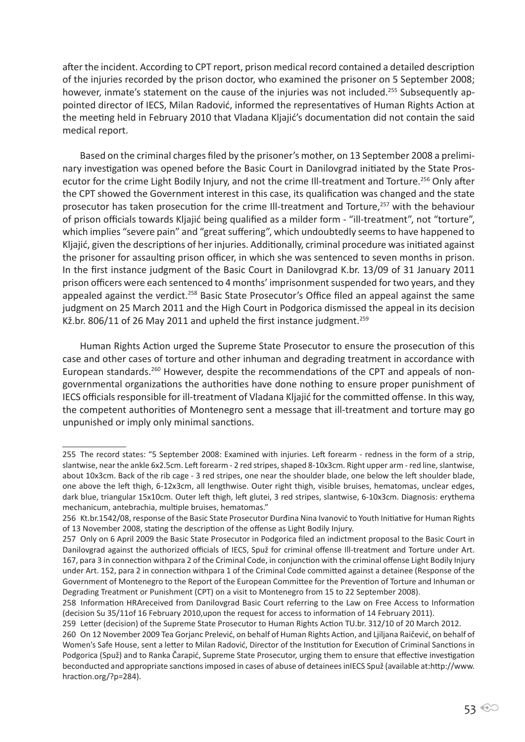after the incident. According to CPT report, prison medical record contained a detailed description of the injuries recorded by the prison doctor, who examined the prisoner on 5 September 2008; however, inmate's statement on the cause of the injuries was not included.<sup>255</sup> Subsequently appointed director of IECS, Milan Radović, informed the representatives of Human Rights Action at the meeting held in February 2010 that Vladana Kljajić's documentation did not contain the said medical report.

Based on the criminal charges filed by the prisoner's mother, on 13 September 2008 a preliminary investigation was opened before the Basic Court in Danilovgrad initiated by the State Prosecutor for the crime Light Bodily Injury, and not the crime Ill-treatment and Torture.<sup>256</sup> Only after the CPT showed the Government interest in this case, its qualification was changed and the state prosecutor has taken prosecution for the crime III-treatment and Torture,<sup>257</sup> with the behaviour of prison officials towards Kljajić being qualified as a milder form - "ill-treatment", not "torture", which implies "severe pain" and "great suffering", which undoubtedly seems to have happened to Kljajić, given the descriptions of her injuries. Additionally, criminal procedure was initiated against the prisoner for assaulting prison officer, in which she was sentenced to seven months in prison. In the first instance judgment of the Basic Court in Danilovgrad K.br. 13/09 of 31 January 2011 prison officers were each sentenced to 4 months' imprisonment suspended for two years, and they appealed against the verdict.<sup>258</sup> Basic State Prosecutor's Office filed an appeal against the same judgment on 25 March 2011 and the High Court in Podgorica dismissed the appeal in its decision Kž.br. 806/11 of 26 May 2011 and upheld the first instance judgment.<sup>259</sup>

Human Rights Action urged the Supreme State Prosecutor to ensure the prosecution of this case and other cases of torture and other inhuman and degrading treatment in accordance with European standards.<sup>260</sup> However, despite the recommendations of the CPT and appeals of nongovernmental organizations the authorities have done nothing to ensure proper punishment of IECS officials responsible for ill-treatment of Vladana Kljajić for the committed offense. In this way, the competent authorities of Montenegro sent a message that ill-treatment and torture may go unpunished or imply only minimal sanctions.

<sup>255</sup> The record states: "5 September 2008: Examined with injuries. Left forearm - redness in the form of a strip, slantwise, near the ankle 6x2.5cm. Left forearm - 2 red stripes, shaped 8-10x3cm. Right upper arm - red line, slantwise, about 10x3cm. Back of the rib cage - 3 red stripes, one near the shoulder blade, one below the left shoulder blade, one above the left thigh, 6-12x3cm, all lengthwise. Outer right thigh, visible bruises, hematomas, unclear edges, dark blue, triangular 15x10cm. Outer left thigh, left glutei, 3 red stripes, slantwise, 6-10x3cm. Diagnosis: erythema mechanicum, antebrachia, multiple bruises, hematomas."

<sup>256</sup> Kt.br.1542/08, response of the Basic State Prosecutor Đurđina Nina Ivanović to Youth Initiative for Human Rights of 13 November 2008, stating the description of the offense as Light Bodily Injury.

<sup>257</sup> Only on 6 April 2009 the Basic State Prosecutor in Podgorica filed an indictment proposal to the Basic Court in Danilovgrad against the authorized officials of IECS, Spuž for criminal offense Ill-treatment and Torture under Art. 167, para 3 in connection withpara 2 of the Criminal Code, in conjunction with the criminal offense Light Bodily Injury under Art. 152, para 2 in connection withpara 1 of the Criminal Code committed against a detainee (Response of the Government of Montenegro to the Report of the European Committee for the Prevention of Torture and Inhuman or Degrading Treatment or Punishment (CPT) on a visit to Montenegro from 15 to 22 September 2008).

<sup>258</sup> Information HRAreceived from Danilovgrad Basic Court referring to the Law on Free Access to Information (decision Su 35/11of 16 February 2010,upon the request for access to information of 14 February 2011).

<sup>259</sup> Letter (decision) of the Supreme State Prosecutor to Human Rights Action TU.br. 312/10 of 20 March 2012.

<sup>260</sup> On 12 November 2009 Tea Gorjanc Prelević, on behalf of Human Rights Action, and Ljiljana Raičević, on behalf of Women's Safe House, sent a letter to Milan Radović, Director of the Institution for Execution of Criminal Sanctions in Podgorica (Spuž) and to Ranka Čarapić, Supreme State Prosecutor, urging them to ensure that effective investigation beconducted and appropriate sanctions imposed in cases of abuse of detainees inIECS Spuž (available at:http://www. hraction.org/?p=284).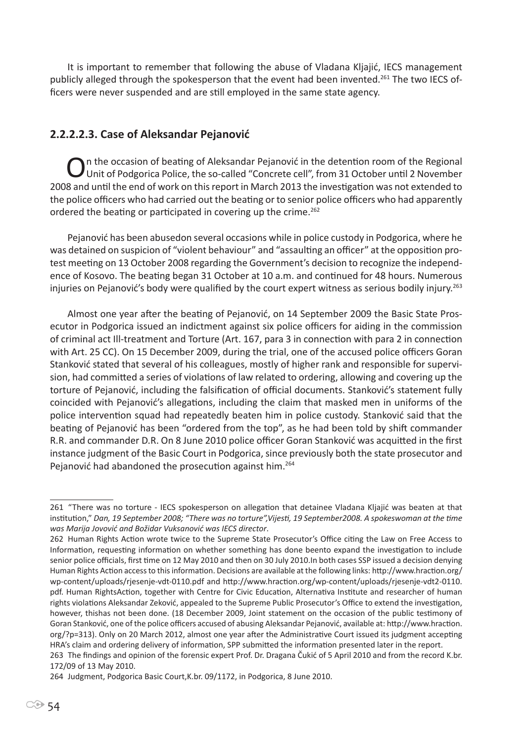It is important to remember that following the abuse of Vladana Kljajić, IECS management publicly alleged through the spokesperson that the event had been invented.<sup>261</sup> The two IECS officers were never suspended and are still employed in the same state agency.

### **2.2.2.2.3. Case of Aleksandar Pejanović**

On the occasion of beating of Aleksandar Pejanović in the detention room of the Regional<br>Unit of Podgorica Police, the so-called "Concrete cell", from 31 October until 2 November 2008 and until the end of work on this report in March 2013 the investigation was not extended to the police officers who had carried out the beating or to senior police officers who had apparently ordered the beating or participated in covering up the crime.<sup>262</sup>

Pejanović has been abusedon several occasions while in police custody in Podgorica, where he was detained on suspicion of "violent behaviour" and "assaulting an officer" at the opposition protest meeting on 13 October 2008 regarding the Government's decision to recognize the independence of Kosovo. The beating began 31 October at 10 a.m. and continued for 48 hours. Numerous injuries on Pejanović's body were qualified by the court expert witness as serious bodily injury.<sup>263</sup>

Almost one year after the beating of Pejanović, on 14 September 2009 the Basic State Prosecutor in Podgorica issued an indictment against six police officers for aiding in the commission of criminal act Ill-treatment and Torture (Art. 167, para 3 in connection with para 2 in connection with Art. 25 CC). On 15 December 2009, during the trial, one of the accused police officers Goran Stanković stated that several of his colleagues, mostly of higher rank and responsible for supervision, had committed a series of violations of law related to ordering, allowing and covering up the torture of Pejanović, including the falsification of official documents. Stanković's statement fully coincided with Pejanović's allegations, including the claim that masked men in uniforms of the police intervention squad had repeatedly beaten him in police custody. Stanković said that the beating of Pejanović has been "ordered from the top", as he had been told by shift commander R.R. and commander D.R. On 8 June 2010 police officer Goran Stanković was acquitted in the first instance judgment of the Basic Court in Podgorica, since previously both the state prosecutor and Pejanović had abandoned the prosecution against him.<sup>264</sup>

<sup>261</sup> "There was no torture - IECS spokesperson on allegation that detainee Vladana Kljajić was beaten at that institution," *Dan, 19 September 2008; "There was no torture",Vijesti, 19 September2008. A spokeswoman at the time was Marija Jovović and Božidar Vuksanović was IECS director*.

<sup>262</sup> Human Rights Action wrote twice to the Supreme State Prosecutor's Office citing the Law on Free Access to Information, requesting information on whether something has done beento expand the investigation to include senior police officials, first time on 12 May 2010 and then on 30 July 2010.In both cases SSP issued a decision denying Human Rights Action access to this information. Decisions are available at the following links: http://www.hraction.org/ wp-content/uploads/rjesenje-vdt-0110.pdf and http://www.hraction.org/wp-content/uploads/rjesenje-vdt2-0110. pdf. Human RightsAction, together with Centre for Civic Education, Alternativa Institute and researcher of human rights violations Aleksandar Zeković, appealed to the Supreme Public Prosecutor's Office to extend the investigation, however, thishas not been done. (18 December 2009, Joint statement on the occasion of the public testimony of Goran Stanković, one of the police officers accused of abusing Aleksandar Pejanović, available at: http://www.hraction. org/?p=313). Only on 20 March 2012, almost one year after the Administrative Court issued its judgment accepting HRA's claim and ordering delivery of information, SPP submitted the information presented later in the report.

<sup>263</sup> The findings and opinion of the forensic expert Prof. Dr. Dragana Čukić of 5 April 2010 and from the record K.br. 172/09 of 13 May 2010.

<sup>264</sup> Judgment, Podgorica Basic Court,K.br. 09/1172, in Podgorica, 8 June 2010.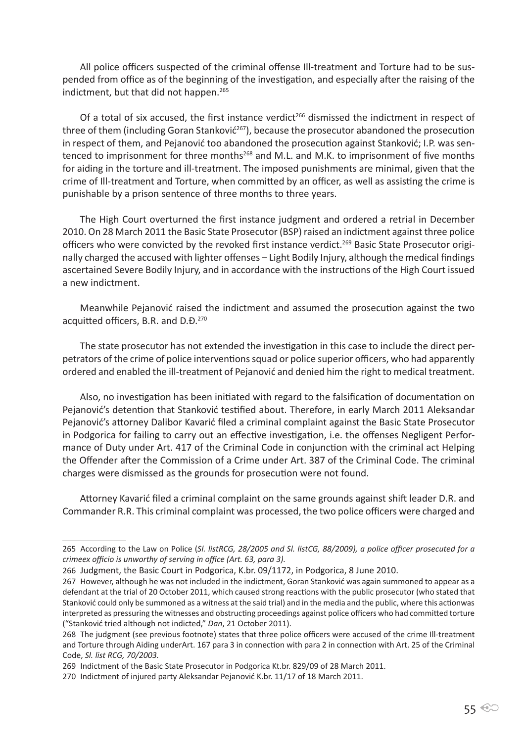All police officers suspected of the criminal offense Ill-treatment and Torture had to be suspended from office as of the beginning of the investigation, and especially after the raising of the indictment, but that did not happen.<sup>265</sup>

Of a total of six accused, the first instance verdict<sup>266</sup> dismissed the indictment in respect of three of them (including Goran Stanković<sup>267</sup>), because the prosecutor abandoned the prosecution in respect of them, and Pejanović too abandoned the prosecution against Stanković; I.P. was sentenced to imprisonment for three months<sup>268</sup> and M.L. and M.K. to imprisonment of five months for aiding in the torture and ill-treatment. The imposed punishments are minimal, given that the crime of Ill-treatment and Torture, when committed by an officer, as well as assisting the crime is punishable by a prison sentence of three months to three years.

The High Court overturned the first instance judgment and ordered a retrial in December 2010. On 28 March 2011 the Basic State Prosecutor (BSP) raised an indictment against three police officers who were convicted by the revoked first instance verdict.<sup>269</sup> Basic State Prosecutor originally charged the accused with lighter offenses – Light Bodily Injury, although the medical findings ascertained Severe Bodily Injury, and in accordance with the instructions of the High Court issued a new indictment.

Meanwhile Pejanović raised the indictment and assumed the prosecution against the two acquitted officers, B.R. and D.Đ.<sup>270</sup>

The state prosecutor has not extended the investigation in this case to include the direct perpetrators of the crime of police interventions squad or police superior officers, who had apparently ordered and enabled the ill-treatment of Pejanović and denied him the right to medical treatment.

Also, no investigation has been initiated with regard to the falsification of documentation on Pejanović's detention that Stanković testified about. Therefore, in early March 2011 Aleksandar Pejanović's attorney Dalibor Kavarić filed a criminal complaint against the Basic State Prosecutor in Podgorica for failing to carry out an effective investigation, i.e. the offenses Negligent Performance of Duty under Art. 417 of the Criminal Code in conjunction with the criminal act Helping the Offender after the Commission of a Crime under Art. 387 of the Criminal Code. The criminal charges were dismissed as the grounds for prosecution were not found.

Attorney Kavarić filed a criminal complaint on the same grounds against shift leader D.R. and Commander R.R. This criminal complaint was processed, the two police officers were charged and

<sup>265</sup> According to the Law on Police (*Sl. listRCG, 28/2005 and Sl. listCG, 88/2009), a police officer prosecuted for a crimeex officio is unworthy of serving in office (Art. 63, para 3).* 

<sup>266</sup> Judgment, the Basic Court in Podgorica, K.br. 09/1172, in Podgorica, 8 June 2010.

<sup>267</sup> However, although he was not included in the indictment, Goran Stanković was again summoned to appear as a defendant at the trial of 20 October 2011, which caused strong reactions with the public prosecutor (who stated that Stanković could only be summoned as a witness at the said trial) and in the media and the public, where this actionwas interpreted as pressuring the witnesses and obstructing proceedings against police officers who had committed torture ("Stanković tried although not indicted," *Dan*, 21 October 2011).

<sup>268</sup> The judgment (see previous footnote) states that three police officers were accused of the crime Ill-treatment and Torture through Aiding underArt. 167 para 3 in connection with para 2 in connection with Art. 25 of the Criminal Code, *Sl. list RCG, 70/2003.*

<sup>269</sup> Indictment of the Basic State Prosecutor in Podgorica Kt.br. 829/09 of 28 March 2011.

<sup>270</sup> Indictment of injured party Aleksandar Pejanović K.br. 11/17 of 18 March 2011.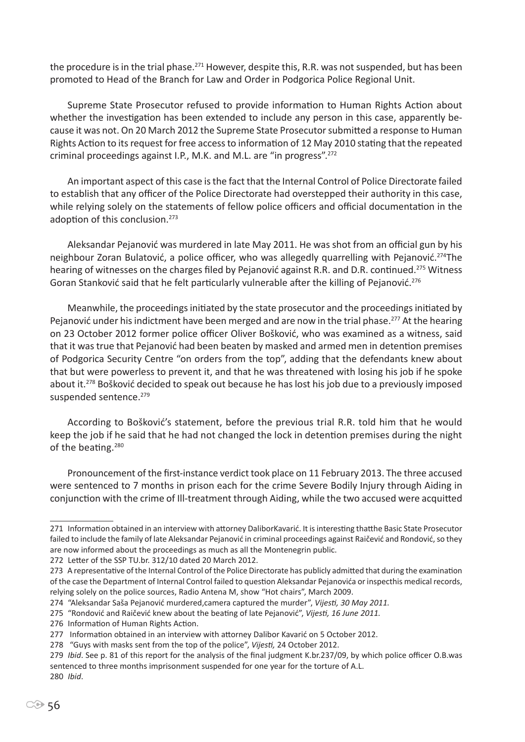the procedure is in the trial phase.<sup>271</sup> However, despite this, R.R. was not suspended, but has been promoted to Head of the Branch for Law and Order in Podgorica Police Regional Unit.

Supreme State Prosecutor refused to provide information to Human Rights Action about whether the investigation has been extended to include any person in this case, apparently because it was not. On 20 March 2012 the Supreme State Prosecutor submitted a response to Human Rights Action to its request for free access to information of 12 May 2010 stating that the repeated criminal proceedings against I.P., M.K. and M.L. are "in progress".<sup>272</sup>

An important aspect of this case is the fact that the Internal Control of Police Directorate failed to establish that any officer of the Police Directorate had overstepped their authority in this case, while relying solely on the statements of fellow police officers and official documentation in the adoption of this conclusion.<sup>273</sup>

Aleksandar Pejanović was murdered in late May 2011. He was shot from an official gun by his neighbour Zoran Bulatović, a police officer, who was allegedly quarrelling with Pejanović.274The hearing of witnesses on the charges filed by Pejanović against R.R. and D.R. continued.<sup>275</sup> Witness Goran Stanković said that he felt particularly vulnerable after the killing of Pejanović.<sup>276</sup>

Meanwhile, the proceedings initiated by the state prosecutor and the proceedings initiated by Pejanović under his indictment have been merged and are now in the trial phase.<sup>277</sup> At the hearing on 23 October 2012 former police officer Oliver Bošković, who was examined as a witness, said that it was true that Pejanović had been beaten by masked and armed men in detention premises of Podgorica Security Centre "on orders from the top", adding that the defendants knew about that but were powerless to prevent it, and that he was threatened with losing his job if he spoke about it.<sup>278</sup> Bošković decided to speak out because he has lost his job due to a previously imposed suspended sentence.<sup>279</sup>

According to Bošković's statement, before the previous trial R.R. told him that he would keep the job if he said that he had not changed the lock in detention premises during the night of the beating.<sup>280</sup>

Pronouncement of the first-instance verdict took place on 11 February 2013. The three accused were sentenced to 7 months in prison each for the crime Severe Bodily Injury through Aiding in conjunction with the crime of Ill-treatment through Aiding, while the two accused were acquitted

<sup>271</sup> Information obtained in an interview with attorney DaliborKavarić. It is interesting thatthe Basic State Prosecutor failed to include the family of late Aleksandar Pejanović in criminal proceedings against Raičević and Rondović, so they are now informed about the proceedings as much as all the Montenegrin public.

<sup>272</sup> Letter of the SSP TU.br. 312/10 dated 20 March 2012.

<sup>273</sup> A representative of the Internal Control of the Police Directorate has publicly admitted that during the examination of the case the Department of Internal Control failed to question Aleksandar Pejanovića or inspecthis medical records, relying solely on the police sources, Radio Antena M, show "Hot chairs", March 2009.

<sup>274</sup> "Aleksandar Saša Pejanović murdered,camera captured the murder", *Vijesti, 30 May 2011.*

<sup>275</sup> "Rondović and Raičević knew about the beating of late Pejanović", *Vijesti, 16 June 2011.*

<sup>276</sup> Information of Human Rights Action.

<sup>277</sup> Information obtained in an interview with attorney Dalibor Kavarić on 5 October 2012.

<sup>278 &</sup>quot;Guys with masks sent from the top of the police", *Vijesti,* 24 October 2012.

<sup>279</sup> *Ibid*. See p. 81 of this report for the analysis of the final judgment K.br.237/09, by which police officer O.B.was sentenced to three months imprisonment suspended for one year for the torture of A.L. 280 *Ibid*.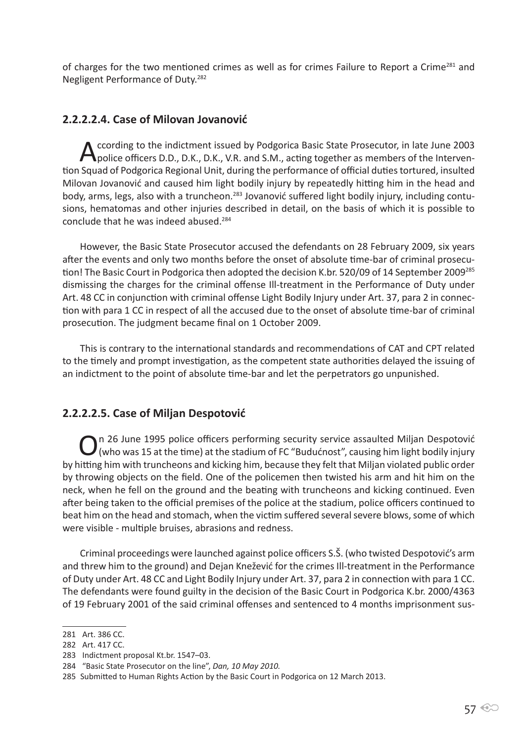of charges for the two mentioned crimes as well as for crimes Failure to Report a Crime<sup>281</sup> and Negligent Performance of Duty.<sup>282</sup>

## **2.2.2.2.4. Case of Milovan Jovanović**

According to the indictment issued by Podgorica Basic State Prosecutor, in late June 2003<br>
police officers D.D., D.K., D.K., V.R. and S.M., acting together as members of the Intervention Squad of Podgorica Regional Unit, during the performance of official duties tortured, insulted Milovan Jovanović and caused him light bodily injury by repeatedly hitting him in the head and body, arms, legs, also with a truncheon.<sup>283</sup> Jovanović suffered light bodily injury, including contusions, hematomas and other injuries described in detail, on the basis of which it is possible to conclude that he was indeed abused.<sup>284</sup>

However, the Basic State Prosecutor accused the defendants on 28 February 2009, six years after the events and only two months before the onset of absolute time-bar of criminal prosecution! The Basic Court in Podgorica then adopted the decision K.br. 520/09 of 14 September 2009<sup>285</sup> dismissing the charges for the criminal offense Ill-treatment in the Performance of Duty under Art. 48 CC in conjunction with criminal offense Light Bodily Injury under Art. 37, para 2 in connection with para 1 CC in respect of all the accused due to the onset of absolute time-bar of criminal prosecution. The judgment became final on 1 October 2009.

This is contrary to the international standards and recommendations of CAT and CPT related to the timely and prompt investigation, as the competent state authorities delayed the issuing of an indictment to the point of absolute time-bar and let the perpetrators go unpunished.

## **2.2.2.2.5. Case of Miljan Despotović**

 $\bigcirc$  n 26 June 1995 police officers performing security service assaulted Miljan Despotović<br>(who was 15 at the time) at the stadium of FC "Budućnost", causing him light bodily injury by hitting him with truncheons and kicking him, because they felt that Miljan violated public order by throwing objects on the field. One of the policemen then twisted his arm and hit him on the neck, when he fell on the ground and the beating with truncheons and kicking continued. Even after being taken to the official premises of the police at the stadium, police officers continued to beat him on the head and stomach, when the victim suffered several severe blows, some of which were visible - multiple bruises, abrasions and redness.

Criminal proceedings were launched against police officers S.Š. (who twisted Despotović's arm and threw him to the ground) and Dejan Knežević for the crimes Ill-treatment in the Performance of Duty under Art. 48 CC and Light Bodily Injury under Art. 37, para 2 in connection with para 1 CC. The defendants were found guilty in the decision of the Basic Court in Podgorica K.br. 2000/4363 of 19 February 2001 of the said criminal offenses and sentenced to 4 months imprisonment sus-

<sup>281</sup> Art. 386 CC.

<sup>282</sup> Art. 417 CC.

<sup>283</sup> Indictment proposal Kt.br. 1547–03.

<sup>284 &</sup>quot;Basic State Prosecutor on the line", *Dan, 10 May 2010.*

<sup>285</sup> Submitted to Human Rights Action by the Basic Court in Podgorica on 12 March 2013.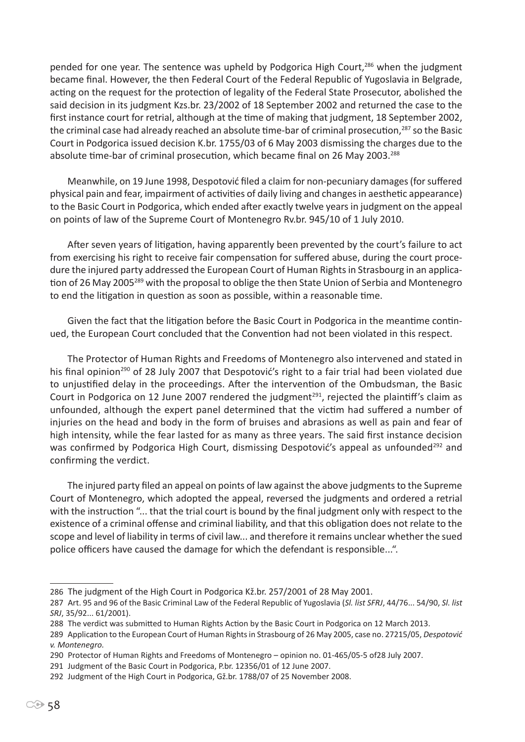pended for one year. The sentence was upheld by Podgorica High Court,<sup>286</sup> when the judgment became final. However, the then Federal Court of the Federal Republic of Yugoslavia in Belgrade, acting on the request for the protection of legality of the Federal State Prosecutor, abolished the said decision in its judgment Kzs.br. 23/2002 of 18 September 2002 and returned the case to the first instance court for retrial, although at the time of making that judgment, 18 September 2002, the criminal case had already reached an absolute time-bar of criminal prosecution,<sup>287</sup> so the Basic Court in Podgorica issued decision K.br. 1755/03 of 6 May 2003 dismissing the charges due to the absolute time-bar of criminal prosecution, which became final on 26 May 2003.<sup>288</sup>

Meanwhile, on 19 June 1998, Despotović filed a claim for non-pecuniary damages (for suffered physical pain and fear, impairment of activities of daily living and changes in aesthetic appearance) to the Basic Court in Podgorica, which ended after exactly twelve years in judgment on the appeal on points of law of the Supreme Court of Montenegro Rv.br. 945/10 of 1 July 2010.

After seven years of litigation, having apparently been prevented by the court's failure to act from exercising his right to receive fair compensation for suffered abuse, during the court procedure the injured party addressed the European Court of Human Rights in Strasbourg in an application of 26 May 2005<sup>289</sup> with the proposal to oblige the then State Union of Serbia and Montenegro to end the litigation in question as soon as possible, within a reasonable time.

Given the fact that the litigation before the Basic Court in Podgorica in the meantime continued, the European Court concluded that the Convention had not been violated in this respect.

The Protector of Human Rights and Freedoms of Montenegro also intervened and stated in his final opinion<sup>290</sup> of 28 July 2007 that Despotović's right to a fair trial had been violated due to unjustified delay in the proceedings. After the intervention of the Ombudsman, the Basic Court in Podgorica on 12 June 2007 rendered the judgment<sup>291</sup>, rejected the plaintiff's claim as unfounded, although the expert panel determined that the victim had suffered a number of injuries on the head and body in the form of bruises and abrasions as well as pain and fear of high intensity, while the fear lasted for as many as three years. The said first instance decision was confirmed by Podgorica High Court, dismissing Despotović's appeal as unfounded<sup>292</sup> and confirming the verdict.

The injured party filed an appeal on points of law against the above judgments to the Supreme Court of Montenegro, which adopted the appeal, reversed the judgments and ordered a retrial with the instruction "... that the trial court is bound by the final judgment only with respect to the existence of a criminal offense and criminal liability, and that this obligation does not relate to the scope and level of liability in terms of civil law... and therefore it remains unclear whether the sued police officers have caused the damage for which the defendant is responsible...".

<sup>286</sup> The judgment of the High Court in Podgorica Kž.br. 257/2001 of 28 May 2001.

<sup>287</sup> Art. 95 and 96 of the Basic Criminal Law of the Federal Republic of Yugoslavia (*Sl. list SFRJ*, 44/76... 54/90, *Sl. list SRJ*, 35/92... 61/2001).

<sup>288</sup> The verdict was submitted to Human Rights Action by the Basic Court in Podgorica on 12 March 2013.

<sup>289</sup> Application to the European Court of Human Rights in Strasbourg of 26 May 2005, case no. 27215/05, *Despotović v. Montenegro.*

<sup>290</sup> Protector of Human Rights and Freedoms of Montenegro – opinion no. 01-465/05-5 of28 July 2007.

<sup>291</sup> Judgment of the Basic Court in Podgorica, P.br. 12356/01 of 12 June 2007.

<sup>292</sup> Judgment of the High Court in Podgorica, Gž.br. 1788/07 of 25 November 2008.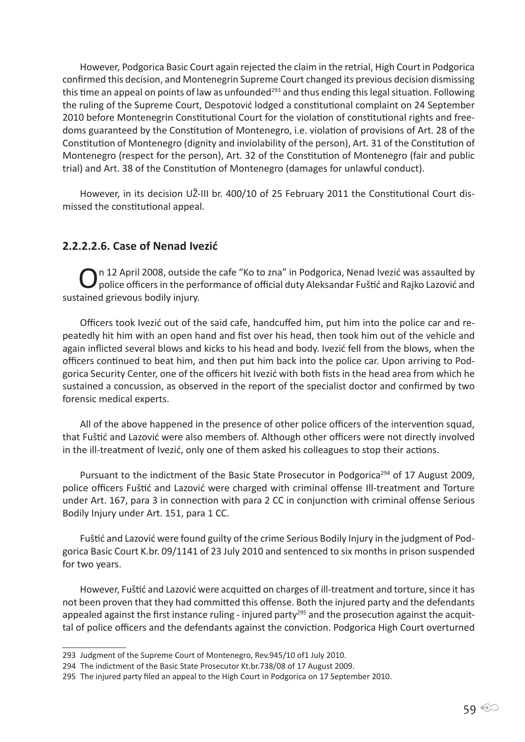However, Podgorica Basic Court again rejected the claim in the retrial, High Court in Podgorica confirmed this decision, and Montenegrin Supreme Court changed its previous decision dismissing this time an appeal on points of law as unfounded<sup>293</sup> and thus ending this legal situation. Following the ruling of the Supreme Court, Despotović lodged a constitutional complaint on 24 September 2010 before Montenegrin Constitutional Court for the violation of constitutional rights and freedoms guaranteed by the Constitution of Montenegro, i.e. violation of provisions of Art. 28 of the Constitution of Montenegro (dignity and inviolability of the person), Art. 31 of the Constitution of Montenegro (respect for the person), Art. 32 of the Constitution of Montenegro (fair and public trial) and Art. 38 of the Constitution of Montenegro (damages for unlawful conduct).

However, in its decision UŽ-III br. 400/10 of 25 February 2011 the Constitutional Court dismissed the constitutional appeal.

## **2.2.2.2.6. Case of Nenad Ivezić**

On 12 April 2008, outside the cafe "Ko to zna" in Podgorica, Nenad Ivezić was assaulted by<br>Opolice officers in the performance of official duty Aleksandar Fuštić and Rajko Lazović and sustained grievous bodily injury.

Officers took Ivezić out of the said cafe, handcuffed him, put him into the police car and repeatedly hit him with an open hand and fist over his head, then took him out of the vehicle and again inflicted several blows and kicks to his head and body. Ivezić fell from the blows, when the officers continued to beat him, and then put him back into the police car. Upon arriving to Podgorica Security Center, one of the officers hit Ivezić with both fists in the head area from which he sustained a concussion, as observed in the report of the specialist doctor and confirmed by two forensic medical experts.

All of the above happened in the presence of other police officers of the intervention squad, that Fuštić and Lazović were also members of. Although other officers were not directly involved in the ill-treatment of Ivezić, only one of them asked his colleagues to stop their actions.

Pursuant to the indictment of the Basic State Prosecutor in Podgorica<sup>294</sup> of 17 August 2009, police officers Fuštić and Lazović were charged with criminal offense Ill-treatment and Torture under Art. 167, para 3 in connection with para 2 CC in conjunction with criminal offense Serious Bodily Injury under Art. 151, para 1 CC.

Fuštić and Lazović were found guilty of the crime Serious Bodily Injury in the judgment of Podgorica Basic Court K.br. 09/1141 of 23 July 2010 and sentenced to six months in prison suspended for two years.

However, Fuštić and Lazović were acquitted on charges of ill-treatment and torture, since it has not been proven that they had committed this offense. Both the injured party and the defendants appealed against the first instance ruling - injured party<sup>295</sup> and the prosecution against the acquittal of police officers and the defendants against the conviction. Podgorica High Court overturned

<sup>293</sup> Judgment of the Supreme Court of Montenegro, Rev.945/10 of1 July 2010.

<sup>294</sup> The indictment of the Basic State Prosecutor Kt.br.738/08 of 17 August 2009.

<sup>295</sup> The injured party filed an appeal to the High Court in Podgorica on 17 September 2010.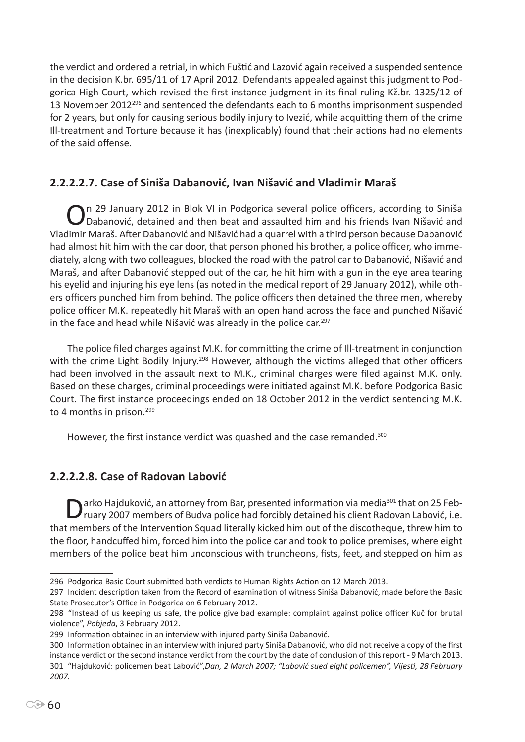the verdict and ordered a retrial, in which Fuštić and Lazović again received a suspended sentence in the decision K.br. 695/11 of 17 April 2012. Defendants appealed against this judgment to Podgorica High Court, which revised the first-instance judgment in its final ruling Kž.br. 1325/12 of 13 November 2012296 and sentenced the defendants each to 6 months imprisonment suspended for 2 years, but only for causing serious bodily injury to Ivezić, while acquitting them of the crime Ill-treatment and Torture because it has (inexplicably) found that their actions had no elements of the said offense.

# **2.2.2.2.7. Case of Siniša Dabanović, Ivan Nišavić and Vladimir Maraš**

On 29 January 2012 in Blok VI in Podgorica several police officers, according to Siniša<br>O Dabanović, detained and then beat and assaulted him and his friends Ivan Nišavić and Vladimir Maraš. After Dabanović and Nišavić had a quarrel with a third person because Dabanović had almost hit him with the car door, that person phoned his brother, a police officer, who immediately, along with two colleagues, blocked the road with the patrol car to Dabanović, Nišavić and Maraš, and after Dabanović stepped out of the car, he hit him with a gun in the eye area tearing his eyelid and injuring his eye lens (as noted in the medical report of 29 January 2012), while others officers punched him from behind. The police officers then detained the three men, whereby police officer M.K. repeatedly hit Maraš with an open hand across the face and punched Nišavić in the face and head while Nišavić was already in the police car.<sup>297</sup>

The police filed charges against M.K. for committing the crime of Ill-treatment in conjunction with the crime Light Bodily Injury.<sup>298</sup> However, although the victims alleged that other officers had been involved in the assault next to M.K., criminal charges were filed against M.K. only. Based on these charges, criminal proceedings were initiated against M.K. before Podgorica Basic Court. The first instance proceedings ended on 18 October 2012 in the verdict sentencing M.K. to 4 months in prison.<sup>299</sup>

However, the first instance verdict was quashed and the case remanded.<sup>300</sup>

# **2.2.2.2.8. Case of Radovan Labović**

Darko Hajduković, an attorney from Bar, presented information via media<sup>301</sup> that on 25 Feb-<br>
Truary 2007 members of Budva police had forcibly detained his client Radovan Labović, i.e. that members of the Intervention Squad literally kicked him out of the discotheque, threw him to the floor, handcuffed him, forced him into the police car and took to police premises, where eight members of the police beat him unconscious with truncheons, fists, feet, and stepped on him as

<sup>296</sup> Podgorica Basic Court submitted both verdicts to Human Rights Action on 12 March 2013.

<sup>297</sup> Incident description taken from the Record of examination of witness Siniša Dabanović, made before the Basic State Prosecutor's Office in Podgorica on 6 February 2012.

<sup>298</sup> "Instead of us keeping us safe, the police give bad example: complaint against police officer Kuč for brutal violence", *Pobjeda*, 3 February 2012.

<sup>299</sup> Information obtained in an interview with injured party Siniša Dabanović.

<sup>300</sup> Information obtained in an interview with injured party Siniša Dabanović, who did not receive a copy of the first instance verdict or the second instance verdict from the court by the date of conclusion of this report - 9 March 2013. 301 "Hajduković: policemen beat Labović",*Dan, 2 March 2007; "Labović sued eight policemen", Vijesti, 28 February 2007.*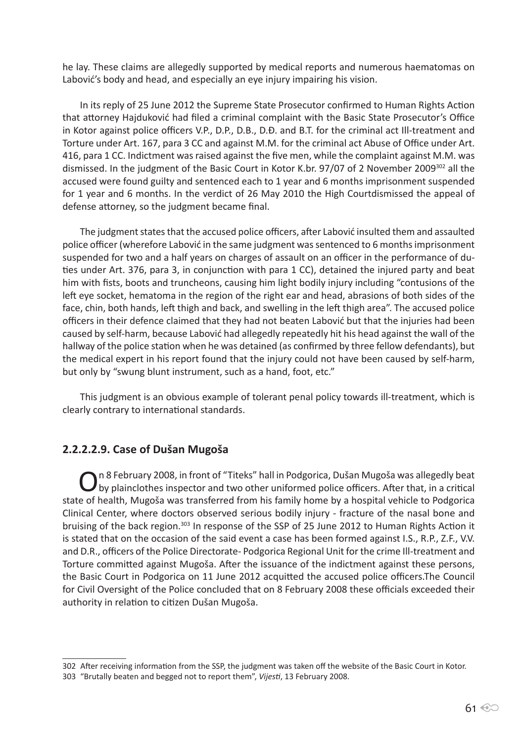he lay. These claims are allegedly supported by medical reports and numerous haematomas on Labović's body and head, and especially an eye injury impairing his vision.

In its reply of 25 June 2012 the Supreme State Prosecutor confirmed to Human Rights Action that attorney Hajduković had filed a criminal complaint with the Basic State Prosecutor's Office in Kotor against police officers V.P., D.P., D.B., D.Đ. and B.T. for the criminal act Ill-treatment and Torture under Art. 167, para 3 CC and against M.M. for the criminal act Abuse of Office under Art. 416, para 1 CC. Indictment was raised against the five men, while the complaint against M.M. was dismissed. In the judgment of the Basic Court in Kotor K.br. 97/07 of 2 November 2009<sup>302</sup> all the accused were found guilty and sentenced each to 1 year and 6 months imprisonment suspended for 1 year and 6 months. In the verdict of 26 May 2010 the High Courtdismissed the appeal of defense attorney, so the judgment became final.

The judgment states that the accused police officers, after Labović insulted them and assaulted police officer (wherefore Labović in the same judgment was sentenced to 6 months imprisonment suspended for two and a half years on charges of assault on an officer in the performance of duties under Art. 376, para 3, in conjunction with para 1 CC), detained the injured party and beat him with fists, boots and truncheons, causing him light bodily injury including "contusions of the left eye socket, hematoma in the region of the right ear and head, abrasions of both sides of the face, chin, both hands, left thigh and back, and swelling in the left thigh area". The accused police officers in their defence claimed that they had not beaten Labović but that the injuries had been caused by self-harm, because Labović had allegedly repeatedly hit his head against the wall of the hallway of the police station when he was detained (as confirmed by three fellow defendants), but the medical expert in his report found that the injury could not have been caused by self-harm, but only by "swung blunt instrument, such as a hand, foot, etc."

This judgment is an obvious example of tolerant penal policy towards ill-treatment, which is clearly contrary to international standards.

#### **2.2.2.2.9. Case of Dušan Mugoša**

On 8 February 2008, in front of "Titeks" hall in Podgorica, Dušan Mugoša was allegedly beat<br>O by plainclothes inspector and two other uniformed police officers. After that, in a critical state of health, Mugoša was transferred from his family home by a hospital vehicle to Podgorica Clinical Center, where doctors observed serious bodily injury - fracture of the nasal bone and bruising of the back region.303 In response of the SSP of 25 June 2012 to Human Rights Action it is stated that on the occasion of the said event a case has been formed against I.S., R.P., Z.F., V.V. and D.R., officers of the Police Directorate- Podgorica Regional Unit for the crime Ill-treatment and Torture committed against Mugoša. After the issuance of the indictment against these persons, the Basic Court in Podgorica on 11 June 2012 acquitted the accused police officers.The Council for Civil Oversight of the Police concluded that on 8 February 2008 these officials exceeded their authority in relation to citizen Dušan Mugoša.

<sup>302</sup> After receiving information from the SSP, the judgment was taken off the website of the Basic Court in Kotor. 303 "Brutally beaten and begged not to report them", *Vijesti*, 13 February 2008.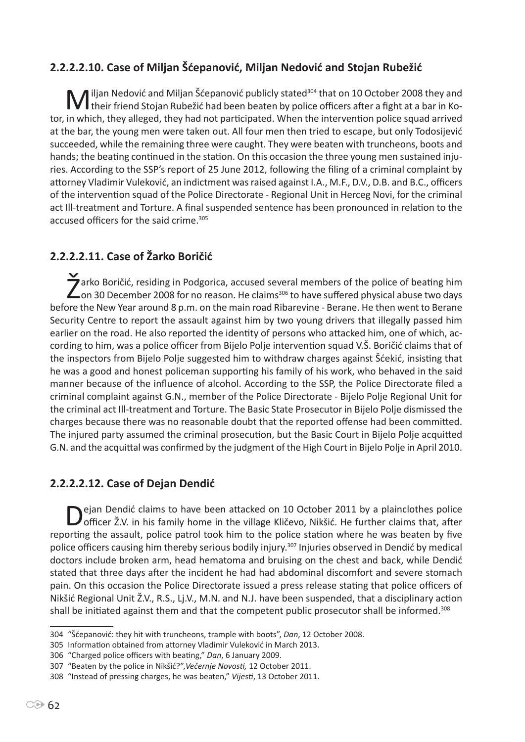# **2.2.2.2.10. Case of Miljan Šćepanović, Miljan Nedović and Stojan Rubežić**

Miljan Nedović and Miljan Šćepanović publicly stated<sup>304</sup> that on 10 October 2008 they and  $\prime\,$  their friend Stojan Rubežić had been beaten by police officers after a fight at a bar in Kotor, in which, they alleged, they had not participated. When the intervention police squad arrived at the bar, the young men were taken out. All four men then tried to escape, but only Todosijević succeeded, while the remaining three were caught. They were beaten with truncheons, boots and hands; the beating continued in the station. On this occasion the three young men sustained injuries. According to the SSP's report of 25 June 2012, following the filing of a criminal complaint by attorney Vladimir Vuleković, an indictment was raised against I.A., M.F., D.V., D.B. and B.C., officers of the intervention squad of the Police Directorate - Regional Unit in Herceg Novi, for the criminal act Ill-treatment and Torture. A final suspended sentence has been pronounced in relation to the accused officers for the said crime.<sup>305</sup>

# **2.2.2.2.11. Case of Žarko Boričić**

Zarko Boričić, residing in Podgorica, accused several members of the police of beating him<br>Zon 30 December 2008 for no reason. He claims<sup>306</sup> to have suffered physical abuse two days before the New Year around 8 p.m. on the main road Ribarevine - Berane. He then went to Berane Security Centre to report the assault against him by two young drivers that illegally passed him earlier on the road. He also reported the identity of persons who attacked him, one of which, according to him, was a police officer from Bijelo Polje intervention squad V.Š. Boričić claims that of the inspectors from Bijelo Polje suggested him to withdraw charges against Šćekić, insisting that he was a good and honest policeman supporting his family of his work, who behaved in the said manner because of the influence of alcohol. According to the SSP, the Police Directorate filed a criminal complaint against G.N., member of the Police Directorate - Bijelo Polje Regional Unit for the criminal act Ill-treatment and Torture. The Basic State Prosecutor in Bijelo Polje dismissed the charges because there was no reasonable doubt that the reported offense had been committed. The injured party assumed the criminal prosecution, but the Basic Court in Bijelo Polje acquitted G.N. and the acquittal was confirmed by the judgment of the High Court in Bijelo Polje in April 2010.

## **2.2.2.2.12. Case of Dejan Dendić**

ejan Dendić claims to have been attacked on 10 October 2011 by a plainclothes police officer Ž.V. in his family home in the village Kličevo, Nikšić. He further claims that, after reporting the assault, police patrol took him to the police station where he was beaten by five police officers causing him thereby serious bodily injury.307 Injuries observed in Dendić by medical doctors include broken arm, head hematoma and bruising on the chest and back, while Dendić stated that three days after the incident he had had abdominal discomfort and severe stomach pain. On this occasion the Police Directorate issued a press release stating that police officers of Nikšić Regional Unit Ž.V., R.S., Lj.V., M.N. and N.J. have been suspended, that a disciplinary action shall be initiated against them and that the competent public prosecutor shall be informed.<sup>308</sup>

<sup>304</sup> "Šćepanović: they hit with truncheons, trample with boots", *Dan*, 12 October 2008.

<sup>305</sup> Information obtained from attorney Vladimir Vuleković in March 2013.

<sup>306</sup> "Charged police officers with beating," *Dan*, 6 January 2009.

<sup>307</sup> "Beaten by the police in Nikšić?",*Večernje Novosti,* 12 October 2011.

<sup>308</sup> "Instead of pressing charges, he was beaten," *Vijesti*, 13 October 2011.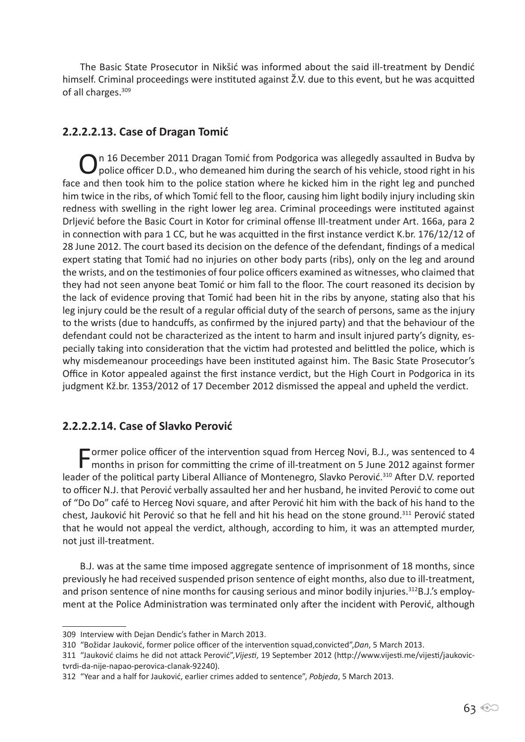The Basic State Prosecutor in Nikšić was informed about the said ill-treatment by Dendić himself. Criminal proceedings were instituted against Ž.V. due to this event, but he was acquitted of all charges.<sup>309</sup>

## **2.2.2.2.13. Case of Dragan Tomić**

On 16 December 2011 Dragan Tomić from Podgorica was allegedly assaulted in Budva by police officer D.D., who demeaned him during the search of his vehicle, stood right in his face and then took him to the police station where he kicked him in the right leg and punched him twice in the ribs, of which Tomić fell to the floor, causing him light bodily injury including skin redness with swelling in the right lower leg area. Criminal proceedings were instituted against Drljević before the Basic Court in Kotor for criminal offense Ill-treatment under Art. 166a, para 2 in connection with para 1 CC, but he was acquitted in the first instance verdict K.br. 176/12/12 of 28 June 2012. The court based its decision on the defence of the defendant, findings of a medical expert stating that Tomić had no injuries on other body parts (ribs), only on the leg and around the wrists, and on the testimonies of four police officers examined as witnesses, who claimed that they had not seen anyone beat Tomić or him fall to the floor. The court reasoned its decision by the lack of evidence proving that Tomić had been hit in the ribs by anyone, stating also that his leg injury could be the result of a regular official duty of the search of persons, same as the injury to the wrists (due to handcuffs, as confirmed by the injured party) and that the behaviour of the defendant could not be characterized as the intent to harm and insult injured party's dignity, especially taking into consideration that the victim had protested and belittled the police, which is why misdemeanour proceedings have been instituted against him. The Basic State Prosecutor's Office in Kotor appealed against the first instance verdict, but the High Court in Podgorica in its judgment Kž.br. 1353/2012 of 17 December 2012 dismissed the appeal and upheld the verdict.

# **2.2.2.2.14. Case of Slavko Perović**

Former police officer of the intervention squad from Herceg Novi, B.J., was sentenced to 4 months in prison for committing the crime of ill-treatment on 5 June 2012 against former leader of the political party Liberal Alliance of Montenegro, Slavko Perović.<sup>310</sup> After D.V. reported to officer N.J. that Perović verbally assaulted her and her husband, he invited Perović to come out of "Do Do" café to Herceg Novi square, and after Perović hit him with the back of his hand to the chest, Jauković hit Perović so that he fell and hit his head on the stone ground.311 Perović stated that he would not appeal the verdict, although, according to him, it was an attempted murder, not just ill-treatment.

B.J. was at the same time imposed aggregate sentence of imprisonment of 18 months, since previously he had received suspended prison sentence of eight months, also due to ill-treatment, and prison sentence of nine months for causing serious and minor bodily injuries.<sup>312</sup>B.J.'s employment at the Police Administration was terminated only after the incident with Perović, although

<sup>309</sup> Interview with Dejan Dendic's father in March 2013.

<sup>310</sup> "Božidar Jauković, former police officer of the intervention squad,convicted",*Dan*, 5 March 2013.

<sup>311</sup> "Jauković claims he did not attack Perović",*Vijesti*, 19 September 2012 (http://www.vijesti.me/vijesti/jaukovictvrdi-da-nije-napao-perovica-clanak-92240).

<sup>312</sup> "Year and a half for Jauković, earlier crimes added to sentence", *Pobjeda*, 5 March 2013.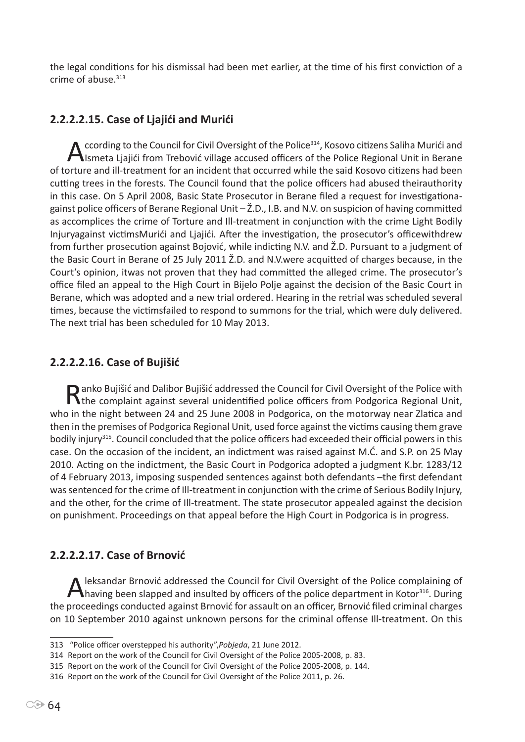the legal conditions for his dismissal had been met earlier, at the time of his first conviction of a crime of abuse.<sup>313</sup>

## **2.2.2.2.15. Case of Ljajići and Murići**

A ccording to the Council for Civil Oversight of the Police<sup>314</sup>, Kosovo citizens Saliha Murići and<br>Ismeta Ljajići from Trebović village accused officers of the Police Regional Unit in Berane of torture and ill-treatment for an incident that occurred while the said Kosovo citizens had been cutting trees in the forests. The Council found that the police officers had abused theirauthority in this case. On 5 April 2008, Basic State Prosecutor in Berane filed a request for investigationagainst police officers of Berane Regional Unit – Ž.D., I.B. and N.V. on suspicion of having committed as accomplices the crime of Torture and Ill-treatment in conjunction with the crime Light Bodily Injuryagainst victimsMurići and Ljajići. After the investigation, the prosecutor's officewithdrew from further prosecution against Bojović, while indicting N.V. and Ž.D. Pursuant to a judgment of the Basic Court in Berane of 25 July 2011 Ž.D. and N.V.were acquitted of charges because, in the Court's opinion, itwas not proven that they had committed the alleged crime. The prosecutor's office filed an appeal to the High Court in Bijelo Polje against the decision of the Basic Court in Berane, which was adopted and a new trial ordered. Hearing in the retrial was scheduled several times, because the victimsfailed to respond to summons for the trial, which were duly delivered. The next trial has been scheduled for 10 May 2013.

#### **2.2.2.2.16. Case of Bujišić**

Ranko Bujišić and Dalibor Bujišić addressed the Council for Civil Oversight of the Police with <br>
The complaint against several unidentified police officers from Podgorica Regional Unit, who in the night between 24 and 25 June 2008 in Podgorica, on the motorway near Zlatica and then in the premises of Podgorica Regional Unit, used force against the victims causing them grave bodily injury315. Council concluded that the police officers had exceeded their official powers in this case. On the occasion of the incident, an indictment was raised against M.Ć. and S.P. on 25 May 2010. Acting on the indictment, the Basic Court in Podgorica adopted a judgment K.br. 1283/12 of 4 February 2013, imposing suspended sentences against both defendants –the first defendant was sentenced for the crime of Ill-treatment in conjunction with the crime of Serious Bodily Injury, and the other, for the crime of Ill-treatment. The state prosecutor appealed against the decision on punishment. Proceedings on that appeal before the High Court in Podgorica is in progress.

## **2.2.2.2.17. Case of Brnović**

A leksandar Brnović addressed the Council for Civil Oversight of the Police complaining of having been slapped and insulted by officers of the police department in Kotor<sup>316</sup>. During the proceedings conducted against Brnović for assault on an officer, Brnović filed criminal charges on 10 September 2010 against unknown persons for the criminal offense Ill-treatment. On this

<sup>313 &</sup>quot;Police officer overstepped his authority",*Pobjeda*, 21 June 2012.

<sup>314</sup> Report on the work of the Council for Civil Oversight of the Police 2005-2008, p. 83.

<sup>315</sup> Report on the work of the Council for Civil Oversight of the Police 2005-2008, p. 144.

<sup>316</sup> Report on the work of the Council for Civil Oversight of the Police 2011, p. 26.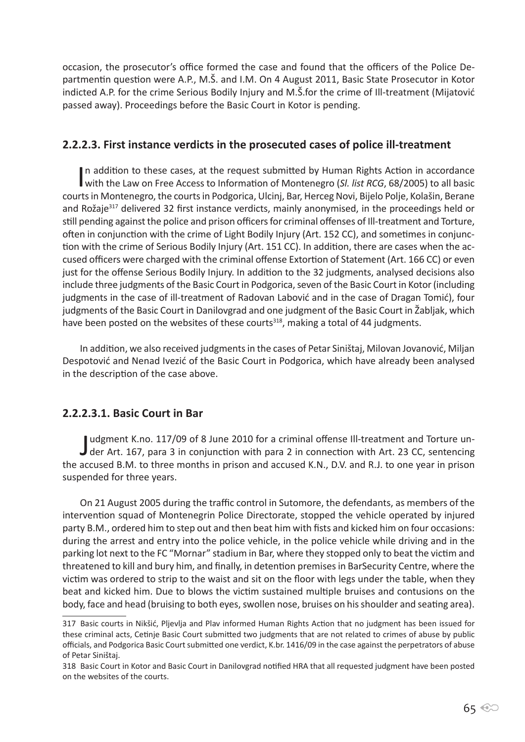occasion, the prosecutor's office formed the case and found that the officers of the Police Departmentin question were A.P., M.Š. and I.M. On 4 August 2011, Basic State Prosecutor in Kotor indicted A.P. for the crime Serious Bodily Injury and M.Š.for the crime of Ill-treatment (Mijatović passed away). Proceedings before the Basic Court in Kotor is pending.

### **2.2.2.3. First instance verdicts in the prosecuted cases of police ill-treatment**

In addition to these cases, at the request submitted by Human Rights Action in accordance<br>with the Law on Free Access to Information of Montenegro (*Sl. list RCG*, 68/2005) to all basic In addition to these cases, at the request submitted by Human Rights Action in accordance courts in Montenegro, the courts in Podgorica, Ulcinj, Bar, Herceg Novi, Bijelo Polje, Kolašin, Berane and Rožaje<sup>317</sup> delivered 32 first instance verdicts, mainly anonymised, in the proceedings held or still pending against the police and prison officers for criminal offenses of Ill-treatment and Torture, often in conjunction with the crime of Light Bodily Injury (Art. 152 CC), and sometimes in conjunction with the crime of Serious Bodily Injury (Art. 151 CC). In addition, there are cases when the accused officers were charged with the criminal offense Extortion of Statement (Art. 166 CC) or even just for the offense Serious Bodily Injury. In addition to the 32 judgments, analysed decisions also include three judgments of the Basic Court in Podgorica, seven of the Basic Court in Kotor (including judgments in the case of ill-treatment of Radovan Labović and in the case of Dragan Tomić), four judgments of the Basic Court in Danilovgrad and one judgment of the Basic Court in Žabljak, which have been posted on the websites of these courts<sup>318</sup>, making a total of 44 judgments.

In addition, we also received judgments in the cases of Petar Siništaj, Milovan Jovanović, Miljan Despotović and Nenad Ivezić of the Basic Court in Podgorica, which have already been analysed in the description of the case above.

## **2.2.2.3.1. Basic Court in Bar**

Judgment K.no. 117/09 of 8 June 2010 for a criminal offense Ill-treatment and Torture un-<br>J der Art. 167, para 3 in conjunction with para 2 in connection with Art. 23 CC, sentencing udgment K.no. 117/09 of 8 June 2010 for a criminal offense Ill-treatment and Torture unthe accused B.M. to three months in prison and accused K.N., D.V. and R.J. to one year in prison suspended for three years.

On 21 August 2005 during the traffic control in Sutomore, the defendants, as members of the intervention squad of Montenegrin Police Directorate, stopped the vehicle operated by injured party B.M., ordered him to step out and then beat him with fists and kicked him on four occasions: during the arrest and entry into the police vehicle, in the police vehicle while driving and in the parking lot next to the FC "Mornar" stadium in Bar, where they stopped only to beat the victim and threatened to kill and bury him, and finally, in detention premises in BarSecurity Centre, where the victim was ordered to strip to the waist and sit on the floor with legs under the table, when they beat and kicked him. Due to blows the victim sustained multiple bruises and contusions on the body, face and head (bruising to both eyes, swollen nose, bruises on his shoulder and seating area).

<sup>317</sup> Basic courts in Nikšić, Pljevlja and Plav informed Human Rights Action that no judgment has been issued for these criminal acts, Cetinje Basic Court submitted two judgments that are not related to crimes of abuse by public officials, and Podgorica Basic Court submitted one verdict, K.br. 1416/09 in the case against the perpetrators of abuse of Petar Siništaj.

<sup>318</sup> Basic Court in Kotor and Basic Court in Danilovgrad notified HRA that all requested judgment have been posted on the websites of the courts.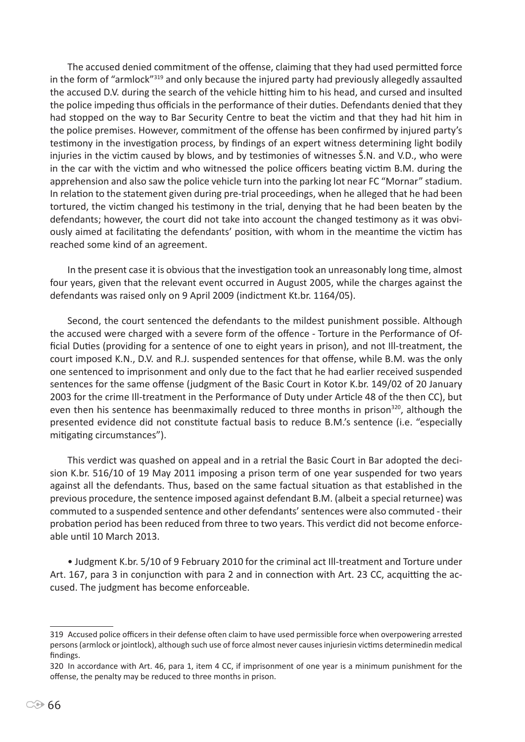The accused denied commitment of the offense, claiming that they had used permitted force in the form of "armlock"<sup>319</sup> and only because the injured party had previously allegedly assaulted the accused D.V. during the search of the vehicle hitting him to his head, and cursed and insulted the police impeding thus officials in the performance of their duties. Defendants denied that they had stopped on the way to Bar Security Centre to beat the victim and that they had hit him in the police premises. However, commitment of the offense has been confirmed by injured party's testimony in the investigation process, by findings of an expert witness determining light bodily injuries in the victim caused by blows, and by testimonies of witnesses Š.N. and V.D., who were in the car with the victim and who witnessed the police officers beating victim B.M. during the apprehension and also saw the police vehicle turn into the parking lot near FC "Mornar" stadium. In relation to the statement given during pre-trial proceedings, when he alleged that he had been tortured, the victim changed his testimony in the trial, denying that he had been beaten by the defendants; however, the court did not take into account the changed testimony as it was obviously aimed at facilitating the defendants' position, with whom in the meantime the victim has reached some kind of an agreement.

In the present case it is obvious that the investigation took an unreasonably long time, almost four years, given that the relevant event occurred in August 2005, while the charges against the defendants was raised only on 9 April 2009 (indictment Kt.br. 1164/05).

Second, the court sentenced the defendants to the mildest punishment possible. Although the accused were charged with a severe form of the offence - Torture in the Performance of Official Duties (providing for a sentence of one to eight years in prison), and not Ill-treatment, the court imposed K.N., D.V. and R.J. suspended sentences for that offense, while B.M. was the only one sentenced to imprisonment and only due to the fact that he had earlier received suspended sentences for the same offense (judgment of the Basic Court in Kotor K.br. 149/02 of 20 January 2003 for the crime Ill-treatment in the Performance of Duty under Article 48 of the then CC), but even then his sentence has beenmaximally reduced to three months in prison<sup>320</sup>, although the presented evidence did not constitute factual basis to reduce B.M.'s sentence (i.e. "especially mitigating circumstances").

This verdict was quashed on appeal and in a retrial the Basic Court in Bar adopted the decision K.br. 516/10 of 19 May 2011 imposing a prison term of one year suspended for two years against all the defendants. Thus, based on the same factual situation as that established in the previous procedure, the sentence imposed against defendant B.M. (albeit a special returnee) was commuted to a suspended sentence and other defendants' sentences were also commuted - their probation period has been reduced from three to two years. This verdict did not become enforceable until 10 March 2013.

• Judgment K.br. 5/10 of 9 February 2010 for the criminal act Ill-treatment and Torture under Art. 167, para 3 in conjunction with para 2 and in connection with Art. 23 CC, acquitting the accused. The judgment has become enforceable.

<sup>319</sup> Accused police officers in their defense often claim to have used permissible force when overpowering arrested persons (armlock or jointlock), although such use of force almost never causes injuriesin victims determinedin medical findings.

<sup>320</sup> In accordance with Art. 46, para 1, item 4 CC, if imprisonment of one year is a minimum punishment for the offense, the penalty may be reduced to three months in prison.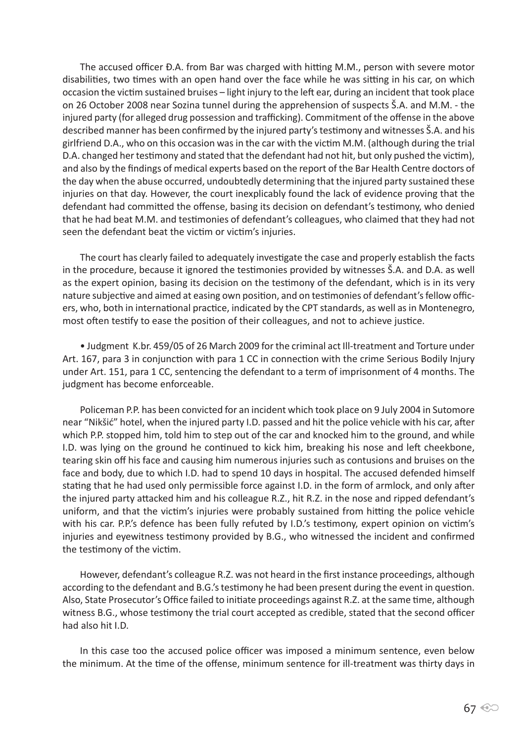The accused officer Đ.A. from Bar was charged with hitting M.M., person with severe motor disabilities, two times with an open hand over the face while he was sitting in his car, on which occasion the victim sustained bruises – light injury to the left ear, during an incident that took place on 26 October 2008 near Sozina tunnel during the apprehension of suspects Š.A. and M.M. - the injured party (for alleged drug possession and trafficking). Commitment of the offense in the above described manner has been confirmed by the injured party's testimony and witnesses Š.A. and his girlfriend D.A., who on this occasion was in the car with the victim M.M. (although during the trial D.A. changed her testimony and stated that the defendant had not hit, but only pushed the victim), and also by the findings of medical experts based on the report of the Bar Health Centre doctors of the day when the abuse occurred, undoubtedly determining that the injured party sustained these injuries on that day. However, the court inexplicably found the lack of evidence proving that the defendant had committed the offense, basing its decision on defendant's testimony, who denied that he had beat M.M. and testimonies of defendant's colleagues, who claimed that they had not seen the defendant beat the victim or victim's injuries.

The court has clearly failed to adequately investigate the case and properly establish the facts in the procedure, because it ignored the testimonies provided by witnesses Š.A. and D.A. as well as the expert opinion, basing its decision on the testimony of the defendant, which is in its very nature subjective and aimed at easing own position, and on testimonies of defendant's fellow officers, who, both in international practice, indicated by the CPT standards, as well as in Montenegro, most often testify to ease the position of their colleagues, and not to achieve justice.

• Judgment K.br. 459/05 of 26 March 2009 for the criminal act Ill-treatment and Torture under Art. 167, para 3 in conjunction with para 1 CC in connection with the crime Serious Bodily Injury under Art. 151, para 1 CC, sentencing the defendant to a term of imprisonment of 4 months. The judgment has become enforceable.

Policeman P.P. has been convicted for an incident which took place on 9 July 2004 in Sutomore near "Nikšić" hotel, when the injured party I.D. passed and hit the police vehicle with his car, after which P.P. stopped him, told him to step out of the car and knocked him to the ground, and while I.D. was lying on the ground he continued to kick him, breaking his nose and left cheekbone, tearing skin off his face and causing him numerous injuries such as contusions and bruises on the face and body, due to which I.D. had to spend 10 days in hospital. The accused defended himself stating that he had used only permissible force against I.D. in the form of armlock, and only after the injured party attacked him and his colleague R.Z., hit R.Z. in the nose and ripped defendant's uniform, and that the victim's injuries were probably sustained from hitting the police vehicle with his car. P.P.'s defence has been fully refuted by I.D.'s testimony, expert opinion on victim's injuries and eyewitness testimony provided by B.G., who witnessed the incident and confirmed the testimony of the victim.

However, defendant's colleague R.Z. was not heard in the first instance proceedings, although according to the defendant and B.G.'s testimony he had been present during the event in question. Also, State Prosecutor's Office failed to initiate proceedings against R.Z. at the same time, although witness B.G., whose testimony the trial court accepted as credible, stated that the second officer had also hit I.D.

In this case too the accused police officer was imposed a minimum sentence, even below the minimum. At the time of the offense, minimum sentence for ill-treatment was thirty days in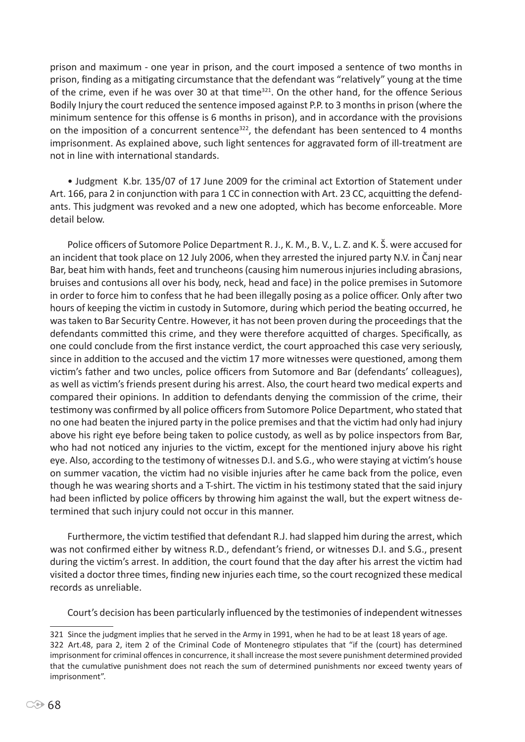prison and maximum - one year in prison, and the court imposed a sentence of two months in prison, finding as a mitigating circumstance that the defendant was "relatively" young at the time of the crime, even if he was over 30 at that time<sup>321</sup>. On the other hand, for the offence Serious Bodily Injury the court reduced the sentence imposed against P.P. to 3 months in prison (where the minimum sentence for this offense is 6 months in prison), and in accordance with the provisions on the imposition of a concurrent sentence<sup>322</sup>, the defendant has been sentenced to 4 months imprisonment. As explained above, such light sentences for aggravated form of ill-treatment are not in line with international standards.

• Judgment K.br. 135/07 of 17 June 2009 for the criminal act Extortion of Statement under Art. 166, para 2 in conjunction with para 1 CC in connection with Art. 23 CC, acquitting the defendants. This judgment was revoked and a new one adopted, which has become enforceable. More detail below.

Police officers of Sutomore Police Department R. J., K. M., B. V., L. Z. and K. Š. were accused for an incident that took place on 12 July 2006, when they arrested the injured party N.V. in Čanj near Bar, beat him with hands, feet and truncheons (causing him numerous injuries including abrasions, bruises and contusions all over his body, neck, head and face) in the police premises in Sutomore in order to force him to confess that he had been illegally posing as a police officer. Only after two hours of keeping the victim in custody in Sutomore, during which period the beating occurred, he was taken to Bar Security Centre. However, it has not been proven during the proceedings that the defendants committed this crime, and they were therefore acquitted of charges. Specifically, as one could conclude from the first instance verdict, the court approached this case very seriously, since in addition to the accused and the victim 17 more witnesses were questioned, among them victim's father and two uncles, police officers from Sutomore and Bar (defendants' colleagues), as well as victim's friends present during his arrest. Also, the court heard two medical experts and compared their opinions. In addition to defendants denying the commission of the crime, their testimony was confirmed by all police officers from Sutomore Police Department, who stated that no one had beaten the injured party in the police premises and that the victim had only had injury above his right eye before being taken to police custody, as well as by police inspectors from Bar, who had not noticed any injuries to the victim, except for the mentioned injury above his right eye. Also, according to the testimony of witnesses D.I. and S.G., who were staying at victim's house on summer vacation, the victim had no visible injuries after he came back from the police, even though he was wearing shorts and a T-shirt. The victim in his testimony stated that the said injury had been inflicted by police officers by throwing him against the wall, but the expert witness determined that such injury could not occur in this manner.

Furthermore, the victim testified that defendant R.J. had slapped him during the arrest, which was not confirmed either by witness R.D., defendant's friend, or witnesses D.I. and S.G., present during the victim's arrest. In addition, the court found that the day after his arrest the victim had visited a doctor three times, finding new injuries each time, so the court recognized these medical records as unreliable.

Court's decision has been particularly influenced by the testimonies of independent witnesses

<sup>321</sup> Since the judgment implies that he served in the Army in 1991, when he had to be at least 18 years of age.

<sup>322</sup> Art.48, para 2, item 2 of the Criminal Code of Montenegro stipulates that "if the (court) has determined imprisonment for criminal offences in concurrence, it shall increase the most severe punishment determined provided that the cumulative punishment does not reach the sum of determined punishments nor exceed twenty years of imprisonment".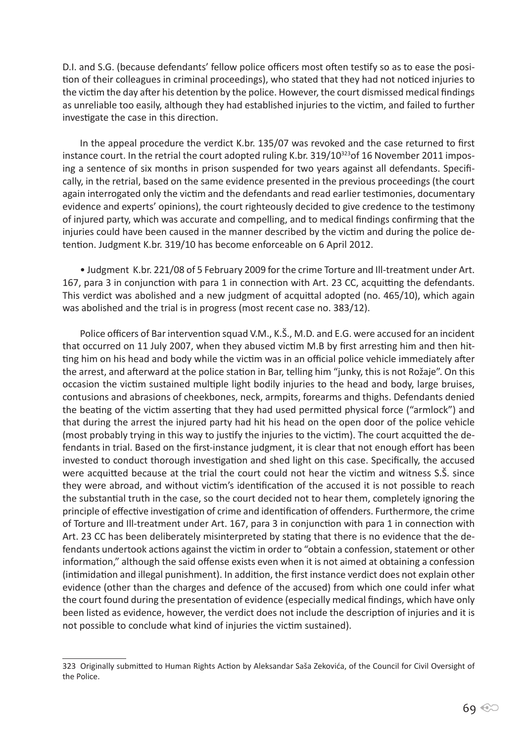D.I. and S.G. (because defendants' fellow police officers most often testify so as to ease the position of their colleagues in criminal proceedings), who stated that they had not noticed injuries to the victim the day after his detention by the police. However, the court dismissed medical findings as unreliable too easily, although they had established injuries to the victim, and failed to further investigate the case in this direction.

In the appeal procedure the verdict K.br. 135/07 was revoked and the case returned to first instance court. In the retrial the court adopted ruling K.br. 319/10<sup>323</sup> of 16 November 2011 imposing a sentence of six months in prison suspended for two years against all defendants. Specifically, in the retrial, based on the same evidence presented in the previous proceedings (the court again interrogated only the victim and the defendants and read earlier testimonies, documentary evidence and experts' opinions), the court righteously decided to give credence to the testimony of injured party, which was accurate and compelling, and to medical findings confirming that the injuries could have been caused in the manner described by the victim and during the police detention. Judgment K.br. 319/10 has become enforceable on 6 April 2012.

• Judgment K.br. 221/08 of 5 February 2009 for the crime Torture and Ill-treatment under Art. 167, para 3 in conjunction with para 1 in connection with Art. 23 CC, acquitting the defendants. This verdict was abolished and a new judgment of acquittal adopted (no. 465/10), which again was abolished and the trial is in progress (most recent case no. 383/12).

Police officers of Bar intervention squad V.M., K.Š., M.D. and E.G. were accused for an incident that occurred on 11 July 2007, when they abused victim M.B by first arresting him and then hitting him on his head and body while the victim was in an official police vehicle immediately after the arrest, and afterward at the police station in Bar, telling him "junky, this is not Rožaje". On this occasion the victim sustained multiple light bodily injuries to the head and body, large bruises, contusions and abrasions of cheekbones, neck, armpits, forearms and thighs. Defendants denied the beating of the victim asserting that they had used permitted physical force ("armlock") and that during the arrest the injured party had hit his head on the open door of the police vehicle (most probably trying in this way to justify the injuries to the victim). The court acquitted the defendants in trial. Based on the first-instance judgment, it is clear that not enough effort has been invested to conduct thorough investigation and shed light on this case. Specifically, the accused were acquitted because at the trial the court could not hear the victim and witness S.Š. since they were abroad, and without victim's identification of the accused it is not possible to reach the substantial truth in the case, so the court decided not to hear them, completely ignoring the principle of effective investigation of crime and identification of offenders. Furthermore, the crime of Torture and Ill-treatment under Art. 167, para 3 in conjunction with para 1 in connection with Art. 23 CC has been deliberately misinterpreted by stating that there is no evidence that the defendants undertook actions against the victim in order to "obtain a confession, statement or other information," although the said offense exists even when it is not aimed at obtaining a confession (intimidation and illegal punishment). In addition, the first instance verdict does not explain other evidence (other than the charges and defence of the accused) from which one could infer what the court found during the presentation of evidence (especially medical findings, which have only been listed as evidence, however, the verdict does not include the description of injuries and it is not possible to conclude what kind of injuries the victim sustained).

<sup>323</sup> Originally submitted to Human Rights Action by Aleksandar Saša Zekovića, of the Council for Civil Oversight of the Police.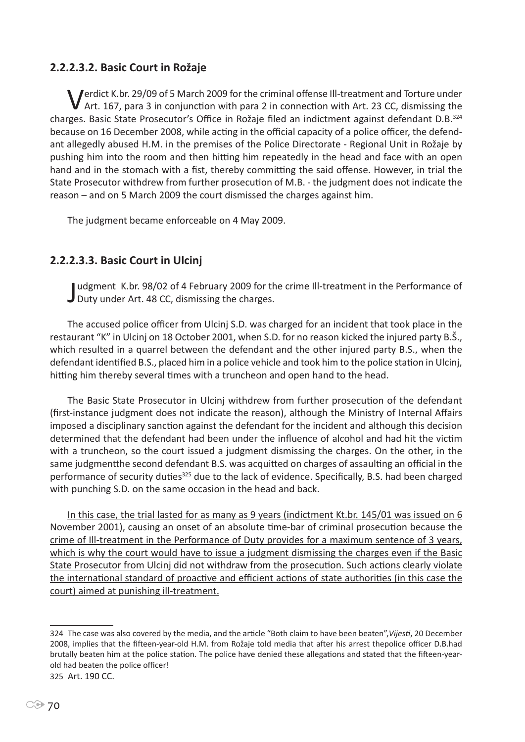## **2.2.2.3.2. Basic Court in Rožaje**

Verdict K.br. 29/09 of 5 March 2009 for the criminal offense Ill-treatment and Torture under Art. 167, para 3 in conjunction with para 2 in connection with Art. 23 CC, dismissing the charges. Basic State Prosecutor's Office in Rožaje filed an indictment against defendant D.B.<sup>324</sup> because on 16 December 2008, while acting in the official capacity of a police officer, the defendant allegedly abused H.M. in the premises of the Police Directorate - Regional Unit in Rožaje by pushing him into the room and then hitting him repeatedly in the head and face with an open hand and in the stomach with a fist, thereby committing the said offense. However, in trial the State Prosecutor withdrew from further prosecution of M.B. - the judgment does not indicate the reason – and on 5 March 2009 the court dismissed the charges against him.

The judgment became enforceable on 4 May 2009.

## **2.2.2.3.3. Basic Court in Ulcinj**

Judgment K.br. 98/02 of 4 February 2009 for th<br>Duty under Art. 48 CC, dismissing the charges. udgment K.br. 98/02 of 4 February 2009 for the crime Ill-treatment in the Performance of

The accused police officer from Ulcinj S.D. was charged for an incident that took place in the restaurant "K" in Ulcinj on 18 October 2001, when S.D. for no reason kicked the injured party B.Š., which resulted in a quarrel between the defendant and the other injured party B.S., when the defendant identified B.S., placed him in a police vehicle and took him to the police station in Ulcinj, hitting him thereby several times with a truncheon and open hand to the head.

The Basic State Prosecutor in Ulcinj withdrew from further prosecution of the defendant (first-instance judgment does not indicate the reason), although the Ministry of Internal Affairs imposed a disciplinary sanction against the defendant for the incident and although this decision determined that the defendant had been under the influence of alcohol and had hit the victim with a truncheon, so the court issued a judgment dismissing the charges. On the other, in the same judgmentthe second defendant B.S. was acquitted on charges of assaulting an official in the performance of security duties<sup>325</sup> due to the lack of evidence. Specifically, B.S. had been charged with punching S.D. on the same occasion in the head and back.

In this case, the trial lasted for as many as 9 years (indictment Kt.br. 145/01 was issued on 6 November 2001), causing an onset of an absolute time-bar of criminal prosecution because the crime of Ill-treatment in the Performance of Duty provides for a maximum sentence of 3 years, which is why the court would have to issue a judgment dismissing the charges even if the Basic State Prosecutor from Ulcinj did not withdraw from the prosecution. Such actions clearly violate the international standard of proactive and efficient actions of state authorities (in this case the court) aimed at punishing ill-treatment.

<sup>324</sup> The case was also covered by the media, and the article "Both claim to have been beaten",*Vijesti*, 20 December 2008, implies that the fifteen-year-old H.M. from Rožaje told media that after his arrest thepolice officer D.B.had brutally beaten him at the police station. The police have denied these allegations and stated that the fifteen-yearold had beaten the police officer! 325 Art. 190 CC.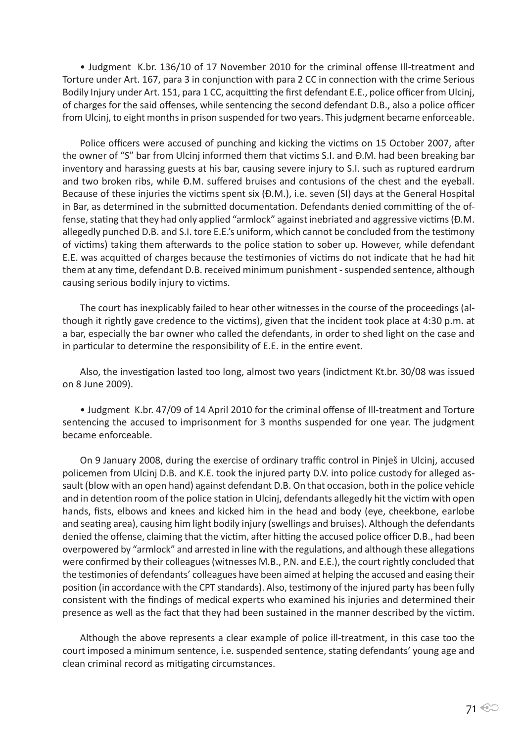• Judgment K.br. 136/10 of 17 November 2010 for the criminal offense Ill-treatment and Torture under Art. 167, para 3 in conjunction with para 2 CC in connection with the crime Serious Bodily Injury under Art. 151, para 1 CC, acquitting the first defendant E.E., police officer from Ulcinj, of charges for the said offenses, while sentencing the second defendant D.B., also a police officer from Ulcinj, to eight months in prison suspended for two years. This judgment became enforceable.

Police officers were accused of punching and kicking the victims on 15 October 2007, after the owner of "S" bar from Ulcinj informed them that victims S.I. and Đ.M. had been breaking bar inventory and harassing guests at his bar, causing severe injury to S.I. such as ruptured eardrum and two broken ribs, while Đ.M. suffered bruises and contusions of the chest and the eyeball. Because of these injuries the victims spent six (Đ.M.), i.e. seven (SI) days at the General Hospital in Bar, as determined in the submitted documentation. Defendants denied committing of the offense, stating that they had only applied "armlock" against inebriated and aggressive victims (Đ.M. allegedly punched D.B. and S.I. tore E.E.'s uniform, which cannot be concluded from the testimony of victims) taking them afterwards to the police station to sober up. However, while defendant E.E. was acquitted of charges because the testimonies of victims do not indicate that he had hit them at any time, defendant D.B. received minimum punishment - suspended sentence, although causing serious bodily injury to victims.

The court has inexplicably failed to hear other witnesses in the course of the proceedings (although it rightly gave credence to the victims), given that the incident took place at 4:30 p.m. at a bar, especially the bar owner who called the defendants, in order to shed light on the case and in particular to determine the responsibility of E.E. in the entire event.

Also, the investigation lasted too long, almost two years (indictment Kt.br. 30/08 was issued on 8 June 2009).

• Judgment K.br. 47/09 of 14 April 2010 for the criminal offense of Ill-treatment and Torture sentencing the accused to imprisonment for 3 months suspended for one year. The judgment became enforceable.

On 9 January 2008, during the exercise of ordinary traffic control in Pinješ in Ulcinj, accused policemen from Ulcinj D.B. and K.E. took the injured party D.V. into police custody for alleged assault (blow with an open hand) against defendant D.B. On that occasion, both in the police vehicle and in detention room of the police station in Ulcinj, defendants allegedly hit the victim with open hands, fists, elbows and knees and kicked him in the head and body (eye, cheekbone, earlobe and seating area), causing him light bodily injury (swellings and bruises). Although the defendants denied the offense, claiming that the victim, after hitting the accused police officer D.B., had been overpowered by "armlock" and arrested in line with the regulations, and although these allegations were confirmed by their colleagues (witnesses M.B., P.N. and E.E.), the court rightly concluded that the testimonies of defendants' colleagues have been aimed at helping the accused and easing their position (in accordance with the CPT standards). Also, testimony of the injured party has been fully consistent with the findings of medical experts who examined his injuries and determined their presence as well as the fact that they had been sustained in the manner described by the victim.

Although the above represents a clear example of police ill-treatment, in this case too the court imposed a minimum sentence, i.e. suspended sentence, stating defendants' young age and clean criminal record as mitigating circumstances.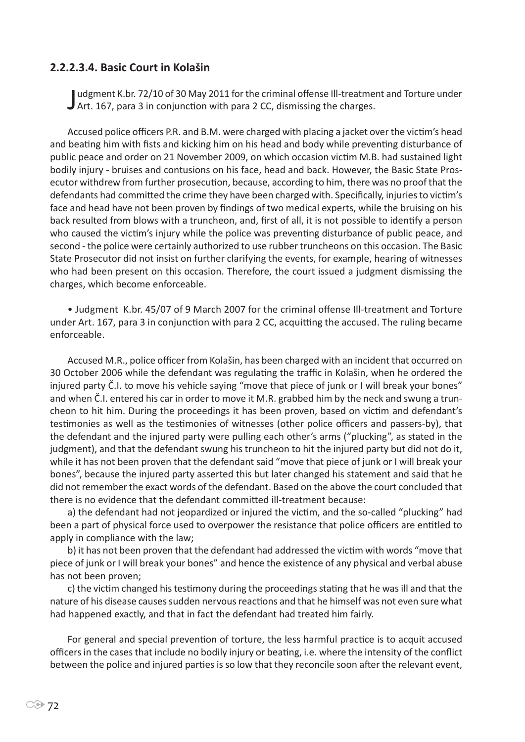#### **2.2.2.3.4. Basic Court in Kolašin**

Judgment K.br. 72/10 of 30 May 2011 for the criminal offense III-treatme<br>J Art. 167, para 3 in conjunction with para 2 CC, dismissing the charges. udgment K.br. 72/10 of 30 May 2011 for the criminal offense Ill-treatment and Torture under

Accused police officers P.R. and B.M. were charged with placing a jacket over the victim's head and beating him with fists and kicking him on his head and body while preventing disturbance of public peace and order on 21 November 2009, on which occasion victim M.B. had sustained light bodily injury - bruises and contusions on his face, head and back. However, the Basic State Prosecutor withdrew from further prosecution, because, according to him, there was no proof that the defendants had committed the crime they have been charged with. Specifically, injuries to victim's face and head have not been proven by findings of two medical experts, while the bruising on his back resulted from blows with a truncheon, and, first of all, it is not possible to identify a person who caused the victim's injury while the police was preventing disturbance of public peace, and second - the police were certainly authorized to use rubber truncheons on this occasion. The Basic State Prosecutor did not insist on further clarifying the events, for example, hearing of witnesses who had been present on this occasion. Therefore, the court issued a judgment dismissing the charges, which become enforceable.

• Judgment K.br. 45/07 of 9 March 2007 for the criminal offense Ill-treatment and Torture under Art. 167, para 3 in conjunction with para 2 CC, acquitting the accused. The ruling became enforceable.

Accused M.R., police officer from Kolašin, has been charged with an incident that occurred on 30 October 2006 while the defendant was regulating the traffic in Kolašin, when he ordered the injured party Č.I. to move his vehicle saying "move that piece of junk or I will break your bones" and when Č.I. entered his car in order to move it M.R. grabbed him by the neck and swung a truncheon to hit him. During the proceedings it has been proven, based on victim and defendant's testimonies as well as the testimonies of witnesses (other police officers and passers-by), that the defendant and the injured party were pulling each other's arms ("plucking", as stated in the judgment), and that the defendant swung his truncheon to hit the injured party but did not do it, while it has not been proven that the defendant said "move that piece of junk or I will break your bones", because the injured party asserted this but later changed his statement and said that he did not remember the exact words of the defendant. Based on the above the court concluded that there is no evidence that the defendant committed ill-treatment because:

a) the defendant had not jeopardized or injured the victim, and the so-called "plucking" had been a part of physical force used to overpower the resistance that police officers are entitled to apply in compliance with the law;

b) it has not been proven that the defendant had addressed the victim with words "move that piece of junk or I will break your bones" and hence the existence of any physical and verbal abuse has not been proven;

c) the victim changed his testimony during the proceedings stating that he was ill and that the nature of his disease causes sudden nervous reactions and that he himself was not even sure what had happened exactly, and that in fact the defendant had treated him fairly.

For general and special prevention of torture, the less harmful practice is to acquit accused officers in the cases that include no bodily injury or beating, i.e. where the intensity of the conflict between the police and injured parties is so low that they reconcile soon after the relevant event,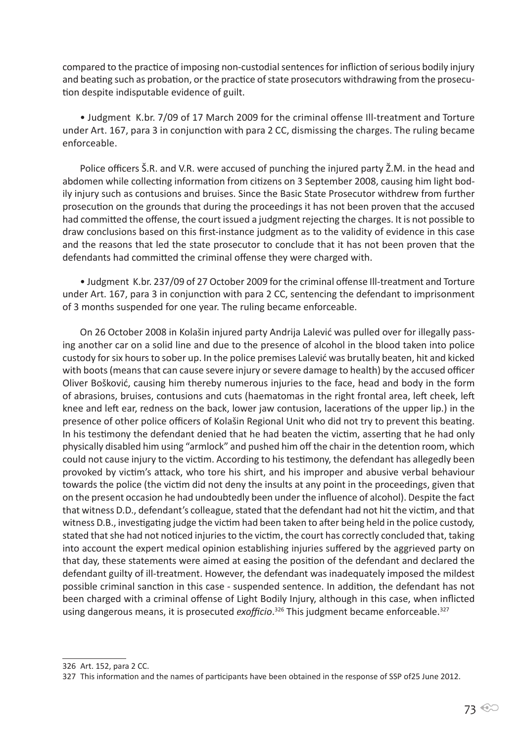compared to the practice of imposing non-custodial sentences for infliction of serious bodily injury and beating such as probation, or the practice of state prosecutors withdrawing from the prosecution despite indisputable evidence of guilt.

• Judgment K.br. 7/09 of 17 March 2009 for the criminal offense Ill-treatment and Torture under Art. 167, para 3 in conjunction with para 2 CC, dismissing the charges. The ruling became enforceable.

Police officers Š.R. and V.R. were accused of punching the injured party Ž.M. in the head and abdomen while collecting information from citizens on 3 September 2008, causing him light bodily injury such as contusions and bruises. Since the Basic State Prosecutor withdrew from further prosecution on the grounds that during the proceedings it has not been proven that the accused had committed the offense, the court issued a judgment rejecting the charges. It is not possible to draw conclusions based on this first-instance judgment as to the validity of evidence in this case and the reasons that led the state prosecutor to conclude that it has not been proven that the defendants had committed the criminal offense they were charged with.

• Judgment K.br. 237/09 of 27 October 2009 for the criminal offense Ill-treatment and Torture under Art. 167, para 3 in conjunction with para 2 CC, sentencing the defendant to imprisonment of 3 months suspended for one year. The ruling became enforceable.

On 26 October 2008 in Kolašin injured party Andrija Lalević was pulled over for illegally passing another car on a solid line and due to the presence of alcohol in the blood taken into police custody for six hours to sober up. In the police premises Lalević was brutally beaten, hit and kicked with boots (means that can cause severe injury or severe damage to health) by the accused officer Oliver Bošković, causing him thereby numerous injuries to the face, head and body in the form of abrasions, bruises, contusions and cuts (haematomas in the right frontal area, left cheek, left knee and left ear, redness on the back, lower jaw contusion, lacerations of the upper lip.) in the presence of other police officers of Kolašin Regional Unit who did not try to prevent this beating. In his testimony the defendant denied that he had beaten the victim, asserting that he had only physically disabled him using "armlock" and pushed him off the chair in the detention room, which could not cause injury to the victim. According to his testimony, the defendant has allegedly been provoked by victim's attack, who tore his shirt, and his improper and abusive verbal behaviour towards the police (the victim did not deny the insults at any point in the proceedings, given that on the present occasion he had undoubtedly been under the influence of alcohol). Despite the fact that witness D.D., defendant's colleague, stated that the defendant had not hit the victim, and that witness D.B., investigating judge the victim had been taken to after being held in the police custody, stated that she had not noticed injuries to the victim, the court has correctly concluded that, taking into account the expert medical opinion establishing injuries suffered by the aggrieved party on that day, these statements were aimed at easing the position of the defendant and declared the defendant guilty of ill-treatment. However, the defendant was inadequately imposed the mildest possible criminal sanction in this case - suspended sentence. In addition, the defendant has not been charged with a criminal offense of Light Bodily Injury, although in this case, when inflicted using dangerous means, it is prosecuted exofficio.<sup>326</sup> This judgment became enforceable.<sup>327</sup>

<sup>326</sup> Art. 152, para 2 CC.

<sup>327</sup> This information and the names of participants have been obtained in the response of SSP of25 June 2012.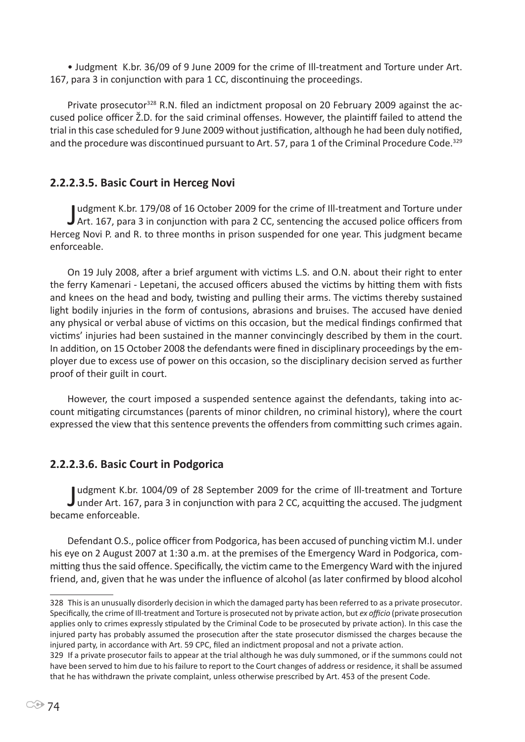• Judgment K.br. 36/09 of 9 June 2009 for the crime of Ill-treatment and Torture under Art. 167, para 3 in conjunction with para 1 CC, discontinuing the proceedings.

Private prosecutor328 R.N. filed an indictment proposal on 20 February 2009 against the accused police officer Ž.D. for the said criminal offenses. However, the plaintiff failed to attend the trial in this case scheduled for 9 June 2009 without justification, although he had been duly notified, and the procedure was discontinued pursuant to Art. 57, para 1 of the Criminal Procedure Code.<sup>329</sup>

### **2.2.2.3.5. Basic Court in Herceg Novi**

Judgment K.br. 179/08 of 16 October 2009 for the crime of Ill-treatment and Torture under<br>J Art. 167, para 3 in conjunction with para 2 CC, sentencing the accused police officers from udgment K.br. 179/08 of 16 October 2009 for the crime of Ill-treatment and Torture under Herceg Novi P. and R. to three months in prison suspended for one year. This judgment became enforceable.

On 19 July 2008, after a brief argument with victims L.S. and O.N. about their right to enter the ferry Kamenari - Lepetani, the accused officers abused the victims by hitting them with fists and knees on the head and body, twisting and pulling their arms. The victims thereby sustained light bodily injuries in the form of contusions, abrasions and bruises. The accused have denied any physical or verbal abuse of victims on this occasion, but the medical findings confirmed that victims' injuries had been sustained in the manner convincingly described by them in the court. In addition, on 15 October 2008 the defendants were fined in disciplinary proceedings by the employer due to excess use of power on this occasion, so the disciplinary decision served as further proof of their guilt in court.

However, the court imposed a suspended sentence against the defendants, taking into account mitigating circumstances (parents of minor children, no criminal history), where the court expressed the view that this sentence prevents the offenders from committing such crimes again.

#### **2.2.2.3.6. Basic Court in Podgorica**

Judgment K.br. 1004/09 of 28 September 2009 for the crime of Ill-treatment and Torture<br>Junder Art. 167, para 3 in conjunction with para 2 CC, acquitting the accused. The judgment under Art. 167, para 3 in conjunction with para 2 CC, acquitting the accused. The judgment became enforceable.

Defendant O.S., police officer from Podgorica, has been accused of punching victim M.I. under his eye on 2 August 2007 at 1:30 a.m. at the premises of the Emergency Ward in Podgorica, committing thus the said offence. Specifically, the victim came to the Emergency Ward with the injured friend, and, given that he was under the influence of alcohol (as later confirmed by blood alcohol

<sup>328</sup> This is an unusually disorderly decision in which the damaged party has been referred to as a private prosecutor. Specifically, the crime of Ill-treatment and Torture is prosecuted not by private action, but *ex officio* (private prosecution applies only to crimes expressly stipulated by the Criminal Code to be prosecuted by private action). In this case the injured party has probably assumed the prosecution after the state prosecutor dismissed the charges because the injured party, in accordance with Art. 59 CPC, filed an indictment proposal and not a private action.

<sup>329</sup> If a private prosecutor fails to appear at the trial although he was duly summoned, or if the summons could not have been served to him due to his failure to report to the Court changes of address or residence, it shall be assumed that he has withdrawn the private complaint, unless otherwise prescribed by Art. 453 of the present Code.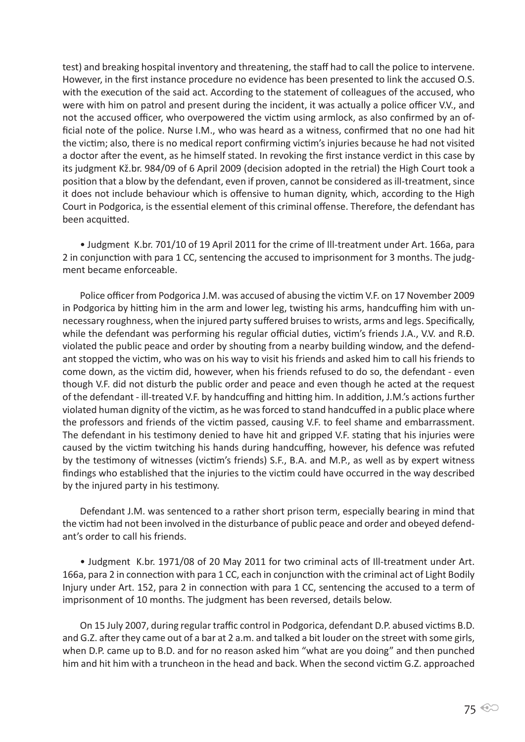test) and breaking hospital inventory and threatening, the staff had to call the police to intervene. However, in the first instance procedure no evidence has been presented to link the accused O.S. with the execution of the said act. According to the statement of colleagues of the accused, who were with him on patrol and present during the incident, it was actually a police officer V.V., and not the accused officer, who overpowered the victim using armlock, as also confirmed by an official note of the police. Nurse I.M., who was heard as a witness, confirmed that no one had hit the victim; also, there is no medical report confirming victim's injuries because he had not visited a doctor after the event, as he himself stated. In revoking the first instance verdict in this case by its judgment Kž.br. 984/09 of 6 April 2009 (decision adopted in the retrial) the High Court took a position that a blow by the defendant, even if proven, cannot be considered as ill-treatment, since it does not include behaviour which is offensive to human dignity, which, according to the High Court in Podgorica, is the essential element of this criminal offense. Therefore, the defendant has been acquitted.

• Judgment K.br. 701/10 of 19 April 2011 for the crime of Ill-treatment under Art. 166a, para 2 in conjunction with para 1 CC, sentencing the accused to imprisonment for 3 months. The judgment became enforceable.

Police officer from Podgorica J.M. was accused of abusing the victim V.F. on 17 November 2009 in Podgorica by hitting him in the arm and lower leg, twisting his arms, handcuffing him with unnecessary roughness, when the injured party suffered bruises to wrists, arms and legs. Specifically, while the defendant was performing his regular official duties, victim's friends J.A., V.V. and R.Đ. violated the public peace and order by shouting from a nearby building window, and the defendant stopped the victim, who was on his way to visit his friends and asked him to call his friends to come down, as the victim did, however, when his friends refused to do so, the defendant - even though V.F. did not disturb the public order and peace and even though he acted at the request of the defendant - ill-treated V.F. by handcuffing and hitting him. In addition, J.M.'s actions further violated human dignity of the victim, as he was forced to stand handcuffed in a public place where the professors and friends of the victim passed, causing V.F. to feel shame and embarrassment. The defendant in his testimony denied to have hit and gripped V.F. stating that his injuries were caused by the victim twitching his hands during handcuffing, however, his defence was refuted by the testimony of witnesses (victim's friends) S.F., B.A. and M.P., as well as by expert witness findings who established that the injuries to the victim could have occurred in the way described by the injured party in his testimony.

Defendant J.M. was sentenced to a rather short prison term, especially bearing in mind that the victim had not been involved in the disturbance of public peace and order and obeyed defendant's order to call his friends.

• Judgment K.br. 1971/08 of 20 May 2011 for two criminal acts of Ill-treatment under Art. 166a, para 2 in connection with para 1 CC, each in conjunction with the criminal act of Light Bodily Injury under Art. 152, para 2 in connection with para 1 CC, sentencing the accused to a term of imprisonment of 10 months. The judgment has been reversed, details below.

On 15 July 2007, during regular traffic control in Podgorica, defendant D.P. abused victims B.D. and G.Z. after they came out of a bar at 2 a.m. and talked a bit louder on the street with some girls, when D.P. came up to B.D. and for no reason asked him "what are you doing" and then punched him and hit him with a truncheon in the head and back. When the second victim G.Z. approached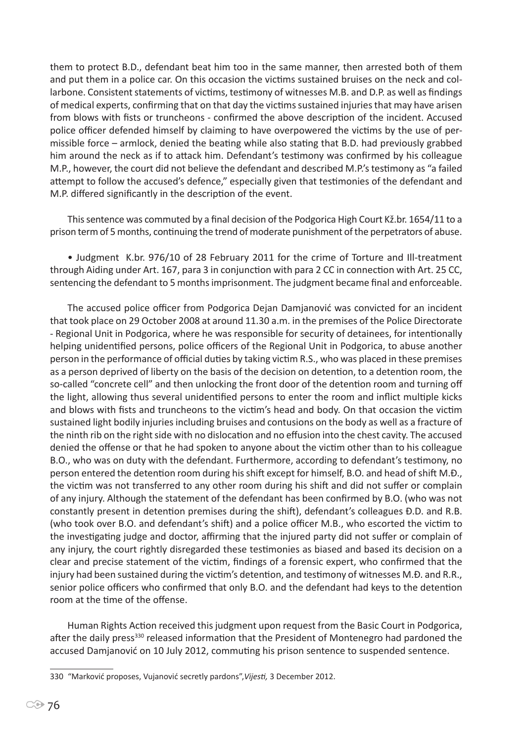them to protect B.D., defendant beat him too in the same manner, then arrested both of them and put them in a police car. On this occasion the victims sustained bruises on the neck and collarbone. Consistent statements of victims, testimony of witnesses M.B. and D.P. as well as findings of medical experts, confirming that on that day the victims sustained injuries that may have arisen from blows with fists or truncheons - confirmed the above description of the incident. Accused police officer defended himself by claiming to have overpowered the victims by the use of permissible force – armlock, denied the beating while also stating that B.D. had previously grabbed him around the neck as if to attack him. Defendant's testimony was confirmed by his colleague M.P., however, the court did not believe the defendant and described M.P.'s testimony as "a failed attempt to follow the accused's defence," especially given that testimonies of the defendant and M.P. differed significantly in the description of the event.

This sentence was commuted by a final decision of the Podgorica High Court Kž.br. 1654/11 to a prison term of 5 months, continuing the trend of moderate punishment of the perpetrators of abuse.

• Judgment K.br. 976/10 of 28 February 2011 for the crime of Torture and Ill-treatment through Aiding under Art. 167, para 3 in conjunction with para 2 CC in connection with Art. 25 CC, sentencing the defendant to 5 months imprisonment. The judgment became final and enforceable.

The accused police officer from Podgorica Dejan Damjanović was convicted for an incident that took place on 29 October 2008 at around 11.30 a.m. in the premises of the Police Directorate - Regional Unit in Podgorica, where he was responsible for security of detainees, for intentionally helping unidentified persons, police officers of the Regional Unit in Podgorica, to abuse another person in the performance of official duties by taking victim R.S., who was placed in these premises as a person deprived of liberty on the basis of the decision on detention, to a detention room, the so-called "concrete cell" and then unlocking the front door of the detention room and turning off the light, allowing thus several unidentified persons to enter the room and inflict multiple kicks and blows with fists and truncheons to the victim's head and body. On that occasion the victim sustained light bodily injuries including bruises and contusions on the body as well as a fracture of the ninth rib on the right side with no dislocation and no effusion into the chest cavity. The accused denied the offense or that he had spoken to anyone about the victim other than to his colleague B.O., who was on duty with the defendant. Furthermore, according to defendant's testimony, no person entered the detention room during his shift except for himself, B.O. and head of shift M.Đ., the victim was not transferred to any other room during his shift and did not suffer or complain of any injury. Although the statement of the defendant has been confirmed by B.O. (who was not constantly present in detention premises during the shift), defendant's colleagues Đ.D. and R.B. (who took over B.O. and defendant's shift) and a police officer M.B., who escorted the victim to the investigating judge and doctor, affirming that the injured party did not suffer or complain of any injury, the court rightly disregarded these testimonies as biased and based its decision on a clear and precise statement of the victim, findings of a forensic expert, who confirmed that the injury had been sustained during the victim's detention, and testimony of witnesses M.Đ. and R.R., senior police officers who confirmed that only B.O. and the defendant had keys to the detention room at the time of the offense.

Human Rights Action received this judgment upon request from the Basic Court in Podgorica, after the daily press<sup>330</sup> released information that the President of Montenegro had pardoned the accused Damjanović on 10 July 2012, commuting his prison sentence to suspended sentence.

<sup>330</sup> "Marković proposes, Vujanović secretly pardons",*Vijesti,* 3 December 2012.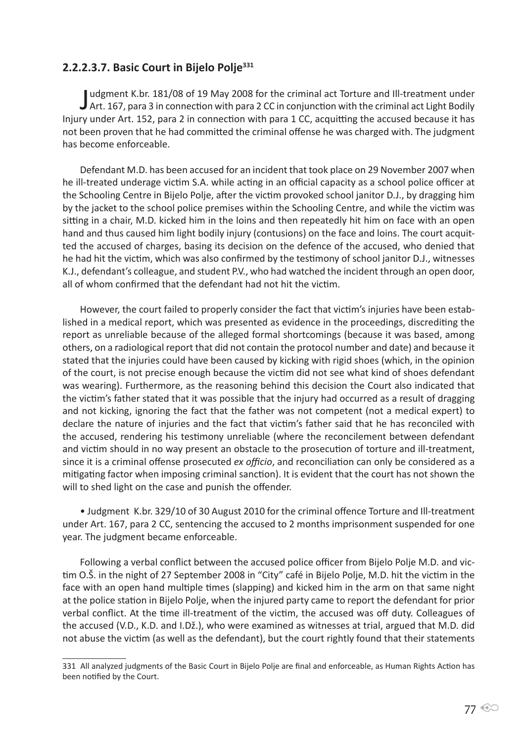# **2.2.2.3.7. Basic Court in Bijelo Polje<sup>331</sup>**

Judgment K.br. 181/08 of 19 May 2008 for the criminal act Torture and Ill-treatment under<br>Art. 167, para 3 in connection with para 2 CC in conjunction with the criminal act Light Bodily udgment K.br. 181/08 of 19 May 2008 for the criminal act Torture and Ill-treatment under Injury under Art. 152, para 2 in connection with para 1 CC, acquitting the accused because it has not been proven that he had committed the criminal offense he was charged with. The judgment has become enforceable.

Defendant M.D. has been accused for an incident that took place on 29 November 2007 when he ill-treated underage victim S.A. while acting in an official capacity as a school police officer at the Schooling Centre in Bijelo Polje, after the victim provoked school janitor D.J., by dragging him by the jacket to the school police premises within the Schooling Centre, and while the victim was sitting in a chair, M.D. kicked him in the loins and then repeatedly hit him on face with an open hand and thus caused him light bodily injury (contusions) on the face and loins. The court acquitted the accused of charges, basing its decision on the defence of the accused, who denied that he had hit the victim, which was also confirmed by the testimony of school janitor D.J., witnesses K.J., defendant's colleague, and student P.V., who had watched the incident through an open door, all of whom confirmed that the defendant had not hit the victim.

However, the court failed to properly consider the fact that victim's injuries have been established in a medical report, which was presented as evidence in the proceedings, discrediting the report as unreliable because of the alleged formal shortcomings (because it was based, among others, on a radiological report that did not contain the protocol number and date) and because it stated that the injuries could have been caused by kicking with rigid shoes (which, in the opinion of the court, is not precise enough because the victim did not see what kind of shoes defendant was wearing). Furthermore, as the reasoning behind this decision the Court also indicated that the victim's father stated that it was possible that the injury had occurred as a result of dragging and not kicking, ignoring the fact that the father was not competent (not a medical expert) to declare the nature of injuries and the fact that victim's father said that he has reconciled with the accused, rendering his testimony unreliable (where the reconcilement between defendant and victim should in no way present an obstacle to the prosecution of torture and ill-treatment, since it is a criminal offense prosecuted *ex officio*, and reconciliation can only be considered as a mitigating factor when imposing criminal sanction). It is evident that the court has not shown the will to shed light on the case and punish the offender.

• Judgment K.br. 329/10 of 30 August 2010 for the criminal offence Torture and Ill-treatment under Art. 167, para 2 CC, sentencing the accused to 2 months imprisonment suspended for one year. The judgment became enforceable.

Following a verbal conflict between the accused police officer from Bijelo Polje M.D. and victim O.Š. in the night of 27 September 2008 in "City" café in Bijelo Polje, M.D. hit the victim in the face with an open hand multiple times (slapping) and kicked him in the arm on that same night at the police station in Bijelo Polje, when the injured party came to report the defendant for prior verbal conflict. At the time ill-treatment of the victim, the accused was off duty. Colleagues of the accused (V.D., K.D. and I.Dž.), who were examined as witnesses at trial, argued that M.D. did not abuse the victim (as well as the defendant), but the court rightly found that their statements

<sup>331</sup> All analyzed judgments of the Basic Court in Bijelo Polje are final and enforceable, as Human Rights Action has been notified by the Court.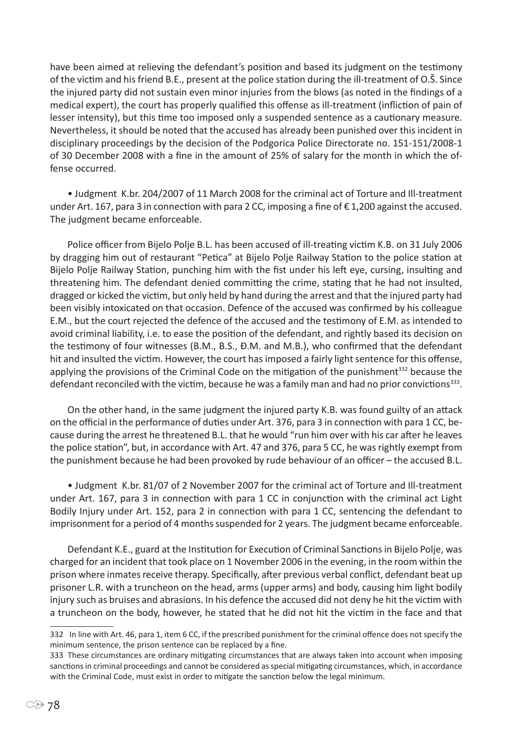have been aimed at relieving the defendant's position and based its judgment on the testimony of the victim and his friend B.E., present at the police station during the ill-treatment of O.Š. Since the injured party did not sustain even minor injuries from the blows (as noted in the findings of a medical expert), the court has properly qualified this offense as ill-treatment (infliction of pain of lesser intensity), but this time too imposed only a suspended sentence as a cautionary measure. Nevertheless, it should be noted that the accused has already been punished over this incident in disciplinary proceedings by the decision of the Podgorica Police Directorate no. 151-151/2008-1 of 30 December 2008 with a fine in the amount of 25% of salary for the month in which the offense occurred.

• Judgment K.br. 204/2007 of 11 March 2008 for the criminal act of Torture and Ill-treatment under Art. 167, para 3 in connection with para 2 CC, imposing a fine of € 1,200 against the accused. The judgment became enforceable.

Police officer from Bijelo Polje B.L. has been accused of ill-treating victim K.B. on 31 July 2006 by dragging him out of restaurant "Petica" at Bijelo Polje Railway Station to the police station at Bijelo Polje Railway Station, punching him with the fist under his left eye, cursing, insulting and threatening him. The defendant denied committing the crime, stating that he had not insulted, dragged or kicked the victim, but only held by hand during the arrest and that the injured party had been visibly intoxicated on that occasion. Defence of the accused was confirmed by his colleague E.M., but the court rejected the defence of the accused and the testimony of E.M. as intended to avoid criminal liability, i.e. to ease the position of the defendant, and rightly based its decision on the testimony of four witnesses (B.M., B.S., Đ.M. and M.B.), who confirmed that the defendant hit and insulted the victim. However, the court has imposed a fairly light sentence for this offense, applying the provisions of the Criminal Code on the mitigation of the punishment<sup>332</sup> because the defendant reconciled with the victim, because he was a family man and had no prior convictions<sup>333</sup>.

On the other hand, in the same judgment the injured party K.B. was found guilty of an attack on the official in the performance of duties under Art. 376, para 3 in connection with para 1 CC, because during the arrest he threatened B.L. that he would "run him over with his car after he leaves the police station", but, in accordance with Art. 47 and 376, para 5 CC, he was rightly exempt from the punishment because he had been provoked by rude behaviour of an officer – the accused B.L.

• Judgment K.br. 81/07 of 2 November 2007 for the criminal act of Torture and Ill-treatment under Art. 167, para 3 in connection with para 1 CC in conjunction with the criminal act Light Bodily Injury under Art. 152, para 2 in connection with para 1 CC, sentencing the defendant to imprisonment for a period of 4 months suspended for 2 years. The judgment became enforceable.

Defendant K.E., guard at the Institution for Execution of Criminal Sanctions in Bijelo Polje, was charged for an incident that took place on 1 November 2006 in the evening, in the room within the prison where inmates receive therapy. Specifically, after previous verbal conflict, defendant beat up prisoner L.R. with a truncheon on the head, arms (upper arms) and body, causing him light bodily injury such as bruises and abrasions. In his defence the accused did not deny he hit the victim with a truncheon on the body, however, he stated that he did not hit the victim in the face and that

<sup>332</sup> In line with Art. 46, para 1, item 6 CC, if the prescribed punishment for the criminal offence does not specify the minimum sentence, the prison sentence can be replaced by a fine.

<sup>333</sup> These circumstances are ordinary mitigating circumstances that are always taken into account when imposing sanctions in criminal proceedings and cannot be considered as special mitigating circumstances, which, in accordance with the Criminal Code, must exist in order to mitigate the sanction below the legal minimum.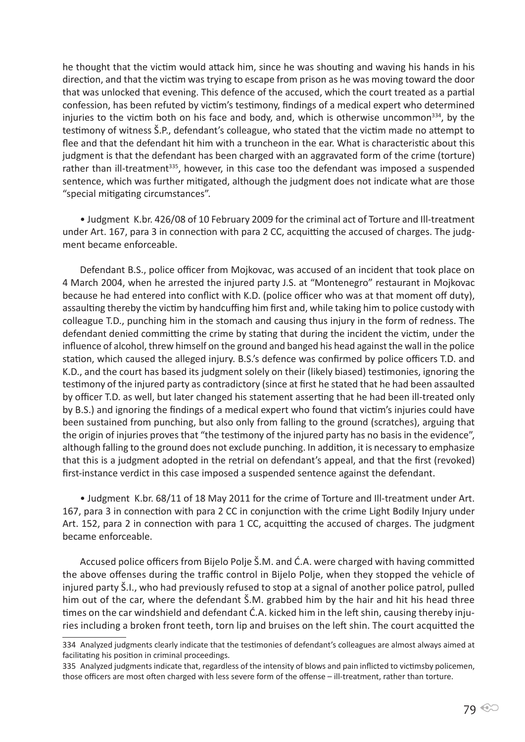he thought that the victim would attack him, since he was shouting and waving his hands in his direction, and that the victim was trying to escape from prison as he was moving toward the door that was unlocked that evening. This defence of the accused, which the court treated as a partial confession, has been refuted by victim's testimony, findings of a medical expert who determined injuries to the victim both on his face and body, and, which is otherwise uncommon<sup>334</sup>, by the testimony of witness Š.P., defendant's colleague, who stated that the victim made no attempt to flee and that the defendant hit him with a truncheon in the ear. What is characteristic about this judgment is that the defendant has been charged with an aggravated form of the crime (torture) rather than ill-treatment<sup>335</sup>, however, in this case too the defendant was imposed a suspended sentence, which was further mitigated, although the judgment does not indicate what are those "special mitigating circumstances".

• Judgment K.br. 426/08 of 10 February 2009 for the criminal act of Torture and Ill-treatment under Art. 167, para 3 in connection with para 2 CC, acquitting the accused of charges. The judgment became enforceable.

Defendant B.S., police officer from Mojkovac, was accused of an incident that took place on 4 March 2004, when he arrested the injured party J.S. at "Montenegro" restaurant in Mojkovac because he had entered into conflict with K.D. (police officer who was at that moment off duty), assaulting thereby the victim by handcuffing him first and, while taking him to police custody with colleague T.D., punching him in the stomach and causing thus injury in the form of redness. The defendant denied committing the crime by stating that during the incident the victim, under the influence of alcohol, threw himself on the ground and banged his head against the wall in the police station, which caused the alleged injury. B.S.'s defence was confirmed by police officers T.D. and K.D., and the court has based its judgment solely on their (likely biased) testimonies, ignoring the testimony of the injured party as contradictory (since at first he stated that he had been assaulted by officer T.D. as well, but later changed his statement asserting that he had been ill-treated only by B.S.) and ignoring the findings of a medical expert who found that victim's injuries could have been sustained from punching, but also only from falling to the ground (scratches), arguing that the origin of injuries proves that "the testimony of the injured party has no basis in the evidence", although falling to the ground does not exclude punching. In addition, it is necessary to emphasize that this is a judgment adopted in the retrial on defendant's appeal, and that the first (revoked) first-instance verdict in this case imposed a suspended sentence against the defendant.

• Judgment K.br. 68/11 of 18 May 2011 for the crime of Torture and Ill-treatment under Art. 167, para 3 in connection with para 2 CC in conjunction with the crime Light Bodily Injury under Art. 152, para 2 in connection with para 1 CC, acquitting the accused of charges. The judgment became enforceable.

Accused police officers from Bijelo Polje Š.M. and Ć.A. were charged with having committed the above offenses during the traffic control in Bijelo Polje, when they stopped the vehicle of injured party Š.I., who had previously refused to stop at a signal of another police patrol, pulled him out of the car, where the defendant Š.M. grabbed him by the hair and hit his head three times on the car windshield and defendant Ć.A. kicked him in the left shin, causing thereby injuries including a broken front teeth, torn lip and bruises on the left shin. The court acquitted the

<sup>334</sup> Analyzed judgments clearly indicate that the testimonies of defendant's colleagues are almost always aimed at facilitating his position in criminal proceedings.

<sup>335</sup> Analyzed judgments indicate that, regardless of the intensity of blows and pain inflicted to victimsby policemen, those officers are most often charged with less severe form of the offense – ill-treatment, rather than torture.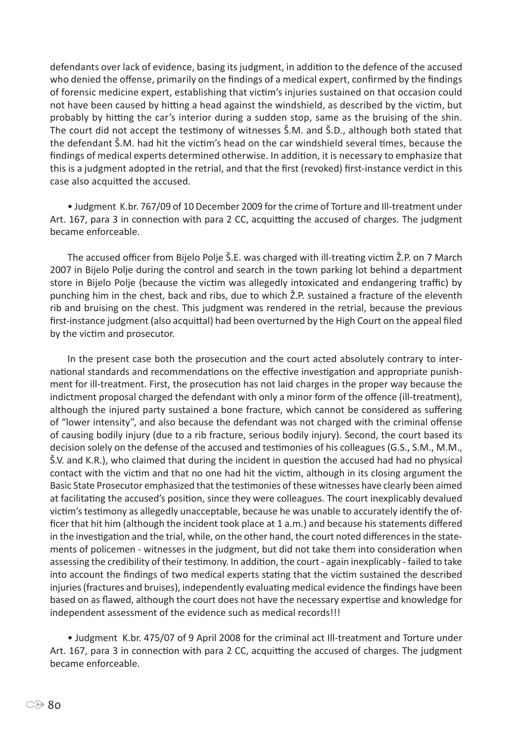defendants over lack of evidence, basing its judgment, in addition to the defence of the accused who denied the offense, primarily on the findings of a medical expert, confirmed by the findings of forensic medicine expert, establishing that victim's injuries sustained on that occasion could not have been caused by hitting a head against the windshield, as described by the victim, but probably by hitting the car's interior during a sudden stop, same as the bruising of the shin. The court did not accept the testimony of witnesses Š.M. and Š.D., although both stated that the defendant Š.M. had hit the victim's head on the car windshield several times, because the findings of medical experts determined otherwise. In addition, it is necessary to emphasize that this is a judgment adopted in the retrial, and that the first (revoked) first-instance verdict in this case also acquitted the accused.

• Judgment K.br. 767/09 of 10 December 2009 for the crime of Torture and Ill-treatment under Art. 167, para 3 in connection with para 2 CC, acquitting the accused of charges. The judgment became enforceable.

The accused officer from Bijelo Polje Š.E. was charged with ill-treating victim Ž.P. on 7 March 2007 in Bijelo Polje during the control and search in the town parking lot behind a department store in Bijelo Polje (because the victim was allegedly intoxicated and endangering traffic) by punching him in the chest, back and ribs, due to which Ž.P. sustained a fracture of the eleventh rib and bruising on the chest. This judgment was rendered in the retrial, because the previous first-instance judgment (also acquittal) had been overturned by the High Court on the appeal filed by the victim and prosecutor.

In the present case both the prosecution and the court acted absolutely contrary to international standards and recommendations on the effective investigation and appropriate punishment for ill-treatment. First, the prosecution has not laid charges in the proper way because the indictment proposal charged the defendant with only a minor form of the offence (ill-treatment), although the injured party sustained a bone fracture, which cannot be considered as suffering of "lower intensity", and also because the defendant was not charged with the criminal offense of causing bodily injury (due to a rib fracture, serious bodily injury). Second, the court based its decision solely on the defense of the accused and testimonies of his colleagues (G.S., S.M., M.M., Š.V. and K.R.), who claimed that during the incident in question the accused had had no physical contact with the victim and that no one had hit the victim, although in its closing argument the Basic State Prosecutor emphasized that the testimonies of these witnesses have clearly been aimed at facilitating the accused's position, since they were colleagues. The court inexplicably devalued victim's testimony as allegedly unacceptable, because he was unable to accurately identify the officer that hit him (although the incident took place at 1 a.m.) and because his statements differed in the investigation and the trial, while, on the other hand, the court noted differences in the statements of policemen - witnesses in the judgment, but did not take them into consideration when assessing the credibility of their testimony. In addition, the court - again inexplicably - failed to take into account the findings of two medical experts stating that the victim sustained the described injuries (fractures and bruises), independently evaluating medical evidence the findings have been based on as flawed, although the court does not have the necessary expertise and knowledge for independent assessment of the evidence such as medical records!!!

• Judgment K.br. 475/07 of 9 April 2008 for the criminal act Ill-treatment and Torture under Art. 167, para 3 in connection with para 2 CC, acquitting the accused of charges. The judgment became enforceable.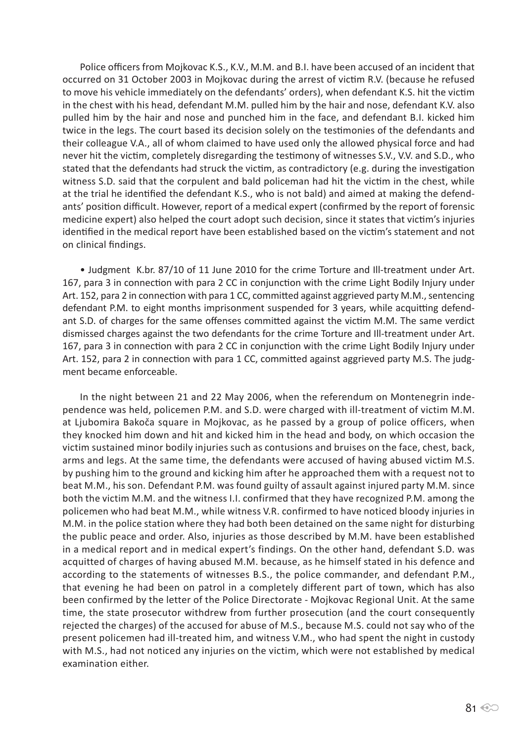Police officers from Mojkovac K.S., K.V., M.M. and B.I. have been accused of an incident that occurred on 31 October 2003 in Mojkovac during the arrest of victim R.V. (because he refused to move his vehicle immediately on the defendants' orders), when defendant K.S. hit the victim in the chest with his head, defendant M.M. pulled him by the hair and nose, defendant K.V. also pulled him by the hair and nose and punched him in the face, and defendant B.I. kicked him twice in the legs. The court based its decision solely on the testimonies of the defendants and their colleague V.A., all of whom claimed to have used only the allowed physical force and had never hit the victim, completely disregarding the testimony of witnesses S.V., V.V. and S.D., who stated that the defendants had struck the victim, as contradictory (e.g. during the investigation witness S.D. said that the corpulent and bald policeman had hit the victim in the chest, while at the trial he identified the defendant K.S., who is not bald) and aimed at making the defendants' position difficult. However, report of a medical expert (confirmed by the report of forensic medicine expert) also helped the court adopt such decision, since it states that victim's injuries identified in the medical report have been established based on the victim's statement and not on clinical findings.

• Judgment K.br. 87/10 of 11 June 2010 for the crime Torture and Ill-treatment under Art. 167, para 3 in connection with para 2 CC in conjunction with the crime Light Bodily Injury under Art. 152, para 2 in connection with para 1 CC, committed against aggrieved party M.M., sentencing defendant P.M. to eight months imprisonment suspended for 3 years, while acquitting defendant S.D. of charges for the same offenses committed against the victim M.M. The same verdict dismissed charges against the two defendants for the crime Torture and Ill-treatment under Art. 167, para 3 in connection with para 2 CC in conjunction with the crime Light Bodily Injury under Art. 152, para 2 in connection with para 1 CC, committed against aggrieved party M.S. The judgment became enforceable.

In the night between 21 and 22 May 2006, when the referendum on Montenegrin independence was held, policemen P.M. and S.D. were charged with ill-treatment of victim M.M. at Ljubomira Bakoča square in Mojkovac, as he passed by a group of police officers, when they knocked him down and hit and kicked him in the head and body, on which occasion the victim sustained minor bodily injuries such as contusions and bruises on the face, chest, back, arms and legs. At the same time, the defendants were accused of having abused victim M.S. by pushing him to the ground and kicking him after he approached them with a request not to beat M.M., his son. Defendant P.M. was found guilty of assault against injured party M.M. since both the victim M.M. and the witness I.I. confirmed that they have recognized P.M. among the policemen who had beat M.M., while witness V.R. confirmed to have noticed bloody injuries in M.M. in the police station where they had both been detained on the same night for disturbing the public peace and order. Also, injuries as those described by M.M. have been established in a medical report and in medical expert's findings. On the other hand, defendant S.D. was acquitted of charges of having abused M.M. because, as he himself stated in his defence and according to the statements of witnesses B.S., the police commander, and defendant P.M., that evening he had been on patrol in a completely different part of town, which has also been confirmed by the letter of the Police Directorate - Mojkovac Regional Unit. At the same time, the state prosecutor withdrew from further prosecution (and the court consequently rejected the charges) of the accused for abuse of M.S., because M.S. could not say who of the present policemen had ill-treated him, and witness V.M., who had spent the night in custody with M.S., had not noticed any injuries on the victim, which were not established by medical examination either.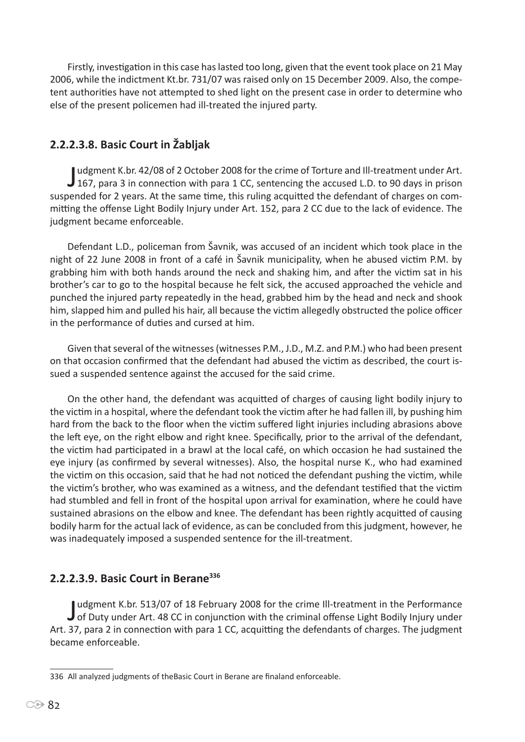Firstly, investigation in this case has lasted too long, given that the event took place on 21 May 2006, while the indictment Kt.br. 731/07 was raised only on 15 December 2009. Also, the competent authorities have not attempted to shed light on the present case in order to determine who else of the present policemen had ill-treated the injured party.

# **2.2.2.3.8. Basic Court in Žabljak**

Judgment K.br. 42/08 of 2 October 2008 for the crime of Torture and Ill-treatment under Art.<br>167, para 3 in connection with para 1 CC, sentencing the accused L.D. to 90 days in prison udgment K.br. 42/08 of 2 October 2008 for the crime of Torture and Ill-treatment under Art. suspended for 2 years. At the same time, this ruling acquitted the defendant of charges on committing the offense Light Bodily Injury under Art. 152, para 2 CC due to the lack of evidence. The judgment became enforceable.

Defendant L.D., policeman from Šavnik, was accused of an incident which took place in the night of 22 June 2008 in front of a café in Šavnik municipality, when he abused victim P.M. by grabbing him with both hands around the neck and shaking him, and after the victim sat in his brother's car to go to the hospital because he felt sick, the accused approached the vehicle and punched the injured party repeatedly in the head, grabbed him by the head and neck and shook him, slapped him and pulled his hair, all because the victim allegedly obstructed the police officer in the performance of duties and cursed at him.

Given that several of the witnesses (witnesses P.M., J.D., M.Z. and P.M.) who had been present on that occasion confirmed that the defendant had abused the victim as described, the court issued a suspended sentence against the accused for the said crime.

On the other hand, the defendant was acquitted of charges of causing light bodily injury to the victim in a hospital, where the defendant took the victim after he had fallen ill, by pushing him hard from the back to the floor when the victim suffered light injuries including abrasions above the left eye, on the right elbow and right knee. Specifically, prior to the arrival of the defendant, the victim had participated in a brawl at the local café, on which occasion he had sustained the eye injury (as confirmed by several witnesses). Also, the hospital nurse K., who had examined the victim on this occasion, said that he had not noticed the defendant pushing the victim, while the victim's brother, who was examined as a witness, and the defendant testified that the victim had stumbled and fell in front of the hospital upon arrival for examination, where he could have sustained abrasions on the elbow and knee. The defendant has been rightly acquitted of causing bodily harm for the actual lack of evidence, as can be concluded from this judgment, however, he was inadequately imposed a suspended sentence for the ill-treatment.

# **2.2.2.3.9. Basic Court in Berane336**

Judgment K.br. 513/07 of 18 February 2008 for the crime Ill-treatment in the Performance<br>J of Duty under Art. 48 CC in conjunction with the criminal offense Light Bodily Injury under udgment K.br. 513/07 of 18 February 2008 for the crime Ill-treatment in the Performance Art. 37, para 2 in connection with para 1 CC, acquitting the defendants of charges. The judgment became enforceable.

<sup>336</sup> All analyzed judgments of theBasic Court in Berane are finaland enforceable.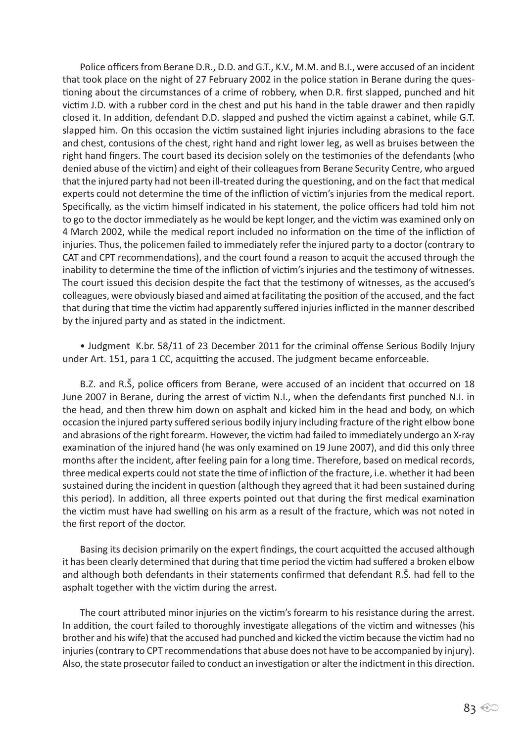Police officers from Berane D.R., D.D. and G.T., K.V., M.M. and B.I., were accused of an incident that took place on the night of 27 February 2002 in the police station in Berane during the questioning about the circumstances of a crime of robbery, when D.R. first slapped, punched and hit victim J.D. with a rubber cord in the chest and put his hand in the table drawer and then rapidly closed it. In addition, defendant D.D. slapped and pushed the victim against a cabinet, while G.T. slapped him. On this occasion the victim sustained light injuries including abrasions to the face and chest, contusions of the chest, right hand and right lower leg, as well as bruises between the right hand fingers. The court based its decision solely on the testimonies of the defendants (who denied abuse of the victim) and eight of their colleagues from Berane Security Centre, who argued that the injured party had not been ill-treated during the questioning, and on the fact that medical experts could not determine the time of the infliction of victim's injuries from the medical report. Specifically, as the victim himself indicated in his statement, the police officers had told him not to go to the doctor immediately as he would be kept longer, and the victim was examined only on 4 March 2002, while the medical report included no information on the time of the infliction of injuries. Thus, the policemen failed to immediately refer the injured party to a doctor (contrary to CAT and CPT recommendations), and the court found a reason to acquit the accused through the inability to determine the time of the infliction of victim's injuries and the testimony of witnesses. The court issued this decision despite the fact that the testimony of witnesses, as the accused's colleagues, were obviously biased and aimed at facilitating the position of the accused, and the fact that during that time the victim had apparently suffered injuries inflicted in the manner described by the injured party and as stated in the indictment.

• Judgment K.br. 58/11 of 23 December 2011 for the criminal offense Serious Bodily Injury under Art. 151, para 1 CC, acquitting the accused. The judgment became enforceable.

B.Z. and R.Š, police officers from Berane, were accused of an incident that occurred on 18 June 2007 in Berane, during the arrest of victim N.I., when the defendants first punched N.I. in the head, and then threw him down on asphalt and kicked him in the head and body, on which occasion the injured party suffered serious bodily injury including fracture of the right elbow bone and abrasions of the right forearm. However, the victim had failed to immediately undergo an X-ray examination of the injured hand (he was only examined on 19 June 2007), and did this only three months after the incident, after feeling pain for a long time. Therefore, based on medical records, three medical experts could not state the time of infliction of the fracture, i.e. whether it had been sustained during the incident in question (although they agreed that it had been sustained during this period). In addition, all three experts pointed out that during the first medical examination the victim must have had swelling on his arm as a result of the fracture, which was not noted in the first report of the doctor.

Basing its decision primarily on the expert findings, the court acquitted the accused although it has been clearly determined that during that time period the victim had suffered a broken elbow and although both defendants in their statements confirmed that defendant R.Š. had fell to the asphalt together with the victim during the arrest.

The court attributed minor injuries on the victim's forearm to his resistance during the arrest. In addition, the court failed to thoroughly investigate allegations of the victim and witnesses (his brother and his wife) that the accused had punched and kicked the victim because the victim had no injuries (contrary to CPT recommendations that abuse does not have to be accompanied by injury). Also, the state prosecutor failed to conduct an investigation or alter the indictment in this direction.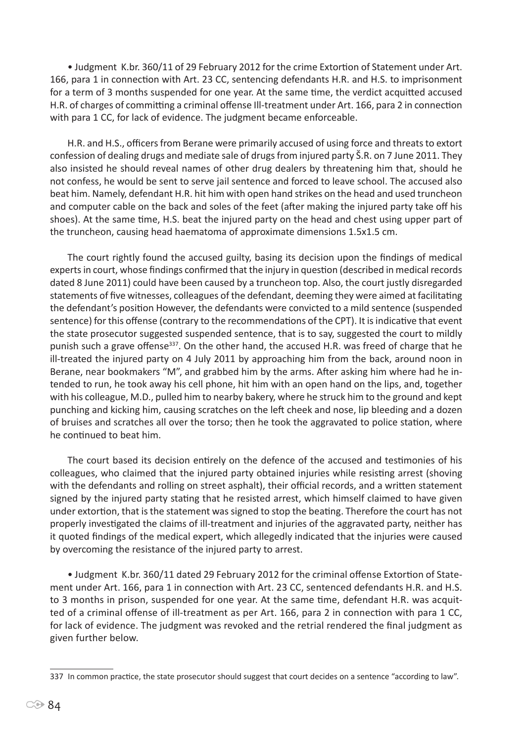• Judgment K.br. 360/11 of 29 February 2012 for the crime Extortion of Statement under Art. 166, para 1 in connection with Art. 23 CC, sentencing defendants H.R. and H.S. to imprisonment for a term of 3 months suspended for one year. At the same time, the verdict acquitted accused H.R. of charges of committing a criminal offense Ill-treatment under Art. 166, para 2 in connection with para 1 CC, for lack of evidence. The judgment became enforceable.

H.R. and H.S., officers from Berane were primarily accused of using force and threats to extort confession of dealing drugs and mediate sale of drugs from injured party Š.R. on 7 June 2011. They also insisted he should reveal names of other drug dealers by threatening him that, should he not confess, he would be sent to serve jail sentence and forced to leave school. The accused also beat him. Namely, defendant H.R. hit him with open hand strikes on the head and used truncheon and computer cable on the back and soles of the feet (after making the injured party take off his shoes). At the same time, H.S. beat the injured party on the head and chest using upper part of the truncheon, causing head haematoma of approximate dimensions 1.5x1.5 cm.

The court rightly found the accused guilty, basing its decision upon the findings of medical experts in court, whose findings confirmed that the injury in question (described in medical records dated 8 June 2011) could have been caused by a truncheon top. Also, the court justly disregarded statements of five witnesses, colleagues of the defendant, deeming they were aimed at facilitating the defendant's position However, the defendants were convicted to a mild sentence (suspended sentence) for this offense (contrary to the recommendations of the CPT). It is indicative that event the state prosecutor suggested suspended sentence, that is to say, suggested the court to mildly punish such a grave offense<sup>337</sup>. On the other hand, the accused H.R. was freed of charge that he ill-treated the injured party on 4 July 2011 by approaching him from the back, around noon in Berane, near bookmakers "M", and grabbed him by the arms. After asking him where had he intended to run, he took away his cell phone, hit him with an open hand on the lips, and, together with his colleague, M.D., pulled him to nearby bakery, where he struck him to the ground and kept punching and kicking him, causing scratches on the left cheek and nose, lip bleeding and a dozen of bruises and scratches all over the torso; then he took the aggravated to police station, where he continued to beat him.

The court based its decision entirely on the defence of the accused and testimonies of his colleagues, who claimed that the injured party obtained injuries while resisting arrest (shoving with the defendants and rolling on street asphalt), their official records, and a written statement signed by the injured party stating that he resisted arrest, which himself claimed to have given under extortion, that is the statement was signed to stop the beating. Therefore the court has not properly investigated the claims of ill-treatment and injuries of the aggravated party, neither has it quoted findings of the medical expert, which allegedly indicated that the injuries were caused by overcoming the resistance of the injured party to arrest.

• Judgment K.br. 360/11 dated 29 February 2012 for the criminal offense Extortion of Statement under Art. 166, para 1 in connection with Art. 23 CC, sentenced defendants H.R. and H.S. to 3 months in prison, suspended for one year. At the same time, defendant H.R. was acquitted of a criminal offense of ill-treatment as per Art. 166, para 2 in connection with para 1 CC, for lack of evidence. The judgment was revoked and the retrial rendered the final judgment as given further below.

<sup>337</sup> In common practice, the state prosecutor should suggest that court decides on a sentence "according to law".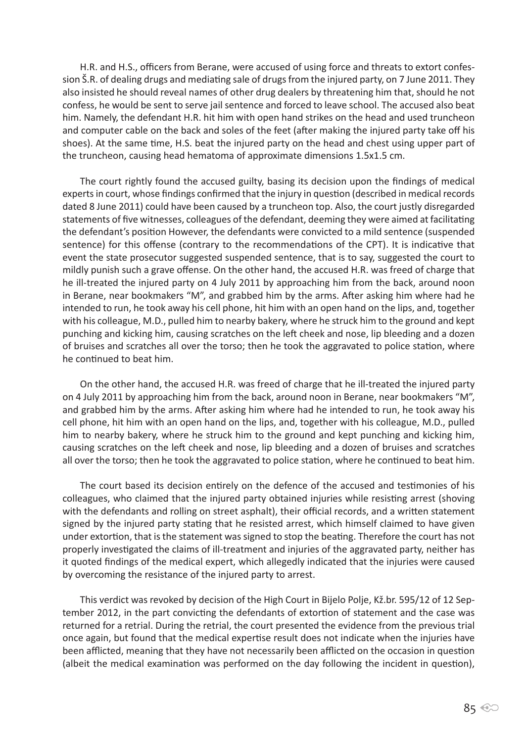H.R. and H.S., officers from Berane, were accused of using force and threats to extort confession Š.R. of dealing drugs and mediating sale of drugs from the injured party, on 7 June 2011. They also insisted he should reveal names of other drug dealers by threatening him that, should he not confess, he would be sent to serve jail sentence and forced to leave school. The accused also beat him. Namely, the defendant H.R. hit him with open hand strikes on the head and used truncheon and computer cable on the back and soles of the feet (after making the injured party take off his shoes). At the same time, H.S. beat the injured party on the head and chest using upper part of the truncheon, causing head hematoma of approximate dimensions 1.5x1.5 cm.

The court rightly found the accused guilty, basing its decision upon the findings of medical experts in court, whose findings confirmed that the injury in question (described in medical records dated 8 June 2011) could have been caused by a truncheon top. Also, the court justly disregarded statements of five witnesses, colleagues of the defendant, deeming they were aimed at facilitating the defendant's position However, the defendants were convicted to a mild sentence (suspended sentence) for this offense (contrary to the recommendations of the CPT). It is indicative that event the state prosecutor suggested suspended sentence, that is to say, suggested the court to mildly punish such a grave offense. On the other hand, the accused H.R. was freed of charge that he ill-treated the injured party on 4 July 2011 by approaching him from the back, around noon in Berane, near bookmakers "M", and grabbed him by the arms. After asking him where had he intended to run, he took away his cell phone, hit him with an open hand on the lips, and, together with his colleague, M.D., pulled him to nearby bakery, where he struck him to the ground and kept punching and kicking him, causing scratches on the left cheek and nose, lip bleeding and a dozen of bruises and scratches all over the torso; then he took the aggravated to police station, where he continued to beat him.

On the other hand, the accused H.R. was freed of charge that he ill-treated the injured party on 4 July 2011 by approaching him from the back, around noon in Berane, near bookmakers "M", and grabbed him by the arms. After asking him where had he intended to run, he took away his cell phone, hit him with an open hand on the lips, and, together with his colleague, M.D., pulled him to nearby bakery, where he struck him to the ground and kept punching and kicking him, causing scratches on the left cheek and nose, lip bleeding and a dozen of bruises and scratches all over the torso; then he took the aggravated to police station, where he continued to beat him.

The court based its decision entirely on the defence of the accused and testimonies of his colleagues, who claimed that the injured party obtained injuries while resisting arrest (shoving with the defendants and rolling on street asphalt), their official records, and a written statement signed by the injured party stating that he resisted arrest, which himself claimed to have given under extortion, that is the statement was signed to stop the beating. Therefore the court has not properly investigated the claims of ill-treatment and injuries of the aggravated party, neither has it quoted findings of the medical expert, which allegedly indicated that the injuries were caused by overcoming the resistance of the injured party to arrest.

This verdict was revoked by decision of the High Court in Bijelo Polje, Kž.br. 595/12 of 12 September 2012, in the part convicting the defendants of extortion of statement and the case was returned for a retrial. During the retrial, the court presented the evidence from the previous trial once again, but found that the medical expertise result does not indicate when the injuries have been afflicted, meaning that they have not necessarily been afflicted on the occasion in question (albeit the medical examination was performed on the day following the incident in question),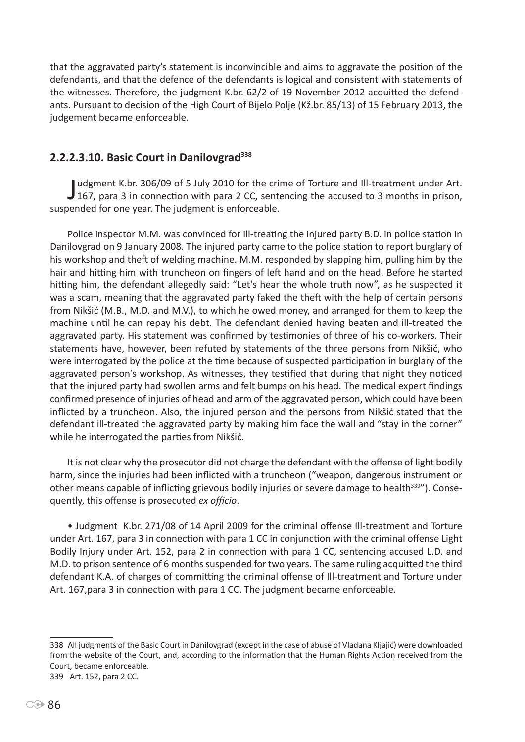that the aggravated party's statement is inconvincible and aims to aggravate the position of the defendants, and that the defence of the defendants is logical and consistent with statements of the witnesses. Therefore, the judgment K.br. 62/2 of 19 November 2012 acquitted the defendants. Pursuant to decision of the High Court of Bijelo Polje (Kž.br. 85/13) of 15 February 2013, the judgement became enforceable.

### **2.2.2.3.10. Basic Court in Danilovgrad338**

Judgment K.br. 306/09 of 5 July 2010 for the crime of Torture and Ill-treatment under Art.<br>167, para 3 in connection with para 2 CC, sentencing the accused to 3 months in prison, udgment K.br. 306/09 of 5 July 2010 for the crime of Torture and Ill-treatment under Art. suspended for one year. The judgment is enforceable.

Police inspector M.M. was convinced for ill-treating the injured party B.D. in police station in Danilovgrad on 9 January 2008. The injured party came to the police station to report burglary of his workshop and theft of welding machine. M.M. responded by slapping him, pulling him by the hair and hitting him with truncheon on fingers of left hand and on the head. Before he started hitting him, the defendant allegedly said: "Let's hear the whole truth now", as he suspected it was a scam, meaning that the aggravated party faked the theft with the help of certain persons from Nikšić (M.B., M.D. and M.V.), to which he owed money, and arranged for them to keep the machine until he can repay his debt. The defendant denied having beaten and ill-treated the aggravated party. His statement was confirmed by testimonies of three of his co-workers. Their statements have, however, been refuted by statements of the three persons from Nikšić, who were interrogated by the police at the time because of suspected participation in burglary of the aggravated person's workshop. As witnesses, they testified that during that night they noticed that the injured party had swollen arms and felt bumps on his head. The medical expert findings confirmed presence of injuries of head and arm of the aggravated person, which could have been inflicted by a truncheon. Also, the injured person and the persons from Nikšić stated that the defendant ill-treated the aggravated party by making him face the wall and "stay in the corner" while he interrogated the parties from Nikšić.

It is not clear why the prosecutor did not charge the defendant with the offense of light bodily harm, since the injuries had been inflicted with a truncheon ("weapon, dangerous instrument or other means capable of inflicting grievous bodily injuries or severe damage to health<sup>339"</sup>). Consequently, this offense is prosecuted *ex officio*.

• Judgment K.br. 271/08 of 14 April 2009 for the criminal offense Ill-treatment and Torture under Art. 167, para 3 in connection with para 1 CC in conjunction with the criminal offense Light Bodily Injury under Art. 152, para 2 in connection with para 1 CC, sentencing accused L.D. and M.D. to prison sentence of 6 months suspended for two years. The same ruling acquitted the third defendant K.A. of charges of committing the criminal offense of Ill-treatment and Torture under Art. 167,para 3 in connection with para 1 CC. The judgment became enforceable.

<sup>338</sup> All judgments of the Basic Court in Danilovgrad (except in the case of abuse of Vladana Kljajić) were downloaded from the website of the Court, and, according to the information that the Human Rights Action received from the Court, became enforceable. 339 Art. 152, para 2 CC.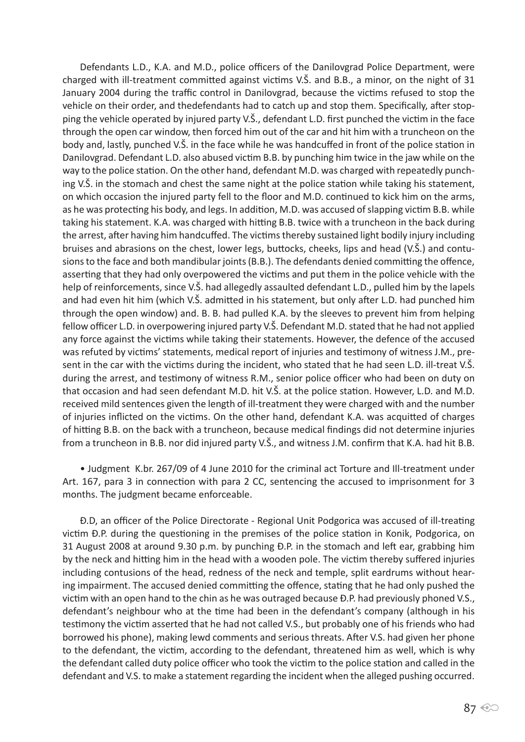Defendants L.D., K.A. and M.D., police officers of the Danilovgrad Police Department, were charged with ill-treatment committed against victims V.Š. and B.B., a minor, on the night of 31 January 2004 during the traffic control in Danilovgrad, because the victims refused to stop the vehicle on their order, and thedefendants had to catch up and stop them. Specifically, after stopping the vehicle operated by injured party V.Š., defendant L.D. first punched the victim in the face through the open car window, then forced him out of the car and hit him with a truncheon on the body and, lastly, punched V.Š. in the face while he was handcuffed in front of the police station in Danilovgrad. Defendant L.D. also abused victim B.B. by punching him twice in the jaw while on the way to the police station. On the other hand, defendant M.D. was charged with repeatedly punching V.Š. in the stomach and chest the same night at the police station while taking his statement, on which occasion the injured party fell to the floor and M.D. continued to kick him on the arms, as he was protecting his body, and legs. In addition, M.D. was accused of slapping victim B.B. while taking his statement. K.A. was charged with hitting B.B. twice with a truncheon in the back during the arrest, after having him handcuffed. The victims thereby sustained light bodily injury including bruises and abrasions on the chest, lower legs, buttocks, cheeks, lips and head (V.Š.) and contusions to the face and both mandibular joints (B.B.). The defendants denied committing the offence, asserting that they had only overpowered the victims and put them in the police vehicle with the help of reinforcements, since V.Š. had allegedly assaulted defendant L.D., pulled him by the lapels and had even hit him (which V.Š. admitted in his statement, but only after L.D. had punched him through the open window) and. B. B. had pulled K.A. by the sleeves to prevent him from helping fellow officer L.D. in overpowering injured party V.Š. Defendant M.D. stated that he had not applied any force against the victims while taking their statements. However, the defence of the accused was refuted by victims' statements, medical report of injuries and testimony of witness J.M., present in the car with the victims during the incident, who stated that he had seen L.D. ill-treat V.Š. during the arrest, and testimony of witness R.M., senior police officer who had been on duty on that occasion and had seen defendant M.D. hit V.Š. at the police station. However, L.D. and M.D. received mild sentences given the length of ill-treatment they were charged with and the number of injuries inflicted on the victims. On the other hand, defendant K.A. was acquitted of charges of hitting B.B. on the back with a truncheon, because medical findings did not determine injuries from a truncheon in B.B. nor did injured party V.Š., and witness J.M. confirm that K.A. had hit B.B.

• Judgment K.br. 267/09 of 4 June 2010 for the criminal act Torture and Ill-treatment under Art. 167, para 3 in connection with para 2 CC, sentencing the accused to imprisonment for 3 months. The judgment became enforceable.

Đ.D, an officer of the Police Directorate - Regional Unit Podgorica was accused of ill-treating victim Đ.P. during the questioning in the premises of the police station in Konik, Podgorica, on 31 August 2008 at around 9.30 p.m. by punching Đ.P. in the stomach and left ear, grabbing him by the neck and hitting him in the head with a wooden pole. The victim thereby suffered injuries including contusions of the head, redness of the neck and temple, split eardrums without hearing impairment. The accused denied committing the offence, stating that he had only pushed the victim with an open hand to the chin as he was outraged because Đ.P. had previously phoned V.S., defendant's neighbour who at the time had been in the defendant's company (although in his testimony the victim asserted that he had not called V.S., but probably one of his friends who had borrowed his phone), making lewd comments and serious threats. After V.S. had given her phone to the defendant, the victim, according to the defendant, threatened him as well, which is why the defendant called duty police officer who took the victim to the police station and called in the defendant and V.S. to make a statement regarding the incident when the alleged pushing occurred.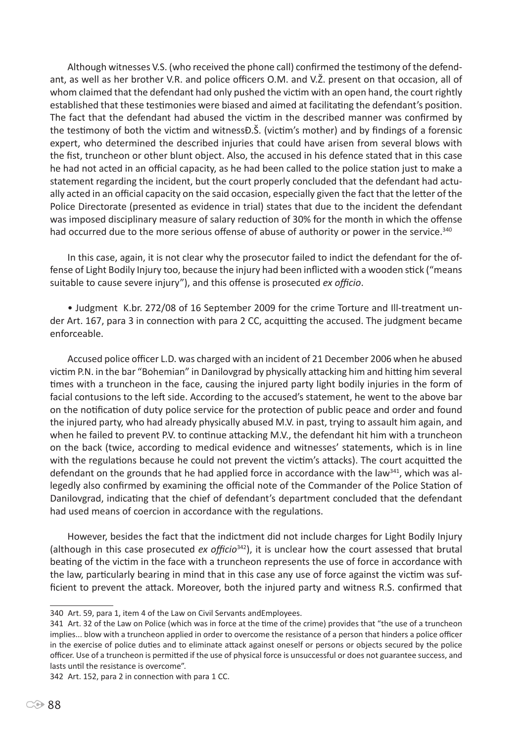Although witnesses V.S. (who received the phone call) confirmed the testimony of the defendant, as well as her brother V.R. and police officers O.M. and V.Ž. present on that occasion, all of whom claimed that the defendant had only pushed the victim with an open hand, the court rightly established that these testimonies were biased and aimed at facilitating the defendant's position. The fact that the defendant had abused the victim in the described manner was confirmed by the testimony of both the victim and witnessĐ.Š. (victim's mother) and by findings of a forensic expert, who determined the described injuries that could have arisen from several blows with the fist, truncheon or other blunt object. Also, the accused in his defence stated that in this case he had not acted in an official capacity, as he had been called to the police station just to make a statement regarding the incident, but the court properly concluded that the defendant had actually acted in an official capacity on the said occasion, especially given the fact that the letter of the Police Directorate (presented as evidence in trial) states that due to the incident the defendant was imposed disciplinary measure of salary reduction of 30% for the month in which the offense had occurred due to the more serious offense of abuse of authority or power in the service.<sup>340</sup>

In this case, again, it is not clear why the prosecutor failed to indict the defendant for the offense of Light Bodily Injury too, because the injury had been inflicted with a wooden stick ("means suitable to cause severe injury"), and this offense is prosecuted *ex officio*.

• Judgment K.br. 272/08 of 16 September 2009 for the crime Torture and Ill-treatment under Art. 167, para 3 in connection with para 2 CC, acquitting the accused. The judgment became enforceable.

Accused police officer L.D. was charged with an incident of 21 December 2006 when he abused victim P.N. in the bar "Bohemian" in Danilovgrad by physically attacking him and hitting him several times with a truncheon in the face, causing the injured party light bodily injuries in the form of facial contusions to the left side. According to the accused's statement, he went to the above bar on the notification of duty police service for the protection of public peace and order and found the injured party, who had already physically abused M.V. in past, trying to assault him again, and when he failed to prevent P.V. to continue attacking M.V., the defendant hit him with a truncheon on the back (twice, according to medical evidence and witnesses' statements, which is in line with the regulations because he could not prevent the victim's attacks). The court acquitted the defendant on the grounds that he had applied force in accordance with the law  $341$ , which was allegedly also confirmed by examining the official note of the Commander of the Police Station of Danilovgrad, indicating that the chief of defendant's department concluded that the defendant had used means of coercion in accordance with the regulations.

However, besides the fact that the indictment did not include charges for Light Bodily Injury (although in this case prosecuted *ex officio*342), it is unclear how the court assessed that brutal beating of the victim in the face with a truncheon represents the use of force in accordance with the law, particularly bearing in mind that in this case any use of force against the victim was sufficient to prevent the attack. Moreover, both the injured party and witness R.S. confirmed that

342 Art. 152, para 2 in connection with para 1 CC.

<sup>340</sup> Art. 59, para 1, item 4 of the Law on Civil Servants andEmployees.

<sup>341</sup> Art. 32 of the Law on Police (which was in force at the time of the crime) provides that "the use of a truncheon implies... blow with a truncheon applied in order to overcome the resistance of a person that hinders a police officer in the exercise of police duties and to eliminate attack against oneself or persons or objects secured by the police officer. Use of a truncheon is permitted if the use of physical force is unsuccessful or does not guarantee success, and lasts until the resistance is overcome".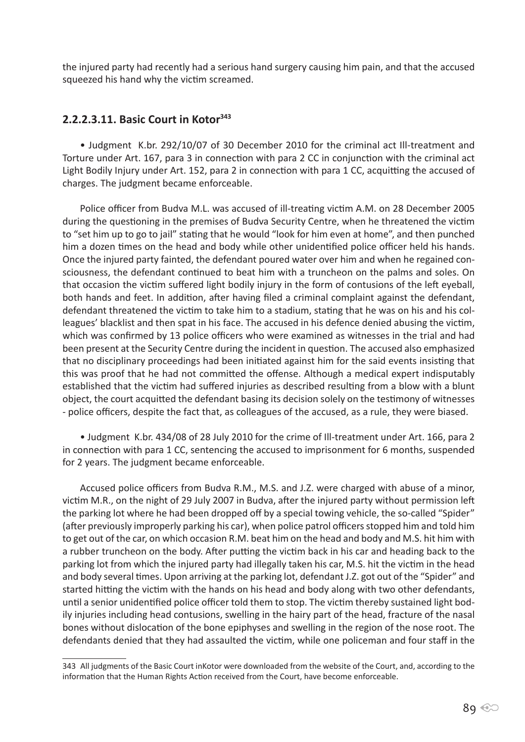the injured party had recently had a serious hand surgery causing him pain, and that the accused squeezed his hand why the victim screamed.

### **2.2.2.3.11. Basic Court in Kotor<sup>343</sup>**

• Judgment K.br. 292/10/07 of 30 December 2010 for the criminal act Ill-treatment and Torture under Art. 167, para 3 in connection with para 2 CC in conjunction with the criminal act Light Bodily Injury under Art. 152, para 2 in connection with para 1 CC, acquitting the accused of charges. The judgment became enforceable.

Police officer from Budva M.L. was accused of ill-treating victim A.M. on 28 December 2005 during the questioning in the premises of Budva Security Centre, when he threatened the victim to "set him up to go to jail" stating that he would "look for him even at home", and then punched him a dozen times on the head and body while other unidentified police officer held his hands. Once the injured party fainted, the defendant poured water over him and when he regained consciousness, the defendant continued to beat him with a truncheon on the palms and soles. On that occasion the victim suffered light bodily injury in the form of contusions of the left eyeball, both hands and feet. In addition, after having filed a criminal complaint against the defendant, defendant threatened the victim to take him to a stadium, stating that he was on his and his colleagues' blacklist and then spat in his face. The accused in his defence denied abusing the victim, which was confirmed by 13 police officers who were examined as witnesses in the trial and had been present at the Security Centre during the incident in question. The accused also emphasized that no disciplinary proceedings had been initiated against him for the said events insisting that this was proof that he had not committed the offense. Although a medical expert indisputably established that the victim had suffered injuries as described resulting from a blow with a blunt object, the court acquitted the defendant basing its decision solely on the testimony of witnesses - police officers, despite the fact that, as colleagues of the accused, as a rule, they were biased.

• Judgment K.br. 434/08 of 28 July 2010 for the crime of Ill-treatment under Art. 166, para 2 in connection with para 1 CC, sentencing the accused to imprisonment for 6 months, suspended for 2 years. The judgment became enforceable.

Accused police officers from Budva R.M., M.S. and J.Z. were charged with abuse of a minor, victim M.R., on the night of 29 July 2007 in Budva, after the injured party without permission left the parking lot where he had been dropped off by a special towing vehicle, the so-called "Spider" (after previously improperly parking his car), when police patrol officers stopped him and told him to get out of the car, on which occasion R.M. beat him on the head and body and M.S. hit him with a rubber truncheon on the body. After putting the victim back in his car and heading back to the parking lot from which the injured party had illegally taken his car, M.S. hit the victim in the head and body several times. Upon arriving at the parking lot, defendant J.Z. got out of the "Spider" and started hitting the victim with the hands on his head and body along with two other defendants, until a senior unidentified police officer told them to stop. The victim thereby sustained light bodily injuries including head contusions, swelling in the hairy part of the head, fracture of the nasal bones without dislocation of the bone epiphyses and swelling in the region of the nose root. The defendants denied that they had assaulted the victim, while one policeman and four staff in the

<sup>343</sup> All judgments of the Basic Court inKotor were downloaded from the website of the Court, and, according to the information that the Human Rights Action received from the Court, have become enforceable.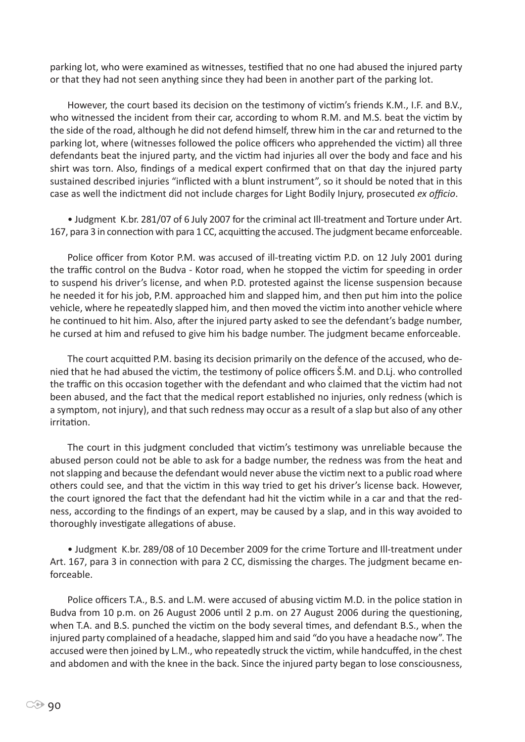parking lot, who were examined as witnesses, testified that no one had abused the injured party or that they had not seen anything since they had been in another part of the parking lot.

However, the court based its decision on the testimony of victim's friends K.M., I.F. and B.V., who witnessed the incident from their car, according to whom R.M. and M.S. beat the victim by the side of the road, although he did not defend himself, threw him in the car and returned to the parking lot, where (witnesses followed the police officers who apprehended the victim) all three defendants beat the injured party, and the victim had injuries all over the body and face and his shirt was torn. Also, findings of a medical expert confirmed that on that day the injured party sustained described injuries "inflicted with a blunt instrument", so it should be noted that in this case as well the indictment did not include charges for Light Bodily Injury, prosecuted *ex officio*.

• Judgment K.br. 281/07 of 6 July 2007 for the criminal act Ill-treatment and Torture under Art. 167, para 3 in connection with para 1 CC, acquitting the accused. The judgment became enforceable.

Police officer from Kotor P.M. was accused of ill-treating victim P.D. on 12 July 2001 during the traffic control on the Budva - Kotor road, when he stopped the victim for speeding in order to suspend his driver's license, and when P.D. protested against the license suspension because he needed it for his job, P.M. approached him and slapped him, and then put him into the police vehicle, where he repeatedly slapped him, and then moved the victim into another vehicle where he continued to hit him. Also, after the injured party asked to see the defendant's badge number, he cursed at him and refused to give him his badge number. The judgment became enforceable.

The court acquitted P.M. basing its decision primarily on the defence of the accused, who denied that he had abused the victim, the testimony of police officers Š.M. and D.Lj. who controlled the traffic on this occasion together with the defendant and who claimed that the victim had not been abused, and the fact that the medical report established no injuries, only redness (which is a symptom, not injury), and that such redness may occur as a result of a slap but also of any other irritation.

The court in this judgment concluded that victim's testimony was unreliable because the abused person could not be able to ask for a badge number, the redness was from the heat and not slapping and because the defendant would never abuse the victim next to a public road where others could see, and that the victim in this way tried to get his driver's license back. However, the court ignored the fact that the defendant had hit the victim while in a car and that the redness, according to the findings of an expert, may be caused by a slap, and in this way avoided to thoroughly investigate allegations of abuse.

• Judgment K.br. 289/08 of 10 December 2009 for the crime Torture and Ill-treatment under Art. 167, para 3 in connection with para 2 CC, dismissing the charges. The judgment became enforceable.

Police officers T.A., B.S. and L.M. were accused of abusing victim M.D. in the police station in Budva from 10 p.m. on 26 August 2006 until 2 p.m. on 27 August 2006 during the questioning, when T.A. and B.S. punched the victim on the body several times, and defendant B.S., when the injured party complained of a headache, slapped him and said "do you have a headache now". The accused were then joined by L.M., who repeatedly struck the victim, while handcuffed, in the chest and abdomen and with the knee in the back. Since the injured party began to lose consciousness,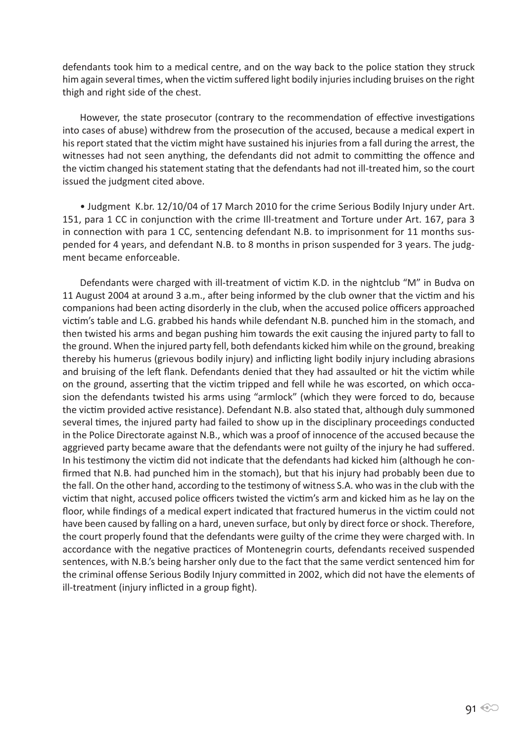defendants took him to a medical centre, and on the way back to the police station they struck him again several times, when the victim suffered light bodily injuries including bruises on the right thigh and right side of the chest.

However, the state prosecutor (contrary to the recommendation of effective investigations into cases of abuse) withdrew from the prosecution of the accused, because a medical expert in his report stated that the victim might have sustained his injuries from a fall during the arrest, the witnesses had not seen anything, the defendants did not admit to committing the offence and the victim changed his statement stating that the defendants had not ill-treated him, so the court issued the judgment cited above.

• Judgment K.br. 12/10/04 of 17 March 2010 for the crime Serious Bodily Injury under Art. 151, para 1 CC in conjunction with the crime Ill-treatment and Torture under Art. 167, para 3 in connection with para 1 CC, sentencing defendant N.B. to imprisonment for 11 months suspended for 4 years, and defendant N.B. to 8 months in prison suspended for 3 years. The judgment became enforceable.

Defendants were charged with ill-treatment of victim K.D. in the nightclub "M" in Budva on 11 August 2004 at around 3 a.m., after being informed by the club owner that the victim and his companions had been acting disorderly in the club, when the accused police officers approached victim's table and L.G. grabbed his hands while defendant N.B. punched him in the stomach, and then twisted his arms and began pushing him towards the exit causing the injured party to fall to the ground. When the injured party fell, both defendants kicked him while on the ground, breaking thereby his humerus (grievous bodily injury) and inflicting light bodily injury including abrasions and bruising of the left flank. Defendants denied that they had assaulted or hit the victim while on the ground, asserting that the victim tripped and fell while he was escorted, on which occasion the defendants twisted his arms using "armlock" (which they were forced to do, because the victim provided active resistance). Defendant N.B. also stated that, although duly summoned several times, the injured party had failed to show up in the disciplinary proceedings conducted in the Police Directorate against N.B., which was a proof of innocence of the accused because the aggrieved party became aware that the defendants were not guilty of the injury he had suffered. In his testimony the victim did not indicate that the defendants had kicked him (although he confirmed that N.B. had punched him in the stomach), but that his injury had probably been due to the fall. On the other hand, according to the testimony of witness S.A. who was in the club with the victim that night, accused police officers twisted the victim's arm and kicked him as he lay on the floor, while findings of a medical expert indicated that fractured humerus in the victim could not have been caused by falling on a hard, uneven surface, but only by direct force or shock. Therefore, the court properly found that the defendants were guilty of the crime they were charged with. In accordance with the negative practices of Montenegrin courts, defendants received suspended sentences, with N.B.'s being harsher only due to the fact that the same verdict sentenced him for the criminal offense Serious Bodily Injury committed in 2002, which did not have the elements of ill-treatment (injury inflicted in a group fight).